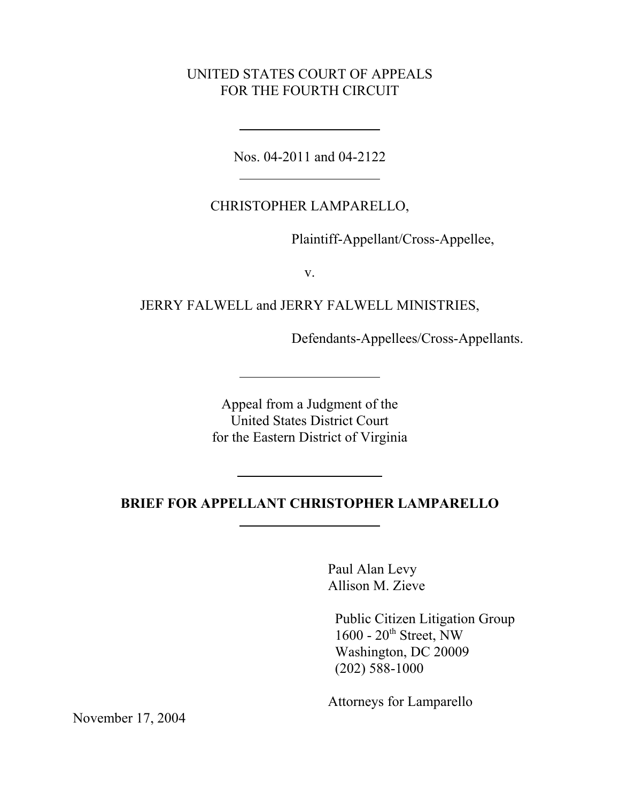## UNITED STATES COURT OF APPEALS FOR THE FOURTH CIRCUIT

Nos. 04-2011 and 04-2122

 $\overline{\phantom{a}}$ 

 $\overline{\phantom{a}}$ 

### CHRISTOPHER LAMPARELLO,

Plaintiff-Appellant/Cross-Appellee,

v.

### JERRY FALWELL and JERRY FALWELL MINISTRIES,

Defendants-Appellees/Cross-Appellants.

Appeal from a Judgment of the United States District Court for the Eastern District of Virginia

### **BRIEF FOR APPELLANT CHRISTOPHER LAMPARELLO**

Paul Alan Levy Allison M. Zieve

 Public Citizen Litigation Group  $1600 - 20$ <sup>th</sup> Street, NW Washington, DC 20009 (202) 588-1000

Attorneys for Lamparello

November 17, 2004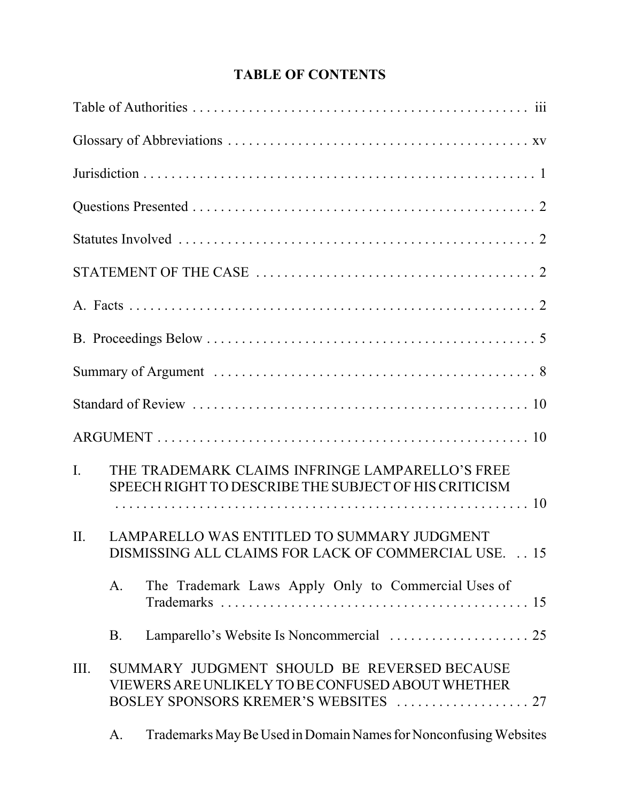# **TABLE OF CONTENTS**

| $\mathbf{I}$ . | THE TRADEMARK CLAIMS INFRINGE LAMPARELLO'S FREE<br>SPEECH RIGHT TO DESCRIBE THE SUBJECT OF HIS CRITICISM |
|----------------|----------------------------------------------------------------------------------------------------------|
| II.            | LAMPARELLO WAS ENTITLED TO SUMMARY JUDGMENT<br>DISMISSING ALL CLAIMS FOR LACK OF COMMERCIAL USE. 15      |
|                | The Trademark Laws Apply Only to Commercial Uses of<br>A.                                                |
|                | <b>B.</b>                                                                                                |
| III.           | SUMMARY JUDGMENT SHOULD BE REVERSED BECAUSE<br>VIEWERS ARE UNLIKELY TO BE CONFUSED ABOUT WHETHER         |
|                | Trademarks May Be Used in Domain Names for Nonconfusing Websites<br>A.                                   |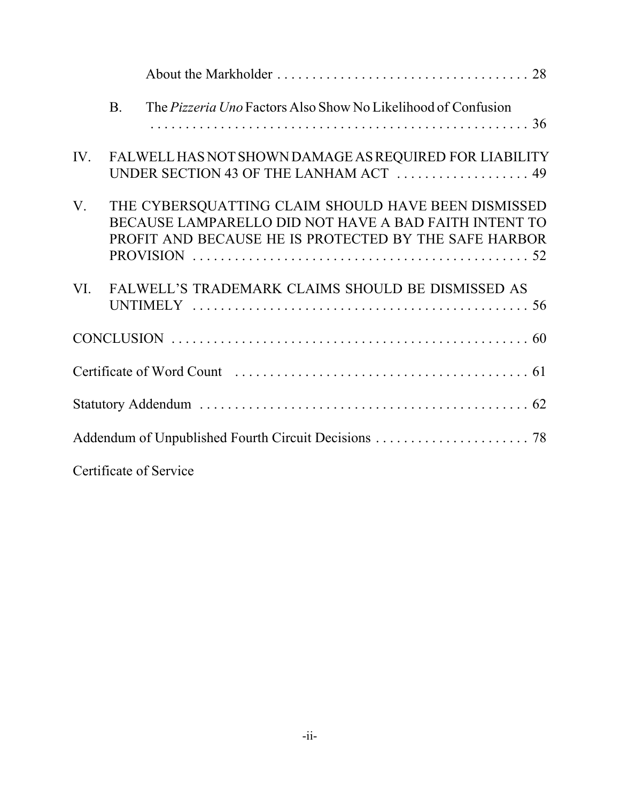|     | $B_{\cdot}$ | The Pizzeria Uno Factors Also Show No Likelihood of Confusion                                                                                                         |  |
|-----|-------------|-----------------------------------------------------------------------------------------------------------------------------------------------------------------------|--|
| IV. |             | FALWELL HAS NOT SHOWN DAMAGE AS REQUIRED FOR LIABILITY<br>UNDER SECTION 43 OF THE LANHAM ACT  49                                                                      |  |
| V.  |             | THE CYBERSQUATTING CLAIM SHOULD HAVE BEEN DISMISSED<br>BECAUSE LAMPARELLO DID NOT HAVE A BAD FAITH INTENT TO<br>PROFIT AND BECAUSE HE IS PROTECTED BY THE SAFE HARBOR |  |
|     |             | VI. FALWELL'S TRADEMARK CLAIMS SHOULD BE DISMISSED AS                                                                                                                 |  |
|     |             |                                                                                                                                                                       |  |
|     |             |                                                                                                                                                                       |  |
|     |             |                                                                                                                                                                       |  |
|     |             |                                                                                                                                                                       |  |
|     |             | Certificate of Service                                                                                                                                                |  |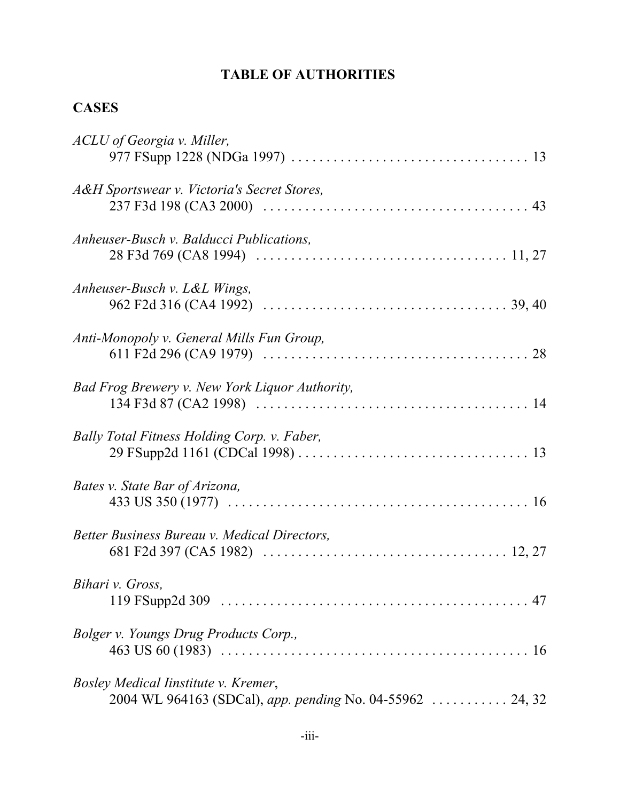# **TABLE OF AUTHORITIES**

# **CASES**

| ACLU of Georgia v. Miller,                                                                        |
|---------------------------------------------------------------------------------------------------|
| A&H Sportswear v. Victoria's Secret Stores,                                                       |
| Anheuser-Busch v. Balducci Publications,                                                          |
| Anheuser-Busch v. L&L Wings,                                                                      |
| Anti-Monopoly v. General Mills Fun Group,                                                         |
| Bad Frog Brewery v. New York Liquor Authority,                                                    |
| Bally Total Fitness Holding Corp. v. Faber,                                                       |
| Bates v. State Bar of Arizona,                                                                    |
| Better Business Bureau v. Medical Directors,                                                      |
| Bihari v. Gross,<br>47                                                                            |
| Bolger v. Youngs Drug Products Corp.,                                                             |
| Bosley Medical Iinstitute v. Kremer,<br>2004 WL 964163 (SDCal), app. pending No. 04-55962  24, 32 |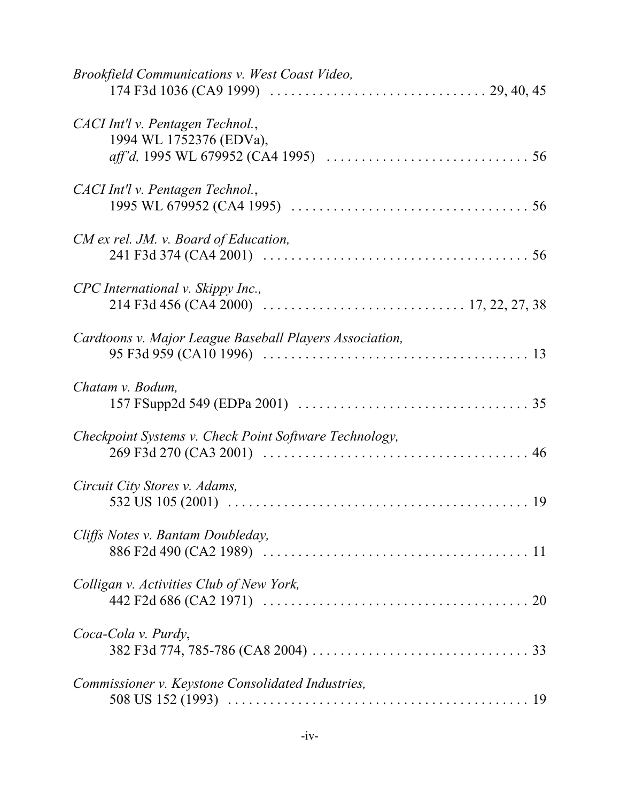| Brookfield Communications v. West Coast Video,                                                                                                            |
|-----------------------------------------------------------------------------------------------------------------------------------------------------------|
| CACI Int'l v. Pentagen Technol.,<br>1994 WL 1752376 (EDVa),                                                                                               |
| CACI Int'l v. Pentagen Technol.,                                                                                                                          |
| CM ex rel. JM. v. Board of Education,                                                                                                                     |
| CPC International v. Skippy Inc.,<br>214 F3d 456 (CA4 2000) $\ldots \ldots \ldots \ldots \ldots \ldots \ldots \ldots \ldots \ldots \ldots 17, 22, 27, 38$ |
| Cardtoons v. Major League Baseball Players Association,                                                                                                   |
| Chatam v. Bodum,                                                                                                                                          |
| Checkpoint Systems v. Check Point Software Technology,                                                                                                    |
| Circuit City Stores v. Adams,                                                                                                                             |
| Cliffs Notes v. Bantam Doubleday,                                                                                                                         |
| Colligan v. Activities Club of New York,                                                                                                                  |
| Coca-Cola v. Purdy,                                                                                                                                       |
| Commissioner v. Keystone Consolidated Industries,                                                                                                         |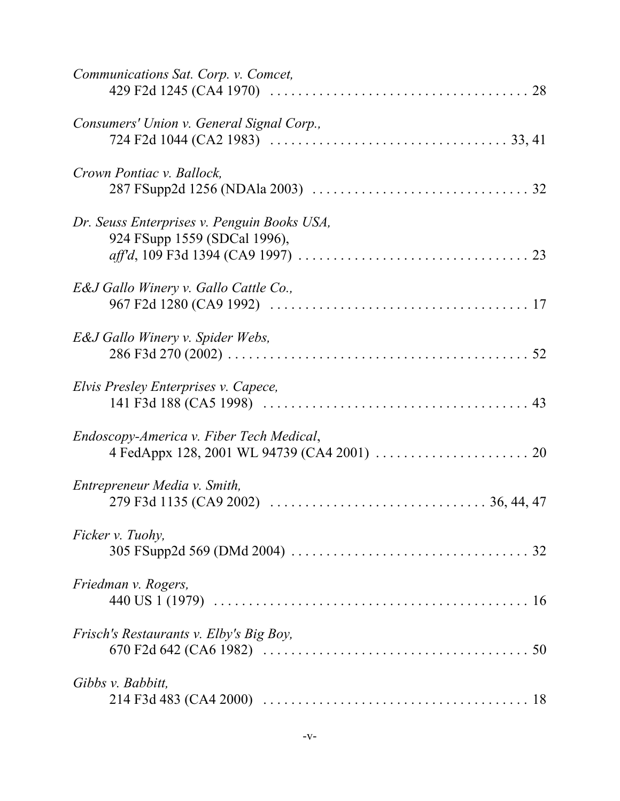| Communications Sat. Corp. v. Comcet,                                        |  |
|-----------------------------------------------------------------------------|--|
| Consumers' Union v. General Signal Corp.,                                   |  |
| Crown Pontiac v. Ballock,                                                   |  |
| Dr. Seuss Enterprises v. Penguin Books USA,<br>924 FSupp 1559 (SDCal 1996), |  |
| E&J Gallo Winery v. Gallo Cattle Co.,                                       |  |
| E&J Gallo Winery v. Spider Webs,                                            |  |
| Elvis Presley Enterprises v. Capece,                                        |  |
| Endoscopy-America v. Fiber Tech Medical,                                    |  |
| Entrepreneur Media v. Smith,                                                |  |
| <i>Ficker v. Tuohy,</i>                                                     |  |
| Friedman v. Rogers,                                                         |  |
| <i>Frisch's Restaurants v. Elby's Big Boy,</i>                              |  |
| Gibbs v. Babbitt,                                                           |  |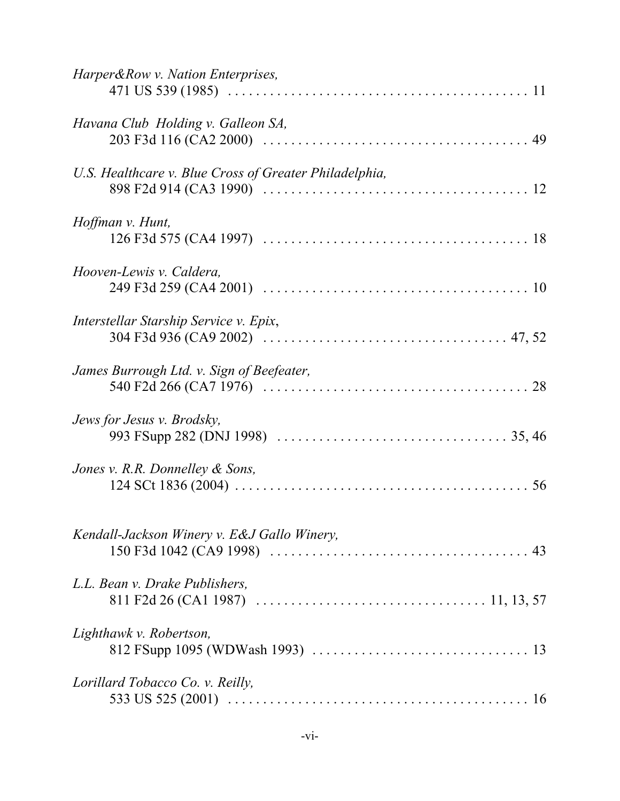| Harper&Row v. Nation Enterprises,                      |
|--------------------------------------------------------|
| Havana Club Holding v. Galleon SA,                     |
| U.S. Healthcare v. Blue Cross of Greater Philadelphia, |
| Hoffman v. Hunt,                                       |
| Hooven-Lewis v. Caldera.                               |
| Interstellar Starship Service v. Epix,                 |
| James Burrough Ltd. v. Sign of Beefeater,              |
| Jews for Jesus v. Brodsky,                             |
| Jones v. R.R. Donnelley $\&$ Sons,                     |
| Kendall-Jackson Winery v. E&J Gallo Winery,            |
| L.L. Bean v. Drake Publishers,                         |
| Lighthawk v. Robertson,                                |
| Lorillard Tobacco Co. v. Reilly,                       |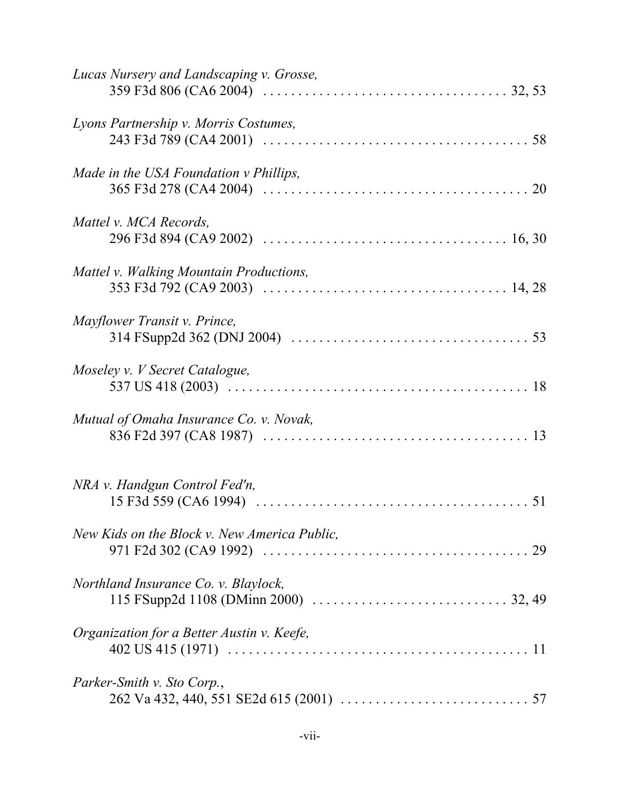| Lucas Nursery and Landscaping v. Grosse,     |  |
|----------------------------------------------|--|
| Lyons Partnership v. Morris Costumes,        |  |
| Made in the USA Foundation v Phillips,       |  |
| Mattel v. MCA Records,                       |  |
| Mattel v. Walking Mountain Productions,      |  |
| Mayflower Transit v. Prince,                 |  |
| Moseley v. V Secret Catalogue,               |  |
| Mutual of Omaha Insurance Co. v. Novak,      |  |
| NRA v. Handgun Control Fed'n,                |  |
| New Kids on the Block v. New America Public, |  |
| Northland Insurance Co. v. Blaylock,         |  |
| Organization for a Better Austin v. Keefe,   |  |
| Parker-Smith v. Sto Corp.,                   |  |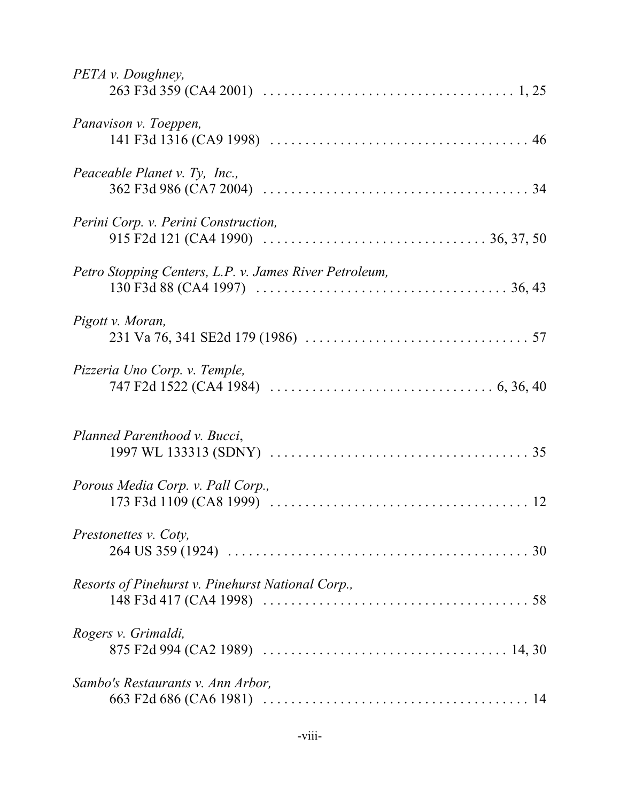| PETA v. Doughney,                                      |
|--------------------------------------------------------|
| Panavison v. Toeppen,                                  |
| Peaceable Planet v. Ty, Inc.,                          |
| Perini Corp. v. Perini Construction,                   |
| Petro Stopping Centers, L.P. v. James River Petroleum, |
| Pigott v. Moran,                                       |
| Pizzeria Uno Corp. v. Temple,                          |
| Planned Parenthood v. Bucci,                           |
| Porous Media Corp. v. Pall Corp.,                      |
| Prestonettes v. Coty,                                  |
| Resorts of Pinehurst v. Pinehurst National Corp.,      |
| Rogers v. Grimaldi,                                    |
| Sambo's Restaurants v. Ann Arbor,                      |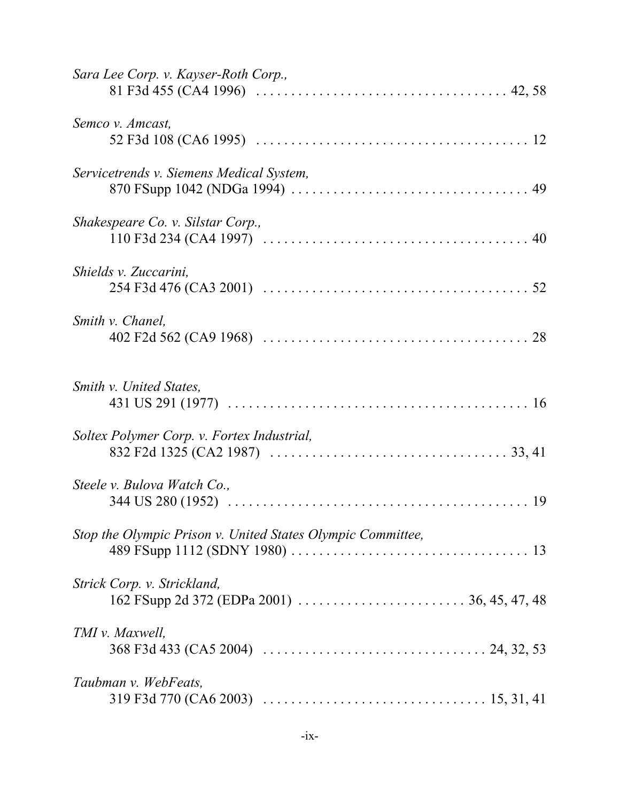| Sara Lee Corp. v. Kayser-Roth Corp.,                        |  |
|-------------------------------------------------------------|--|
| Semco v. Amcast,                                            |  |
| Servicetrends v. Siemens Medical System,                    |  |
| Shakespeare Co. v. Silstar Corp.,                           |  |
| Shields v. Zuccarini,                                       |  |
| Smith v. Chanel,                                            |  |
| Smith v. United States,                                     |  |
| Soltex Polymer Corp. v. Fortex Industrial,                  |  |
| Steele v. Bulova Watch Co.,                                 |  |
| Stop the Olympic Prison v. United States Olympic Committee, |  |
| Strick Corp. v. Strickland,                                 |  |
| TMI v. Maxwell,                                             |  |
| Taubman v. WebFeats,                                        |  |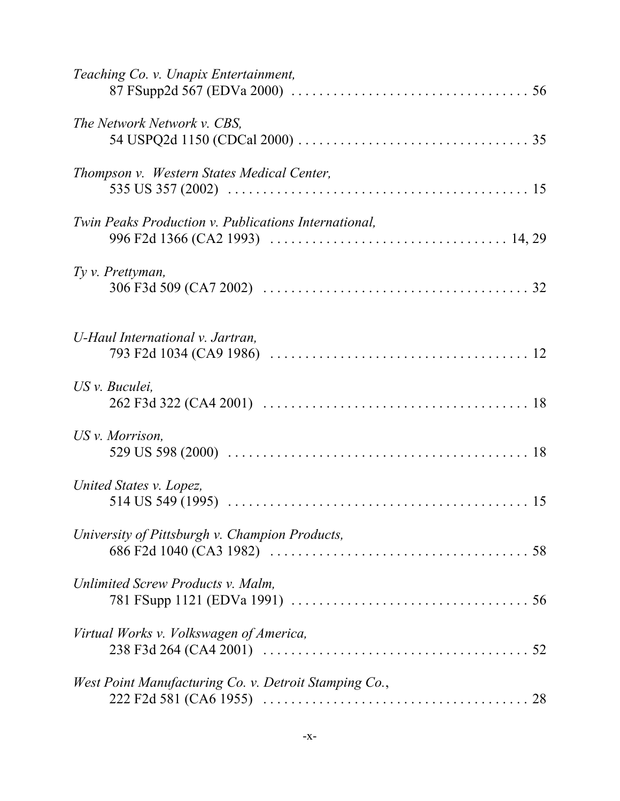| Teaching Co. v. Unapix Entertainment,                 |
|-------------------------------------------------------|
| The Network Network v. CBS,                           |
| Thompson v. Western States Medical Center,            |
| Twin Peaks Production v. Publications International,  |
| $Ty$ v. Prettyman,                                    |
| U-Haul International v. Jartran,                      |
| US v. Buculei,                                        |
| US v. Morrison,                                       |
| United States v. Lopez,                               |
| University of Pittsburgh v. Champion Products,        |
| Unlimited Screw Products v. Malm,                     |
| Virtual Works v. Volkswagen of America,               |
| West Point Manufacturing Co. v. Detroit Stamping Co., |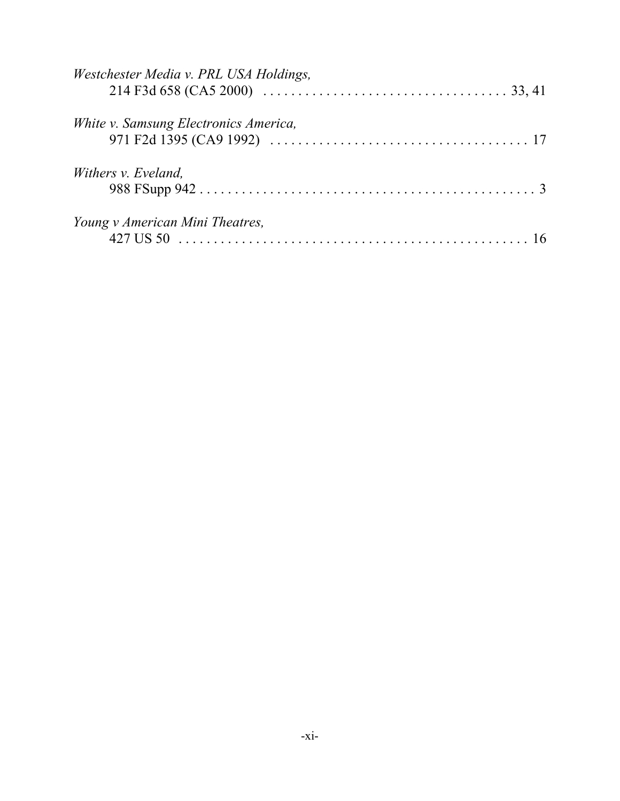| Westchester Media v. PRL USA Holdings, |  |
|----------------------------------------|--|
| White v. Samsung Electronics America,  |  |
| Withers v. Eveland,                    |  |
| Young <i>v</i> American Mini Theatres, |  |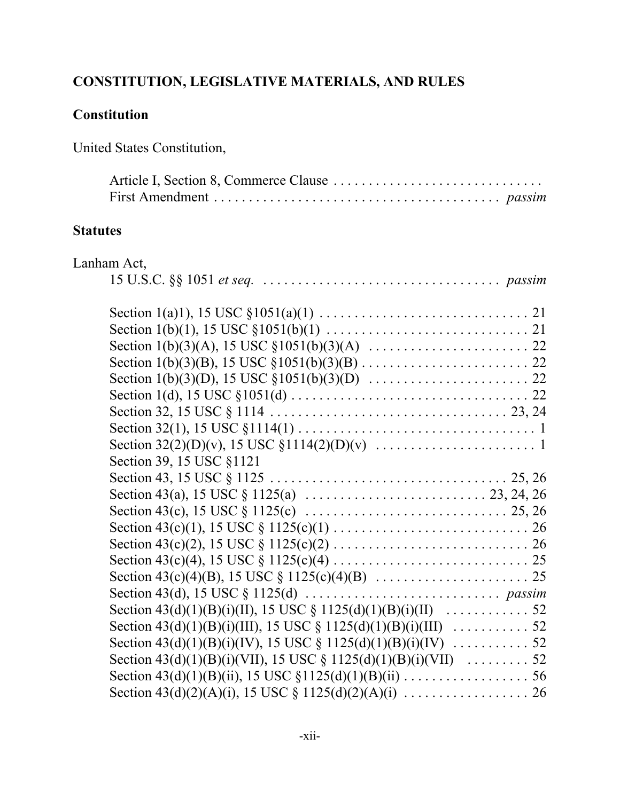# **CONSTITUTION, LEGISLATIVE MATERIALS, AND RULES**

# **Constitution**

United States Constitution,

# **Statutes**

| Lanham Act,              |  |
|--------------------------|--|
|                          |  |
|                          |  |
|                          |  |
|                          |  |
|                          |  |
|                          |  |
|                          |  |
|                          |  |
|                          |  |
|                          |  |
| Section 39, 15 USC §1121 |  |
|                          |  |
|                          |  |
|                          |  |
|                          |  |
|                          |  |
|                          |  |
|                          |  |
|                          |  |
|                          |  |
|                          |  |
|                          |  |
|                          |  |
|                          |  |
|                          |  |
|                          |  |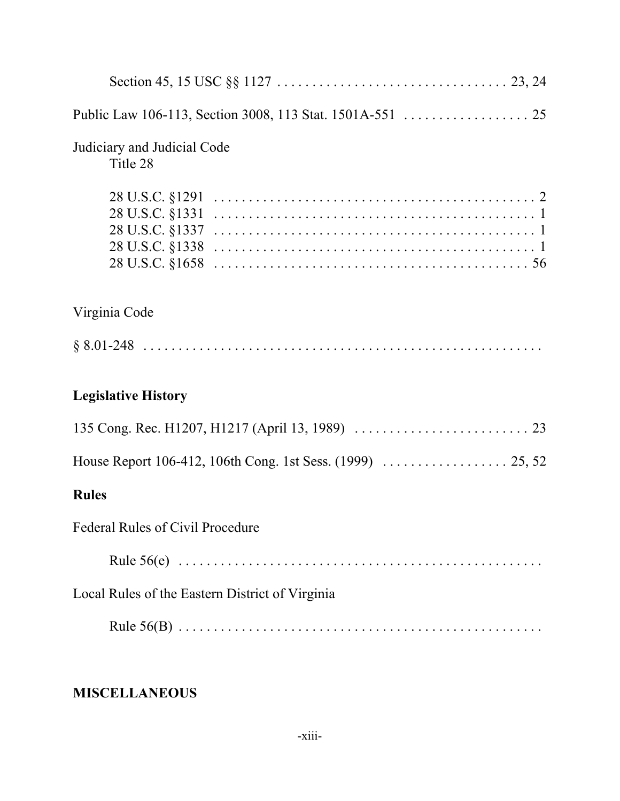| Judiciary and Judicial Code<br>Title 28         |  |
|-------------------------------------------------|--|
|                                                 |  |
| Virginia Code                                   |  |
|                                                 |  |
| <b>Legislative History</b>                      |  |
|                                                 |  |
|                                                 |  |
| <b>Rules</b>                                    |  |
| <b>Federal Rules of Civil Procedure</b>         |  |
|                                                 |  |
| Local Rules of the Eastern District of Virginia |  |
|                                                 |  |

## **MISCELLANEOUS**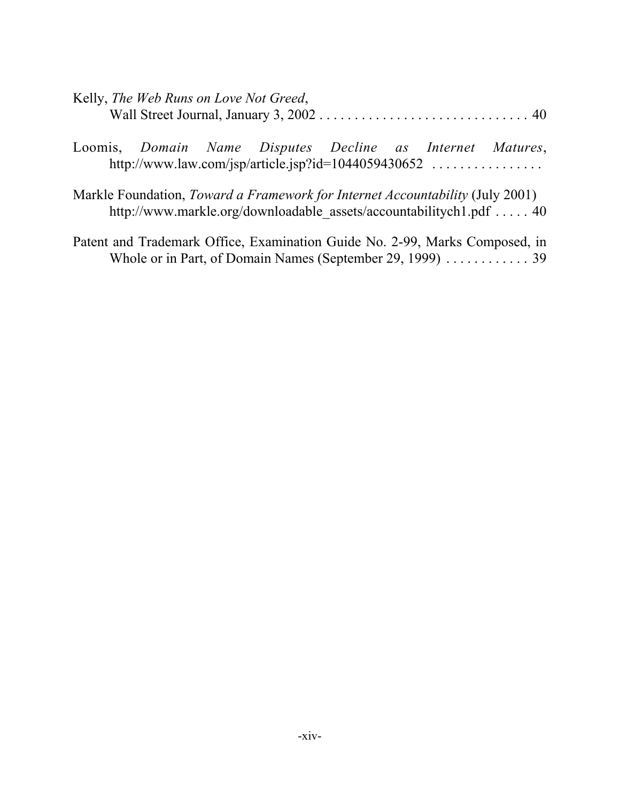| Kelly, The Web Runs on Love Not Greed, |  |
|----------------------------------------|--|
|                                        |  |

Loomis, *Domain Name Disputes Decline as Internet Matures*, http://www.law.com/jsp/article.jsp?id=1044059430652 ................

- Markle Foundation, *Toward a Framework for Internet Accountability* (July 2001) http://www.markle.org/downloadable\_assets/accountabilitych1.pdf . . . . . 40
- Patent and Trademark Office, Examination Guide No. 2-99, Marks Composed, in Whole or in Part, of Domain Names (September 29, 1999) . . . . . . . . . . . . 39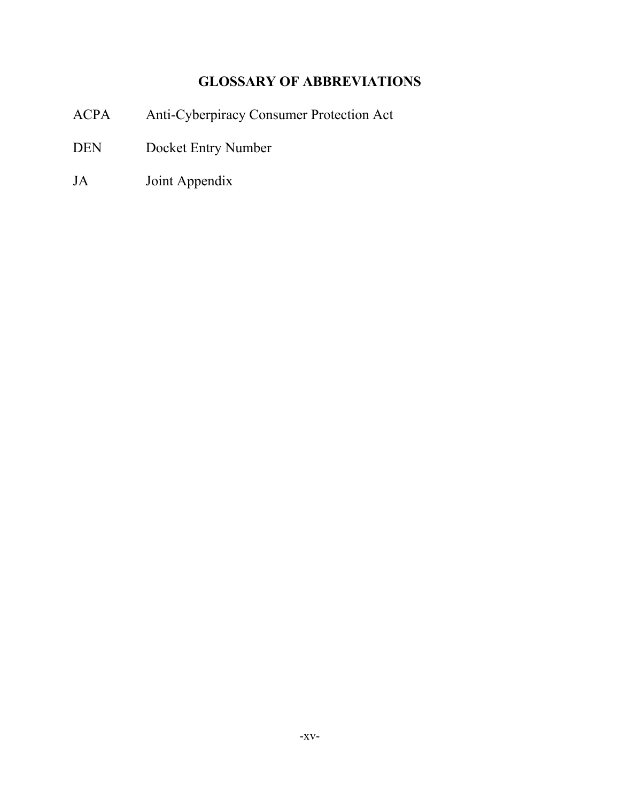# **GLOSSARY OF ABBREVIATIONS**

- ACPA Anti-Cyberpiracy Consumer Protection Act
- DEN Docket Entry Number
- JA Joint Appendix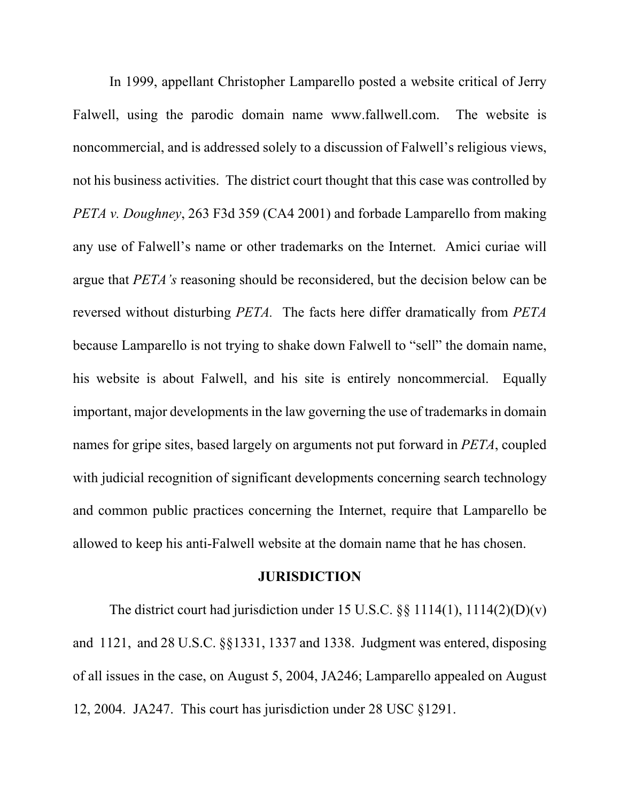In 1999, appellant Christopher Lamparello posted a website critical of Jerry Falwell, using the parodic domain name www.fallwell.com. The website is noncommercial, and is addressed solely to a discussion of Falwell's religious views, not his business activities. The district court thought that this case was controlled by *PETA v. Doughney*, 263 F3d 359 (CA4 2001) and forbade Lamparello from making any use of Falwell's name or other trademarks on the Internet. Amici curiae will argue that *PETA's* reasoning should be reconsidered, but the decision below can be reversed without disturbing *PETA.* The facts here differ dramatically from *PETA* because Lamparello is not trying to shake down Falwell to "sell" the domain name, his website is about Falwell, and his site is entirely noncommercial. Equally important, major developments in the law governing the use of trademarks in domain names for gripe sites, based largely on arguments not put forward in *PETA*, coupled with judicial recognition of significant developments concerning search technology and common public practices concerning the Internet, require that Lamparello be allowed to keep his anti-Falwell website at the domain name that he has chosen.

#### **JURISDICTION**

The district court had jurisdiction under 15 U.S.C. §§ 1114(1), 1114(2)(D)(v) and 1121, and 28 U.S.C. §§1331, 1337 and 1338. Judgment was entered, disposing of all issues in the case, on August 5, 2004, JA246; Lamparello appealed on August 12, 2004. JA247. This court has jurisdiction under 28 USC §1291.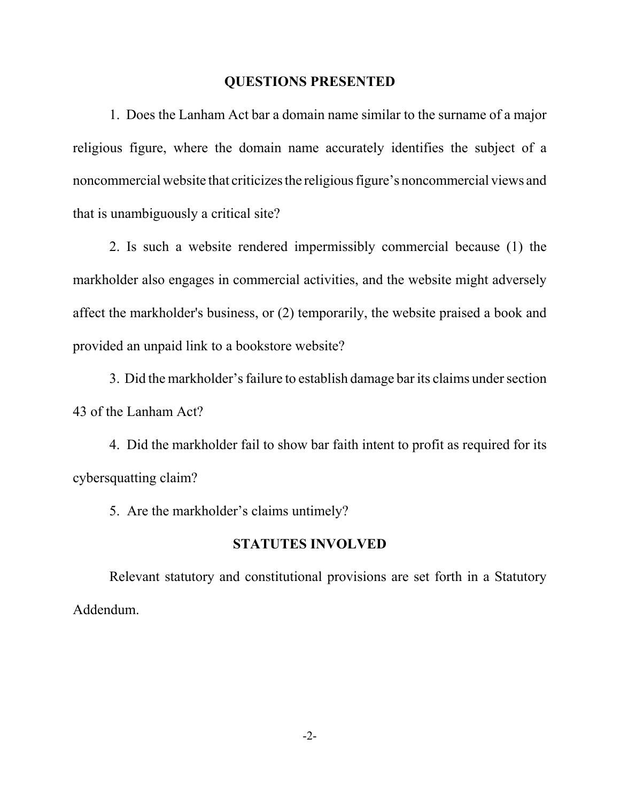### **QUESTIONS PRESENTED**

1. Does the Lanham Act bar a domain name similar to the surname of a major religious figure, where the domain name accurately identifies the subject of a noncommercial website that criticizes the religious figure's noncommercial views and that is unambiguously a critical site?

2. Is such a website rendered impermissibly commercial because (1) the markholder also engages in commercial activities, and the website might adversely affect the markholder's business, or (2) temporarily, the website praised a book and provided an unpaid link to a bookstore website?

3. Did the markholder's failure to establish damage bar its claims under section 43 of the Lanham Act?

4. Did the markholder fail to show bar faith intent to profit as required for its cybersquatting claim?

5. Are the markholder's claims untimely?

### **STATUTES INVOLVED**

Relevant statutory and constitutional provisions are set forth in a Statutory Addendum.

-2-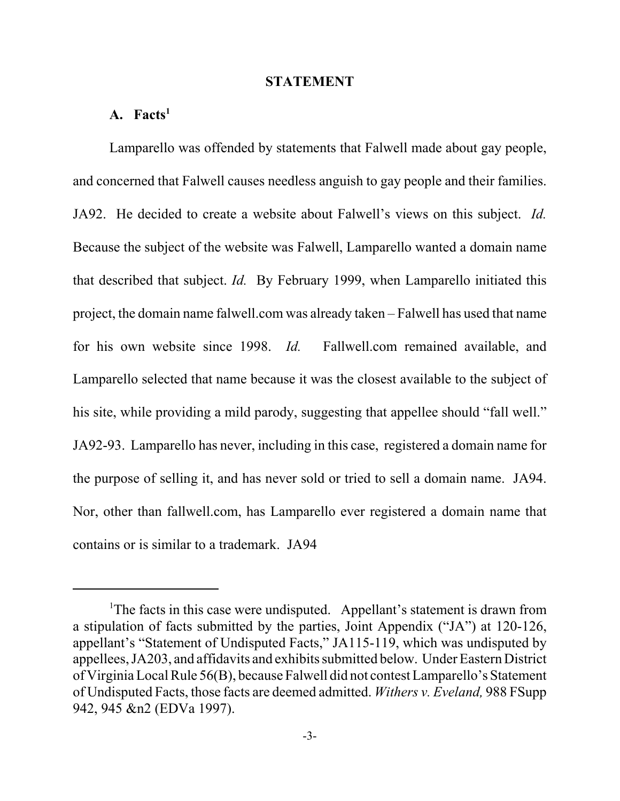#### **STATEMENT**

## A. Facts<sup>1</sup>

Lamparello was offended by statements that Falwell made about gay people, and concerned that Falwell causes needless anguish to gay people and their families. JA92. He decided to create a website about Falwell's views on this subject. *Id.* Because the subject of the website was Falwell, Lamparello wanted a domain name that described that subject. *Id.* By February 1999, when Lamparello initiated this project, the domain name falwell.com was already taken – Falwell has used that name for his own website since 1998. *Id.* Fallwell.com remained available, and Lamparello selected that name because it was the closest available to the subject of his site, while providing a mild parody, suggesting that appellee should "fall well." JA92-93. Lamparello has never, including in this case, registered a domain name for the purpose of selling it, and has never sold or tried to sell a domain name. JA94. Nor, other than fallwell.com, has Lamparello ever registered a domain name that contains or is similar to a trademark. JA94

<sup>&</sup>lt;sup>1</sup>The facts in this case were undisputed. Appellant's statement is drawn from a stipulation of facts submitted by the parties, Joint Appendix ("JA") at 120-126, appellant's "Statement of Undisputed Facts," JA115-119, which was undisputed by appellees, JA203, and affidavits and exhibits submitted below. Under Eastern District of Virginia Local Rule 56(B), because Falwell did not contest Lamparello's Statement of Undisputed Facts, those facts are deemed admitted. *Withers v. Eveland,* 988 FSupp 942, 945 &n2 (EDVa 1997).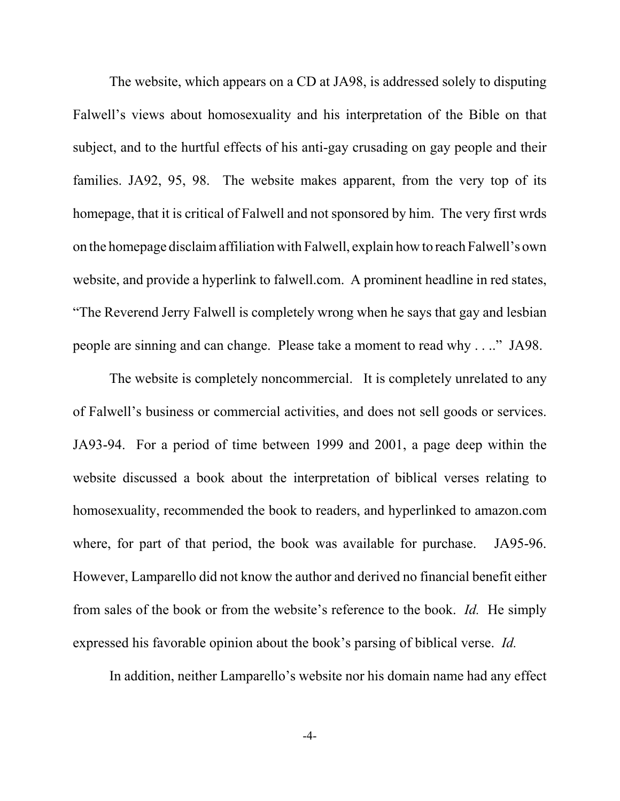The website, which appears on a CD at JA98, is addressed solely to disputing Falwell's views about homosexuality and his interpretation of the Bible on that subject, and to the hurtful effects of his anti-gay crusading on gay people and their families. JA92, 95, 98. The website makes apparent, from the very top of its homepage, that it is critical of Falwell and not sponsored by him. The very first wrds on the homepage disclaim affiliation with Falwell, explain how to reach Falwell's own website, and provide a hyperlink to falwell.com. A prominent headline in red states, "The Reverend Jerry Falwell is completely wrong when he says that gay and lesbian people are sinning and can change. Please take a moment to read why . . .." JA98.

The website is completely noncommercial. It is completely unrelated to any of Falwell's business or commercial activities, and does not sell goods or services. JA93-94. For a period of time between 1999 and 2001, a page deep within the website discussed a book about the interpretation of biblical verses relating to homosexuality, recommended the book to readers, and hyperlinked to amazon.com where, for part of that period, the book was available for purchase. JA95-96. However, Lamparello did not know the author and derived no financial benefit either from sales of the book or from the website's reference to the book. *Id.* He simply expressed his favorable opinion about the book's parsing of biblical verse. *Id.* 

In addition, neither Lamparello's website nor his domain name had any effect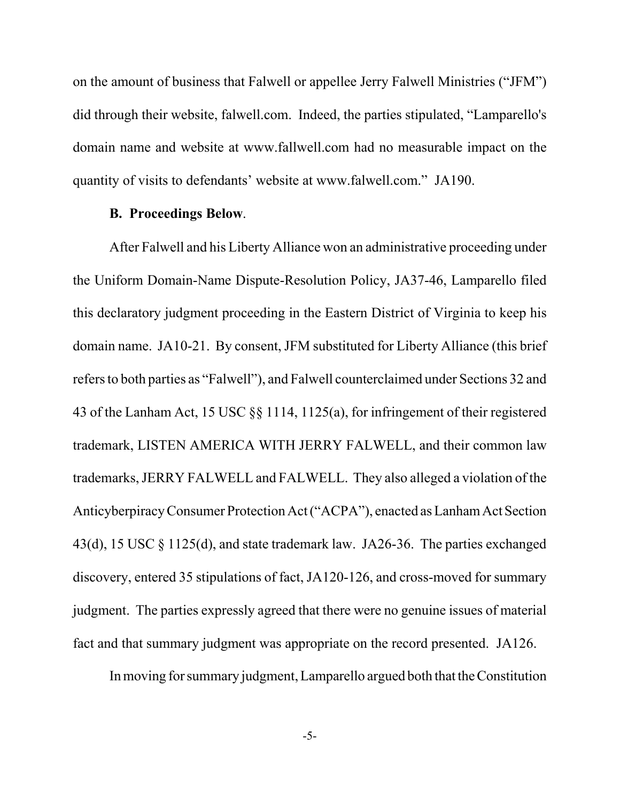on the amount of business that Falwell or appellee Jerry Falwell Ministries ("JFM") did through their website, falwell.com. Indeed, the parties stipulated, "Lamparello's domain name and website at www.fallwell.com had no measurable impact on the quantity of visits to defendants' website at www.falwell.com." JA190.

### **B. Proceedings Below**.

After Falwell and his Liberty Alliance won an administrative proceeding under the Uniform Domain-Name Dispute-Resolution Policy, JA37-46, Lamparello filed this declaratory judgment proceeding in the Eastern District of Virginia to keep his domain name. JA10-21. By consent, JFM substituted for Liberty Alliance (this brief refers to both parties as "Falwell"), and Falwell counterclaimed under Sections 32 and 43 of the Lanham Act, 15 USC §§ 1114, 1125(a), for infringement of their registered trademark, LISTEN AMERICA WITH JERRY FALWELL, and their common law trademarks, JERRY FALWELL and FALWELL. They also alleged a violation of the Anticyberpiracy Consumer Protection Act ("ACPA"), enacted as Lanham Act Section 43(d), 15 USC § 1125(d), and state trademark law. JA26-36. The parties exchanged discovery, entered 35 stipulations of fact, JA120-126, and cross-moved for summary judgment. The parties expressly agreed that there were no genuine issues of material fact and that summary judgment was appropriate on the record presented. JA126.

In moving for summary judgment, Lamparello argued both that the Constitution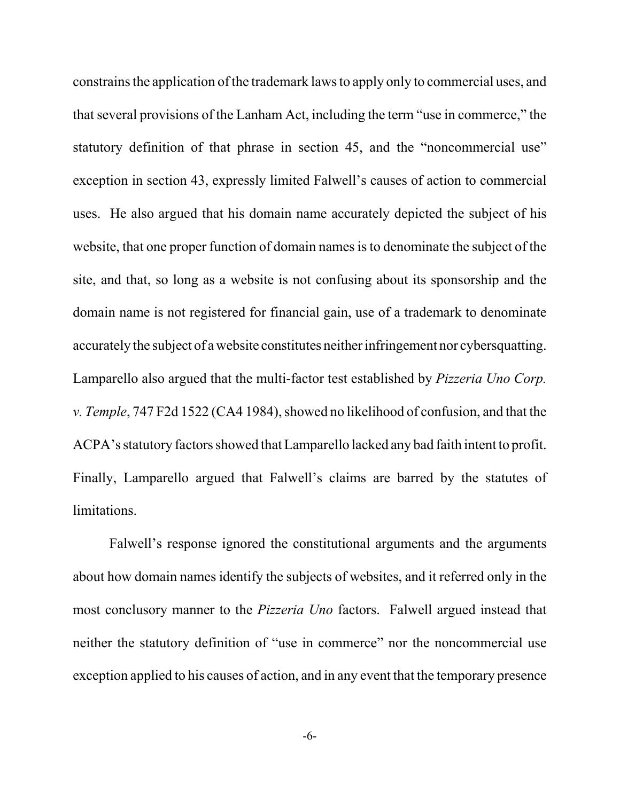constrains the application of the trademark laws to apply only to commercial uses, and that several provisions of the Lanham Act, including the term "use in commerce," the statutory definition of that phrase in section 45, and the "noncommercial use" exception in section 43, expressly limited Falwell's causes of action to commercial uses. He also argued that his domain name accurately depicted the subject of his website, that one proper function of domain names is to denominate the subject of the site, and that, so long as a website is not confusing about its sponsorship and the domain name is not registered for financial gain, use of a trademark to denominate accurately the subject of a website constitutes neither infringement nor cybersquatting. Lamparello also argued that the multi-factor test established by *Pizzeria Uno Corp. v. Temple*, 747 F2d 1522 (CA4 1984), showed no likelihood of confusion, and that the ACPA's statutory factors showed that Lamparello lacked any bad faith intent to profit. Finally, Lamparello argued that Falwell's claims are barred by the statutes of limitations.

Falwell's response ignored the constitutional arguments and the arguments about how domain names identify the subjects of websites, and it referred only in the most conclusory manner to the *Pizzeria Uno* factors. Falwell argued instead that neither the statutory definition of "use in commerce" nor the noncommercial use exception applied to his causes of action, and in any event that the temporary presence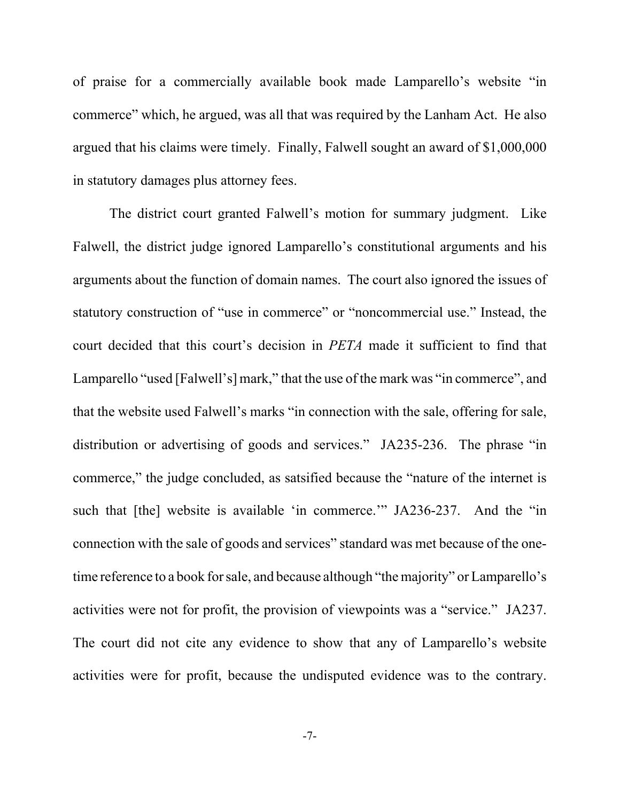of praise for a commercially available book made Lamparello's website "in commerce" which, he argued, was all that was required by the Lanham Act. He also argued that his claims were timely. Finally, Falwell sought an award of \$1,000,000 in statutory damages plus attorney fees.

The district court granted Falwell's motion for summary judgment. Like Falwell, the district judge ignored Lamparello's constitutional arguments and his arguments about the function of domain names. The court also ignored the issues of statutory construction of "use in commerce" or "noncommercial use." Instead, the court decided that this court's decision in *PETA* made it sufficient to find that Lamparello "used [Falwell's] mark," that the use of the mark was "in commerce", and that the website used Falwell's marks "in connection with the sale, offering for sale, distribution or advertising of goods and services." JA235-236. The phrase "in commerce," the judge concluded, as satsified because the "nature of the internet is such that [the] website is available 'in commerce.'" JA236-237. And the "in connection with the sale of goods and services" standard was met because of the onetime reference to a book for sale, and because although "the majority" or Lamparello's activities were not for profit, the provision of viewpoints was a "service." JA237. The court did not cite any evidence to show that any of Lamparello's website activities were for profit, because the undisputed evidence was to the contrary.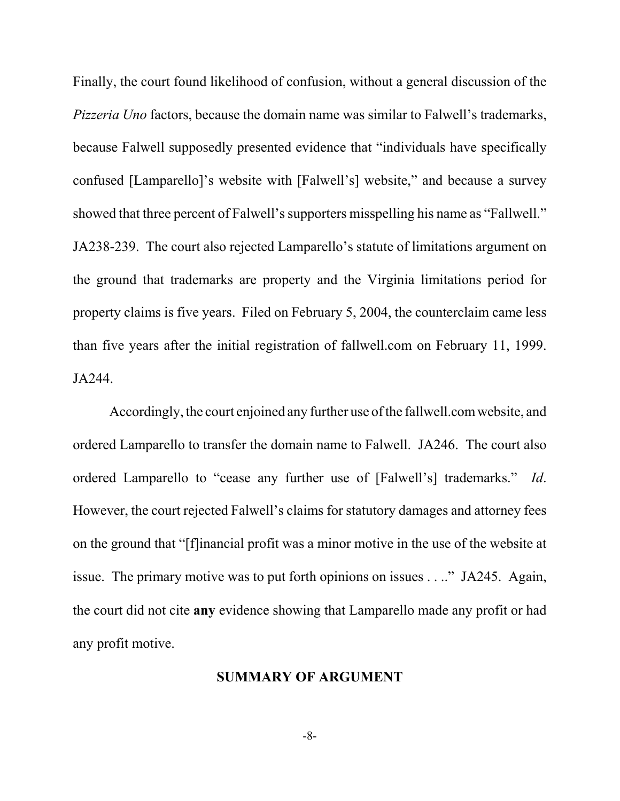Finally, the court found likelihood of confusion, without a general discussion of the *Pizzeria Uno* factors, because the domain name was similar to Falwell's trademarks, because Falwell supposedly presented evidence that "individuals have specifically confused [Lamparello]'s website with [Falwell's] website," and because a survey showed that three percent of Falwell's supporters misspelling his name as "Fallwell." JA238-239. The court also rejected Lamparello's statute of limitations argument on the ground that trademarks are property and the Virginia limitations period for property claims is five years. Filed on February 5, 2004, the counterclaim came less than five years after the initial registration of fallwell.com on February 11, 1999. JA244.

Accordingly, the court enjoined any further use of the fallwell.com website, and ordered Lamparello to transfer the domain name to Falwell. JA246. The court also ordered Lamparello to "cease any further use of [Falwell's] trademarks." *Id*. However, the court rejected Falwell's claims for statutory damages and attorney fees on the ground that "[f]inancial profit was a minor motive in the use of the website at issue. The primary motive was to put forth opinions on issues . . .." JA245. Again, the court did not cite **any** evidence showing that Lamparello made any profit or had any profit motive.

#### **SUMMARY OF ARGUMENT**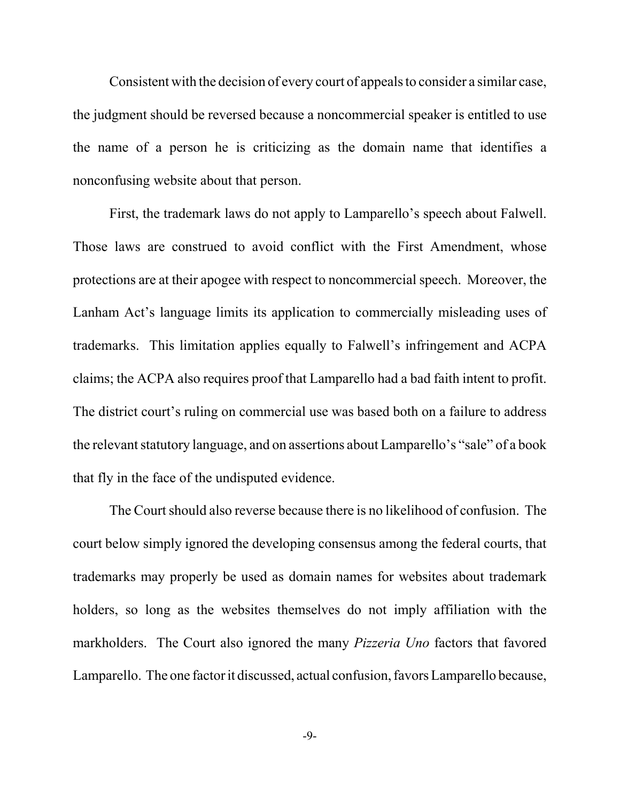Consistent with the decision of every court of appeals to consider a similar case, the judgment should be reversed because a noncommercial speaker is entitled to use the name of a person he is criticizing as the domain name that identifies a nonconfusing website about that person.

First, the trademark laws do not apply to Lamparello's speech about Falwell. Those laws are construed to avoid conflict with the First Amendment, whose protections are at their apogee with respect to noncommercial speech. Moreover, the Lanham Act's language limits its application to commercially misleading uses of trademarks. This limitation applies equally to Falwell's infringement and ACPA claims; the ACPA also requires proof that Lamparello had a bad faith intent to profit. The district court's ruling on commercial use was based both on a failure to address the relevant statutory language, and on assertions about Lamparello's "sale" of a book that fly in the face of the undisputed evidence.

The Court should also reverse because there is no likelihood of confusion. The court below simply ignored the developing consensus among the federal courts, that trademarks may properly be used as domain names for websites about trademark holders, so long as the websites themselves do not imply affiliation with the markholders. The Court also ignored the many *Pizzeria Uno* factors that favored Lamparello. The one factor it discussed, actual confusion, favors Lamparello because,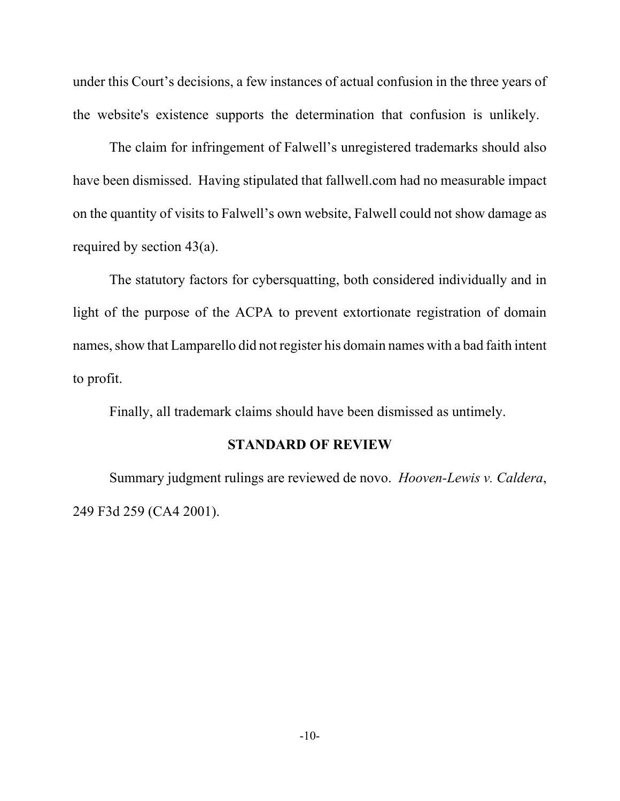under this Court's decisions, a few instances of actual confusion in the three years of the website's existence supports the determination that confusion is unlikely.

The claim for infringement of Falwell's unregistered trademarks should also have been dismissed. Having stipulated that fallwell.com had no measurable impact on the quantity of visits to Falwell's own website, Falwell could not show damage as required by section 43(a).

The statutory factors for cybersquatting, both considered individually and in light of the purpose of the ACPA to prevent extortionate registration of domain names, show that Lamparello did not register his domain names with a bad faith intent to profit.

Finally, all trademark claims should have been dismissed as untimely.

### **STANDARD OF REVIEW**

Summary judgment rulings are reviewed de novo. *Hooven-Lewis v. Caldera*, 249 F3d 259 (CA4 2001).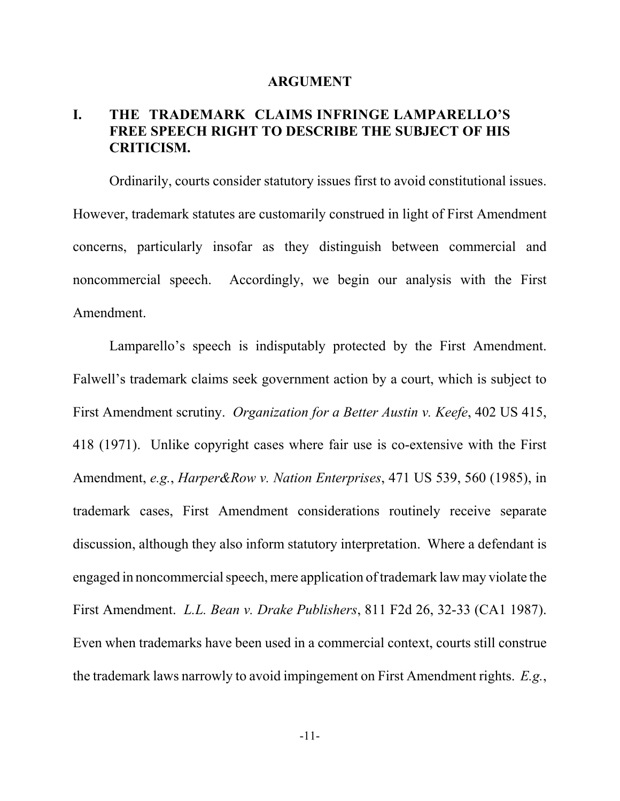#### **ARGUMENT**

### **I. THE TRADEMARK CLAIMS INFRINGE LAMPARELLO'S FREE SPEECH RIGHT TO DESCRIBE THE SUBJECT OF HIS CRITICISM.**

Ordinarily, courts consider statutory issues first to avoid constitutional issues. However, trademark statutes are customarily construed in light of First Amendment concerns, particularly insofar as they distinguish between commercial and noncommercial speech. Accordingly, we begin our analysis with the First Amendment.

Lamparello's speech is indisputably protected by the First Amendment. Falwell's trademark claims seek government action by a court, which is subject to First Amendment scrutiny. *Organization for a Better Austin v. Keefe*, 402 US 415, 418 (1971). Unlike copyright cases where fair use is co-extensive with the First Amendment, *e.g.*, *Harper&Row v. Nation Enterprises*, 471 US 539, 560 (1985), in trademark cases, First Amendment considerations routinely receive separate discussion, although they also inform statutory interpretation. Where a defendant is engaged in noncommercial speech, mere application of trademark law may violate the First Amendment. *L.L. Bean v. Drake Publishers*, 811 F2d 26, 32-33 (CA1 1987). Even when trademarks have been used in a commercial context, courts still construe the trademark laws narrowly to avoid impingement on First Amendment rights. *E.g.*,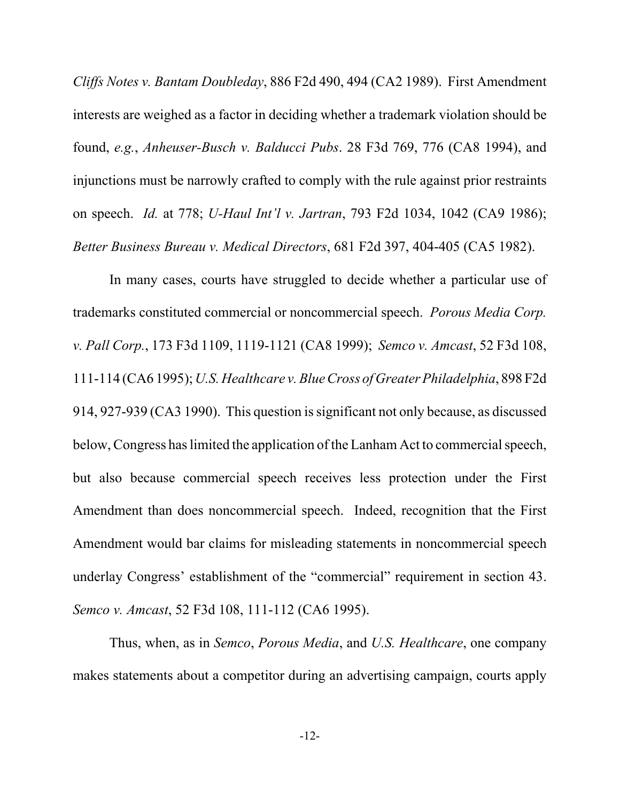*Cliffs Notes v. Bantam Doubleday*, 886 F2d 490, 494 (CA2 1989). First Amendment interests are weighed as a factor in deciding whether a trademark violation should be found, *e.g.*, *Anheuser-Busch v. Balducci Pubs*. 28 F3d 769, 776 (CA8 1994), and injunctions must be narrowly crafted to comply with the rule against prior restraints on speech. *Id.* at 778; *U-Haul Int'l v. Jartran*, 793 F2d 1034, 1042 (CA9 1986); *Better Business Bureau v. Medical Directors*, 681 F2d 397, 404-405 (CA5 1982).

In many cases, courts have struggled to decide whether a particular use of trademarks constituted commercial or noncommercial speech. *Porous Media Corp. v. Pall Corp.*, 173 F3d 1109, 1119-1121 (CA8 1999); *Semco v. Amcast*, 52 F3d 108, 111-114 (CA6 1995); *U.S. Healthcare v. Blue Cross of Greater Philadelphia*, 898 F2d 914, 927-939 (CA3 1990). This question is significant not only because, as discussed below, Congress has limited the application of the Lanham Act to commercial speech, but also because commercial speech receives less protection under the First Amendment than does noncommercial speech. Indeed, recognition that the First Amendment would bar claims for misleading statements in noncommercial speech underlay Congress' establishment of the "commercial" requirement in section 43. *Semco v. Amcast*, 52 F3d 108, 111-112 (CA6 1995).

Thus, when, as in *Semco*, *Porous Media*, and *U.S. Healthcare*, one company makes statements about a competitor during an advertising campaign, courts apply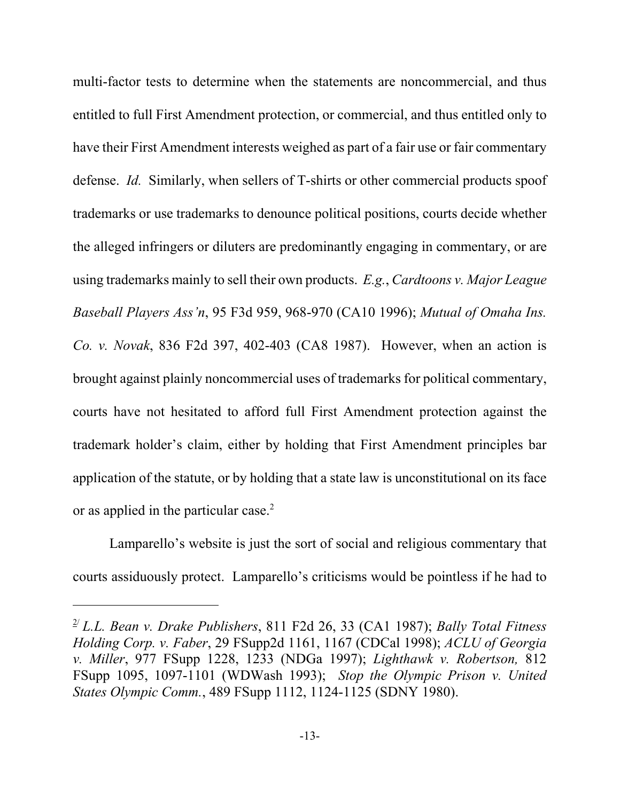multi-factor tests to determine when the statements are noncommercial, and thus entitled to full First Amendment protection, or commercial, and thus entitled only to have their First Amendment interests weighed as part of a fair use or fair commentary defense. *Id.* Similarly, when sellers of T-shirts or other commercial products spoof trademarks or use trademarks to denounce political positions, courts decide whether the alleged infringers or diluters are predominantly engaging in commentary, or are using trademarks mainly to sell their own products. *E.g.*, *Cardtoons v. Major League Baseball Players Ass'n*, 95 F3d 959, 968-970 (CA10 1996); *Mutual of Omaha Ins. Co. v. Novak*, 836 F2d 397, 402-403 (CA8 1987). However, when an action is brought against plainly noncommercial uses of trademarks for political commentary, courts have not hesitated to afford full First Amendment protection against the trademark holder's claim, either by holding that First Amendment principles bar application of the statute, or by holding that a state law is unconstitutional on its face or as applied in the particular case.<sup>2</sup>

Lamparello's website is just the sort of social and religious commentary that courts assiduously protect. Lamparello's criticisms would be pointless if he had to

<sup>2/</sup> *L.L. Bean v. Drake Publishers*, 811 F2d 26, 33 (CA1 1987); *Bally Total Fitness Holding Corp. v. Faber*, 29 FSupp2d 1161, 1167 (CDCal 1998); *ACLU of Georgia v. Miller*, 977 FSupp 1228, 1233 (NDGa 1997); *Lighthawk v. Robertson,* 812 FSupp 1095, 1097-1101 (WDWash 1993); *Stop the Olympic Prison v. United States Olympic Comm.*, 489 FSupp 1112, 1124-1125 (SDNY 1980).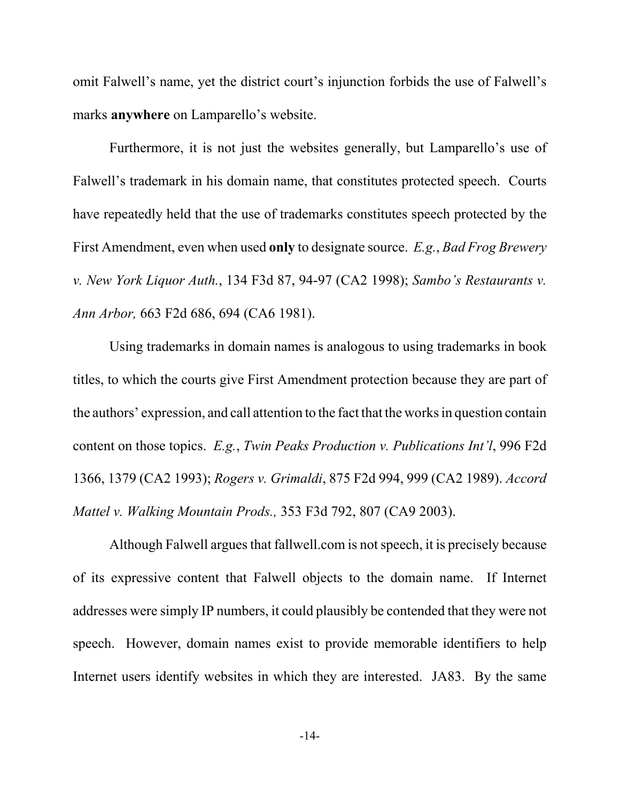omit Falwell's name, yet the district court's injunction forbids the use of Falwell's marks **anywhere** on Lamparello's website.

Furthermore, it is not just the websites generally, but Lamparello's use of Falwell's trademark in his domain name, that constitutes protected speech. Courts have repeatedly held that the use of trademarks constitutes speech protected by the First Amendment, even when used **only** to designate source. *E.g.*, *Bad Frog Brewery v. New York Liquor Auth.*, 134 F3d 87, 94-97 (CA2 1998); *Sambo's Restaurants v. Ann Arbor,* 663 F2d 686, 694 (CA6 1981).

Using trademarks in domain names is analogous to using trademarks in book titles, to which the courts give First Amendment protection because they are part of the authors' expression, and call attention to the fact that the works in question contain content on those topics. *E.g.*, *Twin Peaks Production v. Publications Int'l*, 996 F2d 1366, 1379 (CA2 1993); *Rogers v. Grimaldi*, 875 F2d 994, 999 (CA2 1989). *Accord Mattel v. Walking Mountain Prods.,* 353 F3d 792, 807 (CA9 2003).

Although Falwell argues that fallwell.com is not speech, it is precisely because of its expressive content that Falwell objects to the domain name. If Internet addresses were simply IP numbers, it could plausibly be contended that they were not speech. However, domain names exist to provide memorable identifiers to help Internet users identify websites in which they are interested. JA83. By the same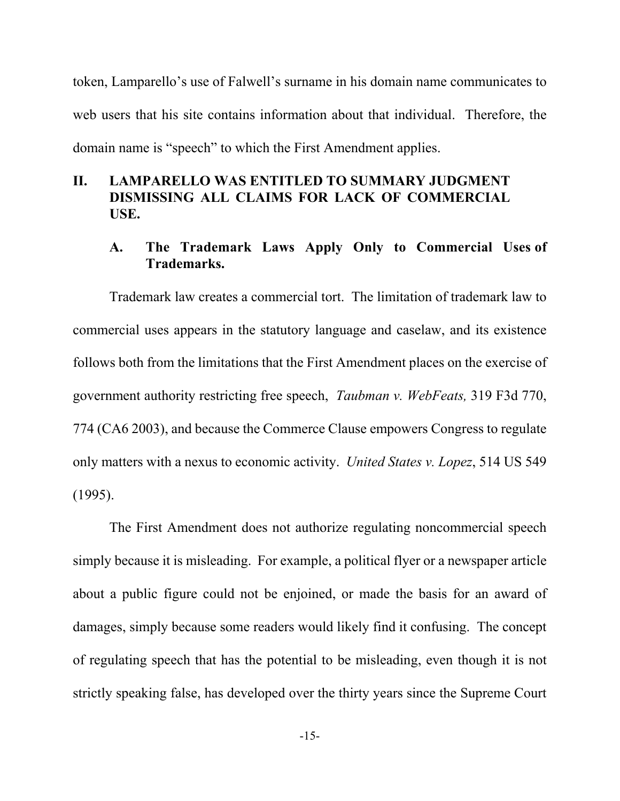token, Lamparello's use of Falwell's surname in his domain name communicates to web users that his site contains information about that individual. Therefore, the domain name is "speech" to which the First Amendment applies.

## **II. LAMPARELLO WAS ENTITLED TO SUMMARY JUDGMENT DISMISSING ALL CLAIMS FOR LACK OF COMMERCIAL USE.**

## **A. The Trademark Laws Apply Only to Commercial Uses of Trademarks.**

Trademark law creates a commercial tort. The limitation of trademark law to commercial uses appears in the statutory language and caselaw, and its existence follows both from the limitations that the First Amendment places on the exercise of government authority restricting free speech, *Taubman v. WebFeats,* 319 F3d 770, 774 (CA6 2003), and because the Commerce Clause empowers Congress to regulate only matters with a nexus to economic activity. *United States v. Lopez*, 514 US 549 (1995).

The First Amendment does not authorize regulating noncommercial speech simply because it is misleading. For example, a political flyer or a newspaper article about a public figure could not be enjoined, or made the basis for an award of damages, simply because some readers would likely find it confusing. The concept of regulating speech that has the potential to be misleading, even though it is not strictly speaking false, has developed over the thirty years since the Supreme Court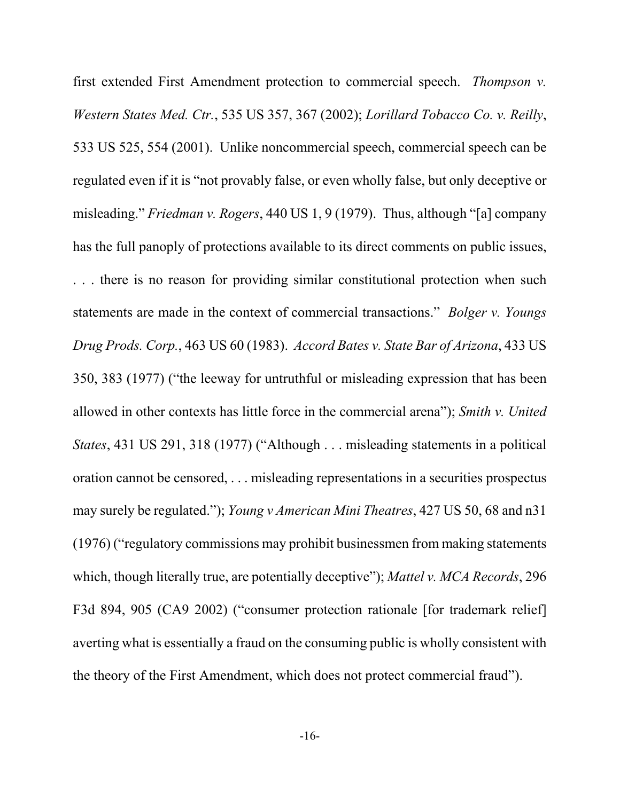first extended First Amendment protection to commercial speech. *Thompson v. Western States Med. Ctr.*, 535 US 357, 367 (2002); *Lorillard Tobacco Co. v. Reilly*, 533 US 525, 554 (2001). Unlike noncommercial speech, commercial speech can be regulated even if it is "not provably false, or even wholly false, but only deceptive or misleading." *Friedman v. Rogers*, 440 US 1, 9 (1979). Thus, although "[a] company has the full panoply of protections available to its direct comments on public issues,

. . . there is no reason for providing similar constitutional protection when such statements are made in the context of commercial transactions." *Bolger v. Youngs Drug Prods. Corp.*, 463 US 60 (1983). *Accord Bates v. State Bar of Arizona*, 433 US 350, 383 (1977) ("the leeway for untruthful or misleading expression that has been allowed in other contexts has little force in the commercial arena"); *Smith v. United States*, 431 US 291, 318 (1977) ("Although . . . misleading statements in a political oration cannot be censored, . . . misleading representations in a securities prospectus may surely be regulated."); *Young v American Mini Theatres*, 427 US 50, 68 and n31 (1976) ("regulatory commissions may prohibit businessmen from making statements which, though literally true, are potentially deceptive"); *Mattel v. MCA Records*, 296 F3d 894, 905 (CA9 2002) ("consumer protection rationale [for trademark relief] averting what is essentially a fraud on the consuming public is wholly consistent with the theory of the First Amendment, which does not protect commercial fraud").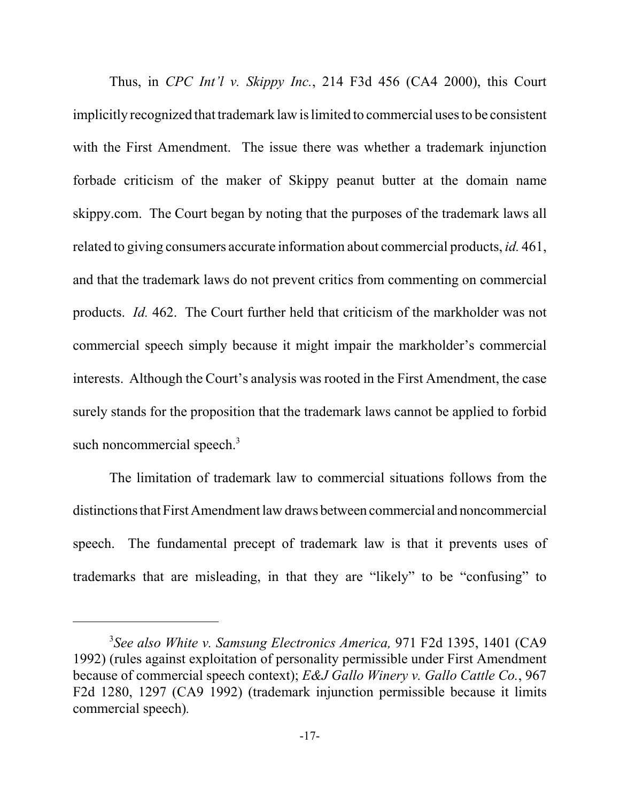Thus, in *CPC Int'l v. Skippy Inc.*, 214 F3d 456 (CA4 2000), this Court implicitly recognized that trademark law is limited to commercial uses to be consistent with the First Amendment. The issue there was whether a trademark injunction forbade criticism of the maker of Skippy peanut butter at the domain name skippy.com. The Court began by noting that the purposes of the trademark laws all related to giving consumers accurate information about commercial products, *id.* 461, and that the trademark laws do not prevent critics from commenting on commercial products. *Id.* 462. The Court further held that criticism of the markholder was not commercial speech simply because it might impair the markholder's commercial interests. Although the Court's analysis was rooted in the First Amendment, the case surely stands for the proposition that the trademark laws cannot be applied to forbid such noncommercial speech.<sup>3</sup>

The limitation of trademark law to commercial situations follows from the distinctions that First Amendment law draws between commercial and noncommercial speech. The fundamental precept of trademark law is that it prevents uses of trademarks that are misleading, in that they are "likely" to be "confusing" to

<sup>3</sup> *See also White v. Samsung Electronics America,* 971 F2d 1395, 1401 (CA9 1992) (rules against exploitation of personality permissible under First Amendment because of commercial speech context); *E&J Gallo Winery v. Gallo Cattle Co.*, 967 F2d 1280, 1297 (CA9 1992) (trademark injunction permissible because it limits commercial speech)*.*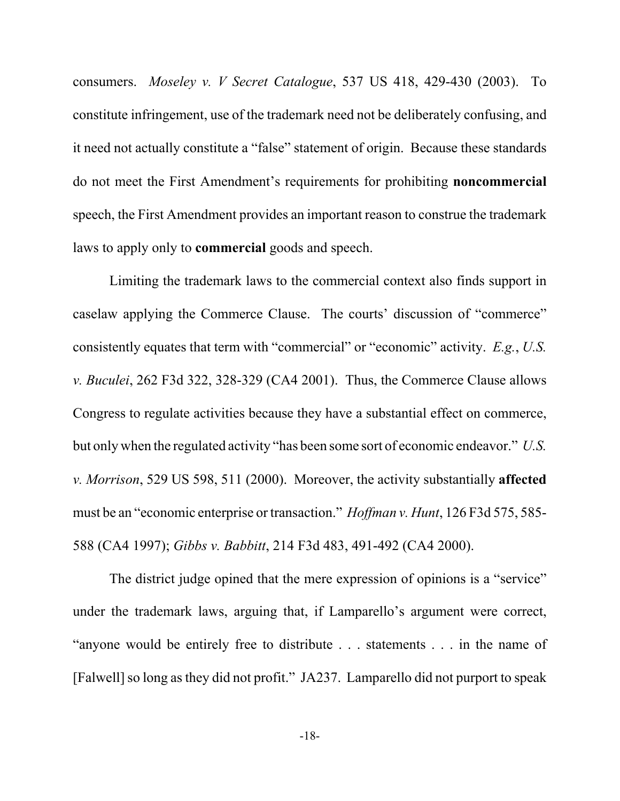consumers. *Moseley v. V Secret Catalogue*, 537 US 418, 429-430 (2003).To constitute infringement, use of the trademark need not be deliberately confusing, and it need not actually constitute a "false" statement of origin. Because these standards do not meet the First Amendment's requirements for prohibiting **noncommercial** speech, the First Amendment provides an important reason to construe the trademark laws to apply only to **commercial** goods and speech.

Limiting the trademark laws to the commercial context also finds support in caselaw applying the Commerce Clause. The courts' discussion of "commerce" consistently equates that term with "commercial" or "economic" activity. *E.g.*, *U.S. v. Buculei*, 262 F3d 322, 328-329 (CA4 2001). Thus, the Commerce Clause allows Congress to regulate activities because they have a substantial effect on commerce, but only when the regulated activity "has been some sort of economic endeavor." *U.S. v. Morrison*, 529 US 598, 511 (2000). Moreover, the activity substantially **affected** must be an "economic enterprise or transaction." *Hoffman v. Hunt*, 126 F3d 575, 585- 588 (CA4 1997); *Gibbs v. Babbitt*, 214 F3d 483, 491-492 (CA4 2000).

The district judge opined that the mere expression of opinions is a "service" under the trademark laws, arguing that, if Lamparello's argument were correct, "anyone would be entirely free to distribute . . . statements . . . in the name of [Falwell] so long as they did not profit." JA237. Lamparello did not purport to speak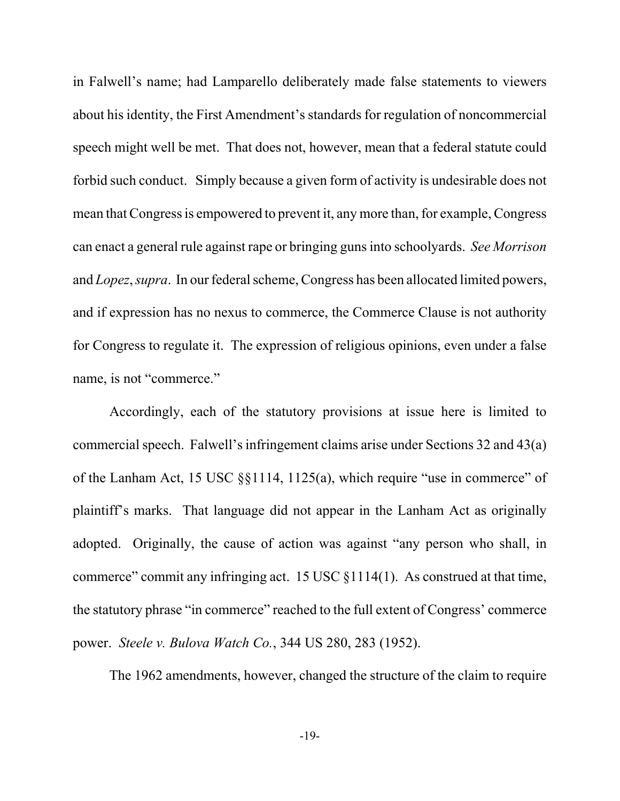in Falwell's name; had Lamparello deliberately made false statements to viewers about his identity, the First Amendment's standards for regulation of noncommercial speech might well be met. That does not, however, mean that a federal statute could forbid such conduct. Simply because a given form of activity is undesirable does not mean that Congress is empowered to prevent it, any more than, for example, Congress can enact a general rule against rape or bringing guns into schoolyards. *See Morrison* and *Lopez*, *supra*. In our federal scheme, Congress has been allocated limited powers, and if expression has no nexus to commerce, the Commerce Clause is not authority for Congress to regulate it. The expression of religious opinions, even under a false name, is not "commerce."

Accordingly, each of the statutory provisions at issue here is limited to commercial speech. Falwell's infringement claims arise under Sections 32 and 43(a) of the Lanham Act, 15 USC §§1114, 1125(a), which require "use in commerce" of plaintiff's marks. That language did not appear in the Lanham Act as originally adopted. Originally, the cause of action was against "any person who shall, in commerce" commit any infringing act. 15 USC §1114(1). As construed at that time, the statutory phrase "in commerce" reached to the full extent of Congress' commerce power. *Steele v. Bulova Watch Co.*, 344 US 280, 283 (1952).

The 1962 amendments, however, changed the structure of the claim to require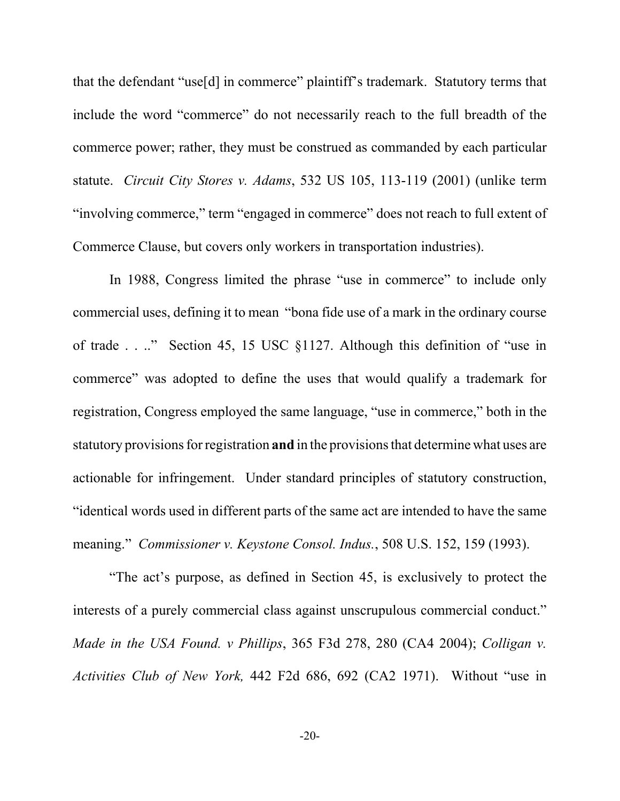that the defendant "use[d] in commerce" plaintiff's trademark. Statutory terms that include the word "commerce" do not necessarily reach to the full breadth of the commerce power; rather, they must be construed as commanded by each particular statute. *Circuit City Stores v. Adams*, 532 US 105, 113-119 (2001) (unlike term "involving commerce," term "engaged in commerce" does not reach to full extent of Commerce Clause, but covers only workers in transportation industries).

In 1988, Congress limited the phrase "use in commerce" to include only commercial uses, defining it to mean "bona fide use of a mark in the ordinary course of trade . . .." Section 45, 15 USC §1127. Although this definition of "use in commerce" was adopted to define the uses that would qualify a trademark for registration, Congress employed the same language, "use in commerce," both in the statutory provisions for registration **and** in the provisions that determine what uses are actionable for infringement. Under standard principles of statutory construction, "identical words used in different parts of the same act are intended to have the same meaning." *Commissioner v. Keystone Consol. Indus.*, 508 U.S. 152, 159 (1993).

"The act's purpose, as defined in Section 45, is exclusively to protect the interests of a purely commercial class against unscrupulous commercial conduct." *Made in the USA Found. v Phillips*, 365 F3d 278, 280 (CA4 2004); *Colligan v. Activities Club of New York,* 442 F2d 686, 692 (CA2 1971). Without "use in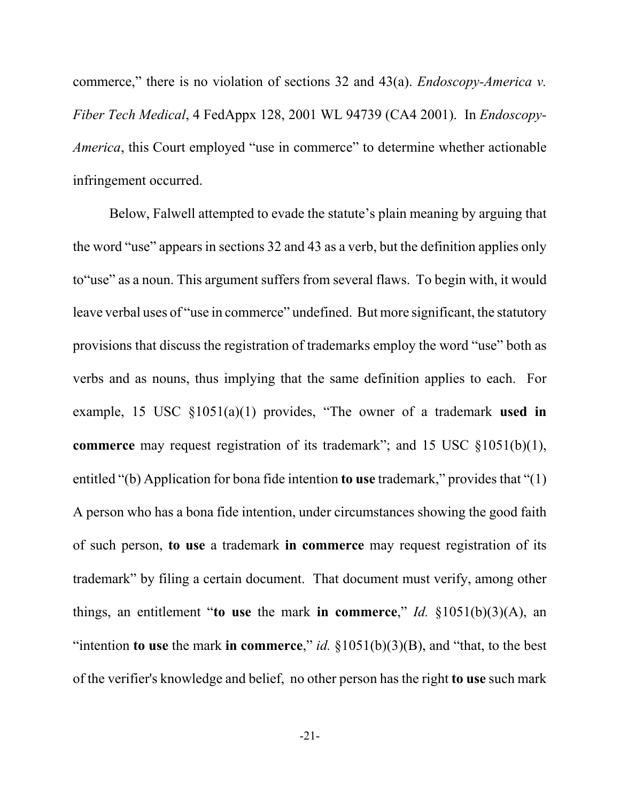commerce," there is no violation of sections 32 and 43(a). *Endoscopy-America v. Fiber Tech Medical*, 4 FedAppx 128, 2001 WL 94739 (CA4 2001). In *Endoscopy-America*, this Court employed "use in commerce" to determine whether actionable infringement occurred.

Below, Falwell attempted to evade the statute's plain meaning by arguing that the word "use" appears in sections 32 and 43 as a verb, but the definition applies only to"use" as a noun. This argument suffers from several flaws. To begin with, it would leave verbal uses of "use in commerce" undefined. But more significant, the statutory provisions that discuss the registration of trademarks employ the word "use" both as verbs and as nouns, thus implying that the same definition applies to each. For example, 15 USC §1051(a)(1) provides, "The owner of a trademark **used in commerce** may request registration of its trademark"; and 15 USC §1051(b)(1), entitled "(b) Application for bona fide intention **to use** trademark," provides that "(1) A person who has a bona fide intention, under circumstances showing the good faith of such person, **to use** a trademark **in commerce** may request registration of its trademark" by filing a certain document. That document must verify, among other things, an entitlement "**to use** the mark **in commerce**," *Id.* §1051(b)(3)(A), an "intention **to use** the mark **in commerce**," *id.*  $\{(1051(b)(3)(B))\}$ , and "that, to the best" of the verifier's knowledge and belief, no other person has the right **to use** such mark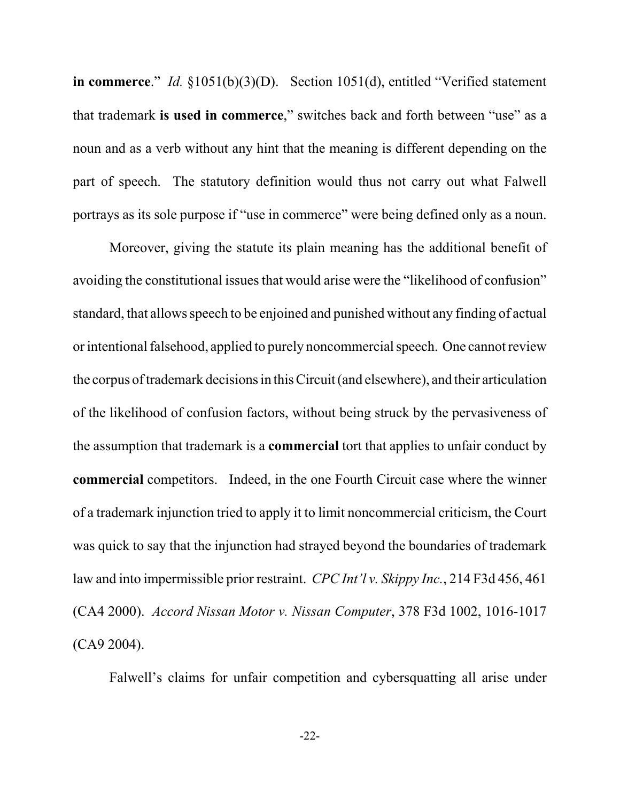**in commerce**." *Id.* §1051(b)(3)(D). Section 1051(d), entitled "Verified statement that trademark **is used in commerce**," switches back and forth between "use" as a noun and as a verb without any hint that the meaning is different depending on the part of speech. The statutory definition would thus not carry out what Falwell portrays as its sole purpose if "use in commerce" were being defined only as a noun.

Moreover, giving the statute its plain meaning has the additional benefit of avoiding the constitutional issues that would arise were the "likelihood of confusion" standard, that allows speech to be enjoined and punished without any finding of actual or intentional falsehood, applied to purely noncommercial speech. One cannot review the corpus of trademark decisions in this Circuit (and elsewhere), and their articulation of the likelihood of confusion factors, without being struck by the pervasiveness of the assumption that trademark is a **commercial** tort that applies to unfair conduct by **commercial** competitors. Indeed, in the one Fourth Circuit case where the winner of a trademark injunction tried to apply it to limit noncommercial criticism, the Court was quick to say that the injunction had strayed beyond the boundaries of trademark law and into impermissible prior restraint. *CPC Int'l v. Skippy Inc.*, 214 F3d 456, 461 (CA4 2000). *Accord Nissan Motor v. Nissan Computer*, 378 F3d 1002, 1016-1017 (CA9 2004).

Falwell's claims for unfair competition and cybersquatting all arise under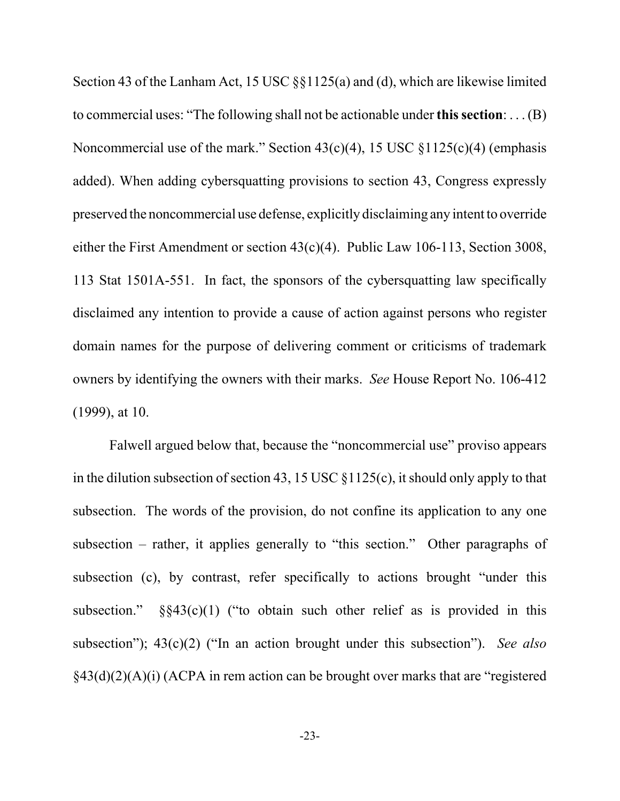Section 43 of the Lanham Act, 15 USC §§1125(a) and (d), which are likewise limited to commercial uses: "The following shall not be actionable under **this section**: . . . (B) Noncommercial use of the mark." Section  $43(c)(4)$ , 15 USC §1125(c)(4) (emphasis added). When adding cybersquatting provisions to section 43, Congress expressly preserved the noncommercial use defense, explicitly disclaiming any intent to override either the First Amendment or section 43(c)(4). Public Law 106-113, Section 3008, 113 Stat 1501A-551. In fact, the sponsors of the cybersquatting law specifically disclaimed any intention to provide a cause of action against persons who register domain names for the purpose of delivering comment or criticisms of trademark owners by identifying the owners with their marks. *See* House Report No. 106-412 (1999), at 10.

Falwell argued below that, because the "noncommercial use" proviso appears in the dilution subsection of section 43, 15 USC §1125(c), it should only apply to that subsection. The words of the provision, do not confine its application to any one subsection – rather, it applies generally to "this section." Other paragraphs of subsection (c), by contrast, refer specifically to actions brought "under this subsection."  $\S$ §43(c)(1) ("to obtain such other relief as is provided in this subsection"); 43(c)(2) ("In an action brought under this subsection"). *See also*  $§43(d)(2)(A)(i)$  (ACPA in rem action can be brought over marks that are "registered"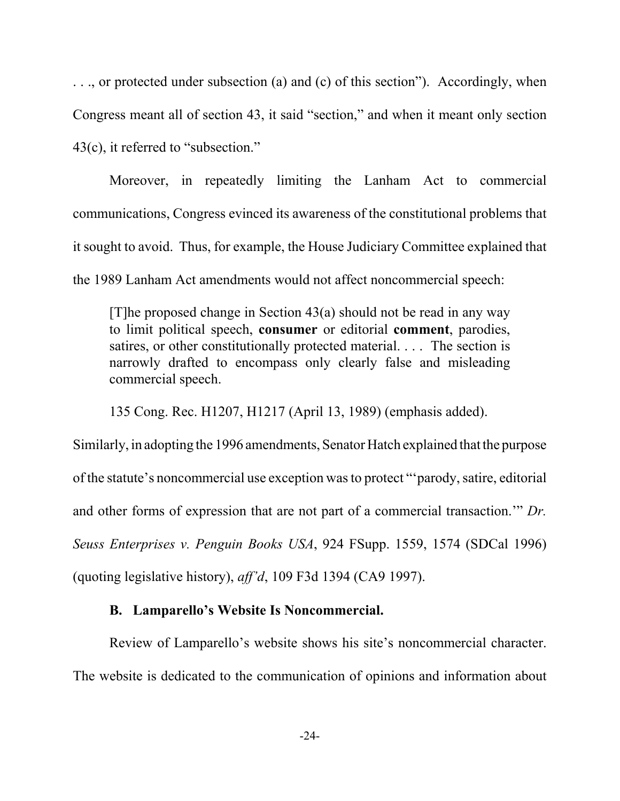. . ., or protected under subsection (a) and (c) of this section"). Accordingly, when Congress meant all of section 43, it said "section," and when it meant only section 43(c), it referred to "subsection."

Moreover, in repeatedly limiting the Lanham Act to commercial communications, Congress evinced its awareness of the constitutional problems that it sought to avoid. Thus, for example, the House Judiciary Committee explained that the 1989 Lanham Act amendments would not affect noncommercial speech:

[T] he proposed change in Section  $43(a)$  should not be read in any way to limit political speech, **consumer** or editorial **comment**, parodies, satires, or other constitutionally protected material. . . . The section is narrowly drafted to encompass only clearly false and misleading commercial speech.

135 Cong. Rec. H1207, H1217 (April 13, 1989) (emphasis added).

Similarly, in adopting the 1996 amendments, Senator Hatch explained that the purpose of the statute's noncommercial use exception was to protect "'parody, satire, editorial and other forms of expression that are not part of a commercial transaction.'" *Dr. Seuss Enterprises v. Penguin Books USA*, 924 FSupp. 1559, 1574 (SDCal 1996) (quoting legislative history), *aff'd*, 109 F3d 1394 (CA9 1997).

#### **B. Lamparello's Website Is Noncommercial.**

Review of Lamparello's website shows his site's noncommercial character. The website is dedicated to the communication of opinions and information about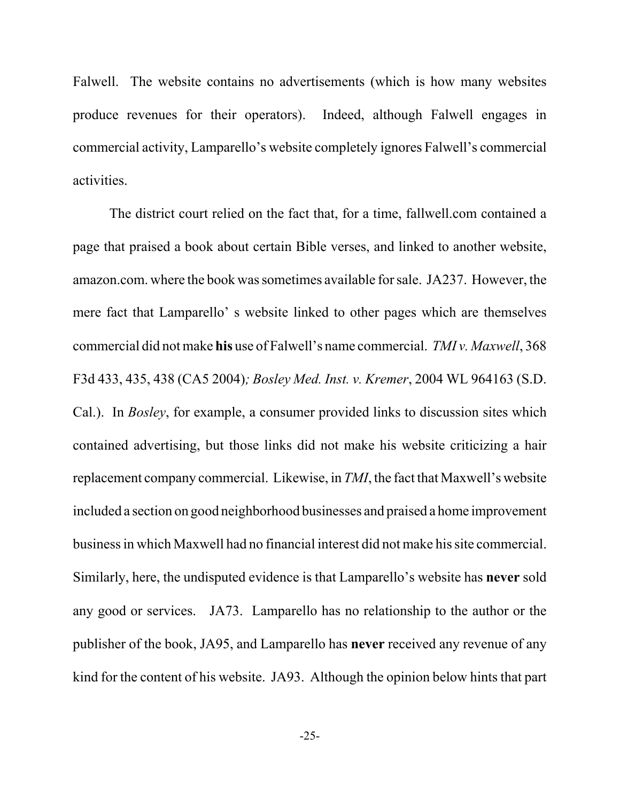Falwell. The website contains no advertisements (which is how many websites produce revenues for their operators). Indeed, although Falwell engages in commercial activity, Lamparello's website completely ignores Falwell's commercial activities.

The district court relied on the fact that, for a time, fallwell.com contained a page that praised a book about certain Bible verses, and linked to another website, amazon.com. where the book was sometimes available for sale. JA237. However, the mere fact that Lamparello' s website linked to other pages which are themselves commercial did not make **his** use of Falwell's name commercial. *TMI v. Maxwell*, 368 F3d 433, 435, 438 (CA5 2004)*; Bosley Med. Inst. v. Kremer*, 2004 WL 964163 (S.D. Cal.). In *Bosley*, for example, a consumer provided links to discussion sites which contained advertising, but those links did not make his website criticizing a hair replacement company commercial. Likewise, in *TMI*, the fact that Maxwell's website included a section on good neighborhood businesses and praised a home improvement business in which Maxwell had no financial interest did not make his site commercial. Similarly, here, the undisputed evidence is that Lamparello's website has **never** sold any good or services. JA73. Lamparello has no relationship to the author or the publisher of the book, JA95, and Lamparello has **never** received any revenue of any kind for the content of his website. JA93. Although the opinion below hints that part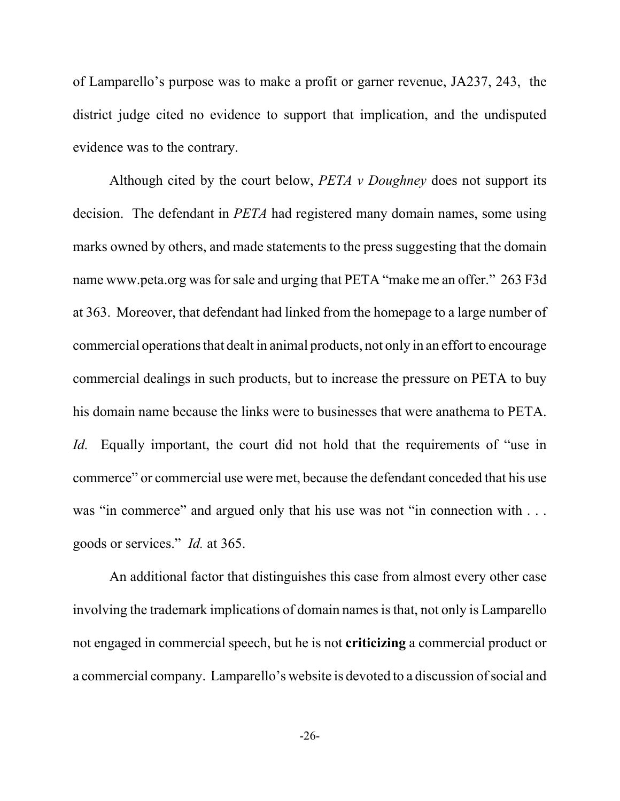of Lamparello's purpose was to make a profit or garner revenue, JA237, 243, the district judge cited no evidence to support that implication, and the undisputed evidence was to the contrary.

Although cited by the court below, *PETA v Doughney* does not support its decision. The defendant in *PETA* had registered many domain names, some using marks owned by others, and made statements to the press suggesting that the domain name www.peta.org was for sale and urging that PETA "make me an offer." 263 F3d at 363. Moreover, that defendant had linked from the homepage to a large number of commercial operations that dealt in animal products, not only in an effort to encourage commercial dealings in such products, but to increase the pressure on PETA to buy his domain name because the links were to businesses that were anathema to PETA. *Id.* Equally important, the court did not hold that the requirements of "use in commerce" or commercial use were met, because the defendant conceded that his use was "in commerce" and argued only that his use was not "in connection with . . . goods or services." *Id.* at 365.

An additional factor that distinguishes this case from almost every other case involving the trademark implications of domain names is that, not only is Lamparello not engaged in commercial speech, but he is not **criticizing** a commercial product or a commercial company. Lamparello's website is devoted to a discussion of social and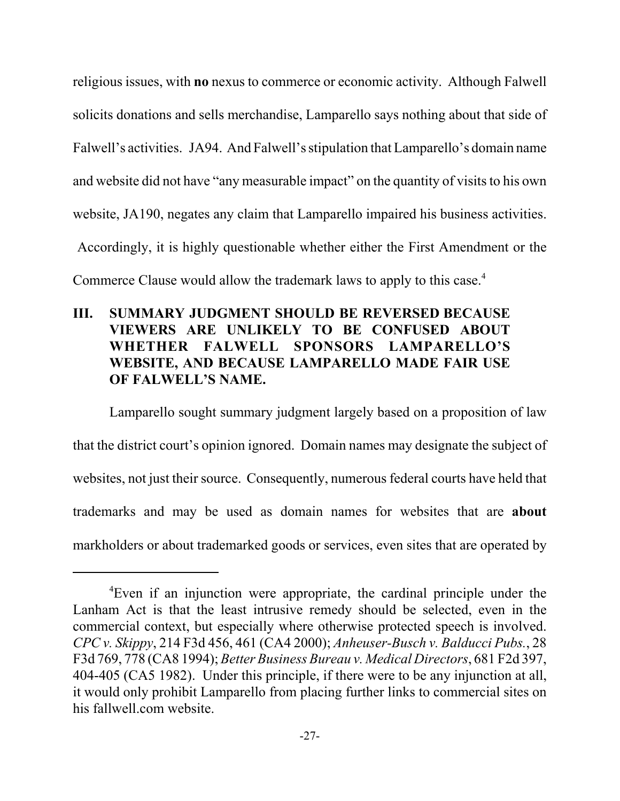religious issues, with **no** nexus to commerce or economic activity. Although Falwell solicits donations and sells merchandise, Lamparello says nothing about that side of Falwell's activities. JA94. And Falwell's stipulation that Lamparello's domain name and website did not have "any measurable impact" on the quantity of visits to his own website, JA190, negates any claim that Lamparello impaired his business activities. Accordingly, it is highly questionable whether either the First Amendment or the Commerce Clause would allow the trademark laws to apply to this case.<sup>4</sup>

# **III. SUMMARY JUDGMENT SHOULD BE REVERSED BECAUSE VIEWERS ARE UNLIKELY TO BE CONFUSED ABOUT WHETHER FALWELL SPONSORS LAMPARELLO'S WEBSITE, AND BECAUSE LAMPARELLO MADE FAIR USE OF FALWELL'S NAME.**

Lamparello sought summary judgment largely based on a proposition of law that the district court's opinion ignored. Domain names may designate the subject of websites, not just their source. Consequently, numerous federal courts have held that trademarks and may be used as domain names for websites that are **about** markholders or about trademarked goods or services, even sites that are operated by

<sup>&</sup>lt;sup>4</sup>Even if an injunction were appropriate, the cardinal principle under the Lanham Act is that the least intrusive remedy should be selected, even in the commercial context, but especially where otherwise protected speech is involved. *CPC v. Skippy*, 214 F3d 456, 461 (CA4 2000); *Anheuser-Busch v. Balducci Pubs.*, 28 F3d 769, 778 (CA8 1994); *Better Business Bureau v. Medical Directors*, 681 F2d 397, 404-405 (CA5 1982). Under this principle, if there were to be any injunction at all, it would only prohibit Lamparello from placing further links to commercial sites on his fallwell.com website.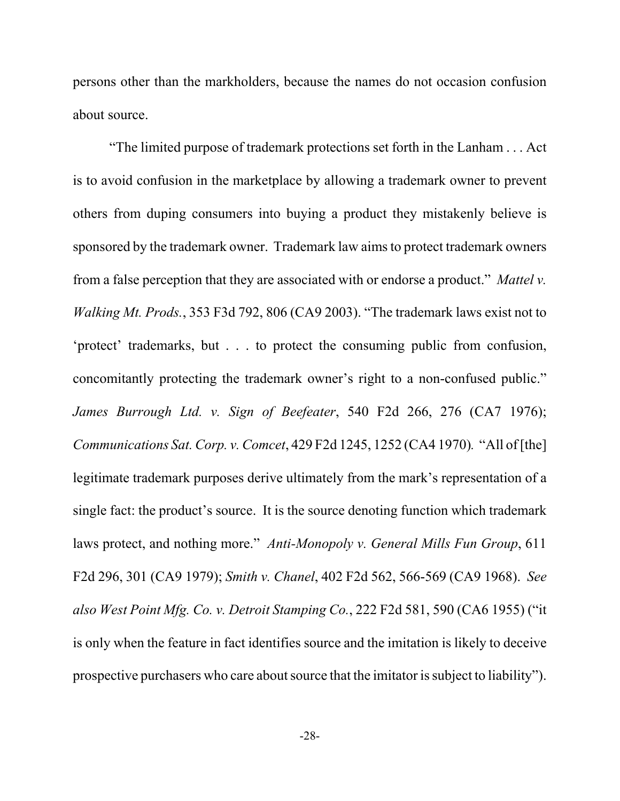persons other than the markholders, because the names do not occasion confusion about source.

"The limited purpose of trademark protections set forth in the Lanham . . . Act is to avoid confusion in the marketplace by allowing a trademark owner to prevent others from duping consumers into buying a product they mistakenly believe is sponsored by the trademark owner. Trademark law aims to protect trademark owners from a false perception that they are associated with or endorse a product." *Mattel v. Walking Mt. Prods.*, 353 F3d 792, 806 (CA9 2003). "The trademark laws exist not to 'protect' trademarks, but . . . to protect the consuming public from confusion, concomitantly protecting the trademark owner's right to a non-confused public." *James Burrough Ltd. v. Sign of Beefeater*, 540 F2d 266, 276 (CA7 1976); *Communications Sat. Corp. v. Comcet*, 429 F2d 1245, 1252 (CA4 1970)*.* "All of [the] legitimate trademark purposes derive ultimately from the mark's representation of a single fact: the product's source. It is the source denoting function which trademark laws protect, and nothing more." *Anti-Monopoly v. General Mills Fun Group*, 611 F2d 296, 301 (CA9 1979); *Smith v. Chanel*, 402 F2d 562, 566-569 (CA9 1968). *See also West Point Mfg. Co. v. Detroit Stamping Co.*, 222 F2d 581, 590 (CA6 1955) ("it is only when the feature in fact identifies source and the imitation is likely to deceive prospective purchasers who care about source that the imitator is subject to liability").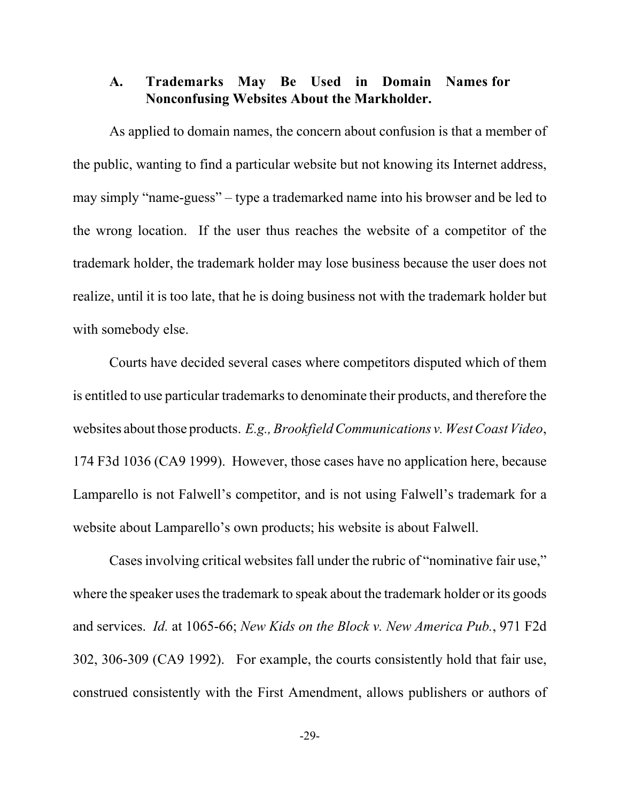#### **A. Trademarks May Be Used in Domain Names for Nonconfusing Websites About the Markholder.**

As applied to domain names, the concern about confusion is that a member of the public, wanting to find a particular website but not knowing its Internet address, may simply "name-guess" – type a trademarked name into his browser and be led to the wrong location. If the user thus reaches the website of a competitor of the trademark holder, the trademark holder may lose business because the user does not realize, until it is too late, that he is doing business not with the trademark holder but with somebody else.

Courts have decided several cases where competitors disputed which of them is entitled to use particular trademarks to denominate their products, and therefore the websites about those products. *E.g., Brookfield Communications v. West Coast Video*, 174 F3d 1036 (CA9 1999). However, those cases have no application here, because Lamparello is not Falwell's competitor, and is not using Falwell's trademark for a website about Lamparello's own products; his website is about Falwell.

Cases involving critical websites fall under the rubric of "nominative fair use," where the speaker uses the trademark to speak about the trademark holder or its goods and services. *Id.* at 1065-66; *New Kids on the Block v. New America Pub.*, 971 F2d 302, 306-309 (CA9 1992). For example, the courts consistently hold that fair use, construed consistently with the First Amendment, allows publishers or authors of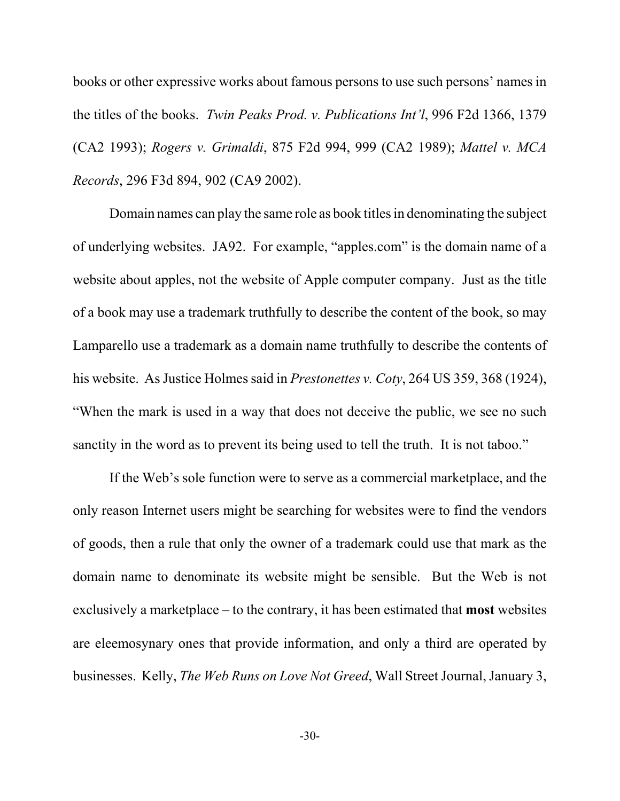books or other expressive works about famous persons to use such persons' names in the titles of the books. *Twin Peaks Prod. v. Publications Int'l*, 996 F2d 1366, 1379 (CA2 1993); *Rogers v. Grimaldi*, 875 F2d 994, 999 (CA2 1989); *Mattel v. MCA Records*, 296 F3d 894, 902 (CA9 2002).

Domain names can play the same role as book titles in denominating the subject of underlying websites. JA92. For example, "apples.com" is the domain name of a website about apples, not the website of Apple computer company. Just as the title of a book may use a trademark truthfully to describe the content of the book, so may Lamparello use a trademark as a domain name truthfully to describe the contents of his website. As Justice Holmes said in *Prestonettes v. Coty*, 264 US 359, 368 (1924), "When the mark is used in a way that does not deceive the public, we see no such sanctity in the word as to prevent its being used to tell the truth. It is not taboo."

If the Web's sole function were to serve as a commercial marketplace, and the only reason Internet users might be searching for websites were to find the vendors of goods, then a rule that only the owner of a trademark could use that mark as the domain name to denominate its website might be sensible. But the Web is not exclusively a marketplace – to the contrary, it has been estimated that **most** websites are eleemosynary ones that provide information, and only a third are operated by businesses. Kelly, *The Web Runs on Love Not Greed*, Wall Street Journal, January 3,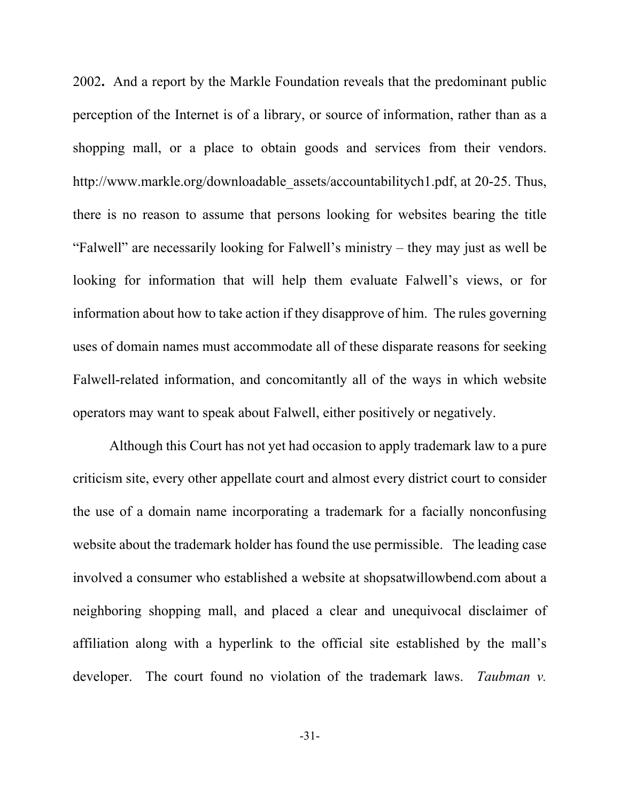2002**.** And a report by the Markle Foundation reveals that the predominant public perception of the Internet is of a library, or source of information, rather than as a shopping mall, or a place to obtain goods and services from their vendors. http://www.markle.org/downloadable\_assets/accountabilitych1.pdf, at 20-25. Thus, there is no reason to assume that persons looking for websites bearing the title "Falwell" are necessarily looking for Falwell's ministry – they may just as well be looking for information that will help them evaluate Falwell's views, or for information about how to take action if they disapprove of him. The rules governing uses of domain names must accommodate all of these disparate reasons for seeking Falwell-related information, and concomitantly all of the ways in which website operators may want to speak about Falwell, either positively or negatively.

Although this Court has not yet had occasion to apply trademark law to a pure criticism site, every other appellate court and almost every district court to consider the use of a domain name incorporating a trademark for a facially nonconfusing website about the trademark holder has found the use permissible. The leading case involved a consumer who established a website at shopsatwillowbend.com about a neighboring shopping mall, and placed a clear and unequivocal disclaimer of affiliation along with a hyperlink to the official site established by the mall's developer. The court found no violation of the trademark laws. *Taubman v.*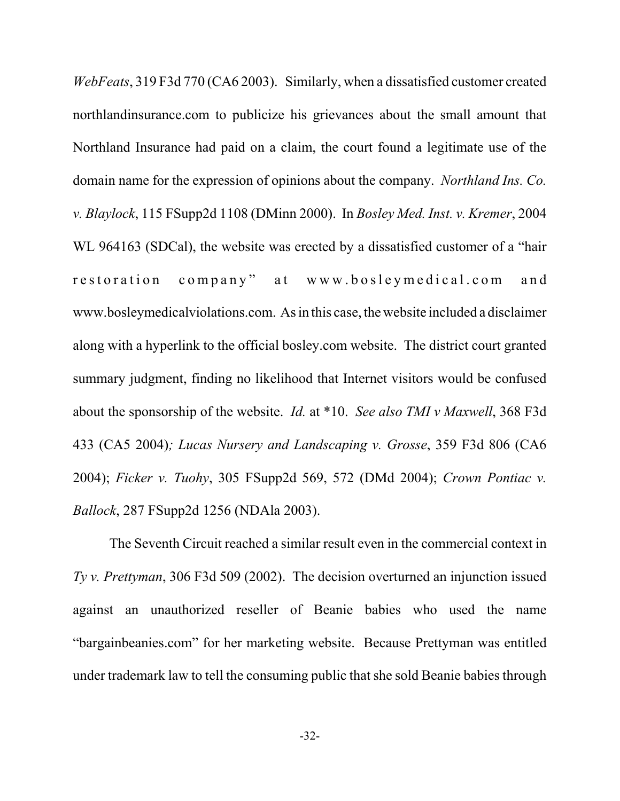*WebFeats*, 319 F3d 770 (CA6 2003). Similarly, when a dissatisfied customer created northlandinsurance.com to publicize his grievances about the small amount that Northland Insurance had paid on a claim, the court found a legitimate use of the domain name for the expression of opinions about the company. *Northland Ins. Co. v. Blaylock*, 115 FSupp2d 1108 (DMinn 2000). In *Bosley Med. Inst. v. Kremer*, 2004 WL 964163 (SDCal), the website was erected by a dissatisfied customer of a "hair restoration company" at www.bosleymedical.com and www.bosleymedicalviolations.com. As in this case, the website included a disclaimer along with a hyperlink to the official bosley.com website. The district court granted summary judgment, finding no likelihood that Internet visitors would be confused about the sponsorship of the website. *Id.* at \*10. *See also TMI v Maxwell*, 368 F3d 433 (CA5 2004)*; Lucas Nursery and Landscaping v. Grosse*, 359 F3d 806 (CA6 2004); *Ficker v. Tuohy*, 305 FSupp2d 569, 572 (DMd 2004); *Crown Pontiac v. Ballock*, 287 FSupp2d 1256 (NDAla 2003).

The Seventh Circuit reached a similar result even in the commercial context in *Ty v. Prettyman*, 306 F3d 509 (2002). The decision overturned an injunction issued against an unauthorized reseller of Beanie babies who used the name "bargainbeanies.com" for her marketing website. Because Prettyman was entitled under trademark law to tell the consuming public that she sold Beanie babies through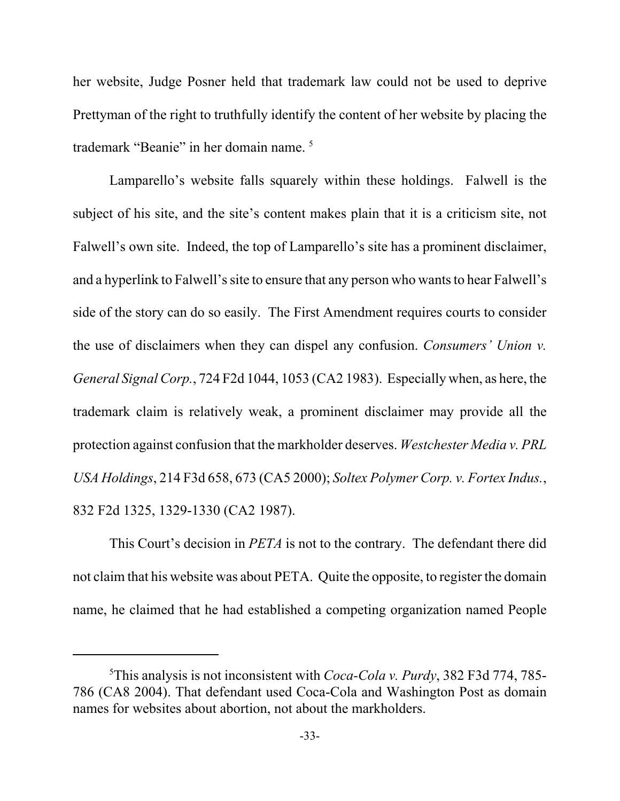her website, Judge Posner held that trademark law could not be used to deprive Prettyman of the right to truthfully identify the content of her website by placing the trademark "Beanie" in her domain name.<sup>5</sup>

Lamparello's website falls squarely within these holdings. Falwell is the subject of his site, and the site's content makes plain that it is a criticism site, not Falwell's own site. Indeed, the top of Lamparello's site has a prominent disclaimer, and a hyperlink to Falwell's site to ensure that any person who wants to hear Falwell's side of the story can do so easily. The First Amendment requires courts to consider the use of disclaimers when they can dispel any confusion. *Consumers' Union v. General Signal Corp.*, 724 F2d 1044, 1053 (CA2 1983). Especially when, as here, the trademark claim is relatively weak, a prominent disclaimer may provide all the protection against confusion that the markholder deserves. *Westchester Media v. PRL USA Holdings*, 214 F3d 658, 673 (CA5 2000); *Soltex Polymer Corp. v. Fortex Indus.*, 832 F2d 1325, 1329-1330 (CA2 1987).

This Court's decision in *PETA* is not to the contrary. The defendant there did not claim that his website was about PETA. Quite the opposite, to register the domain name, he claimed that he had established a competing organization named People

<sup>5</sup> This analysis is not inconsistent with *Coca-Cola v. Purdy*, 382 F3d 774, 785- 786 (CA8 2004). That defendant used Coca-Cola and Washington Post as domain names for websites about abortion, not about the markholders.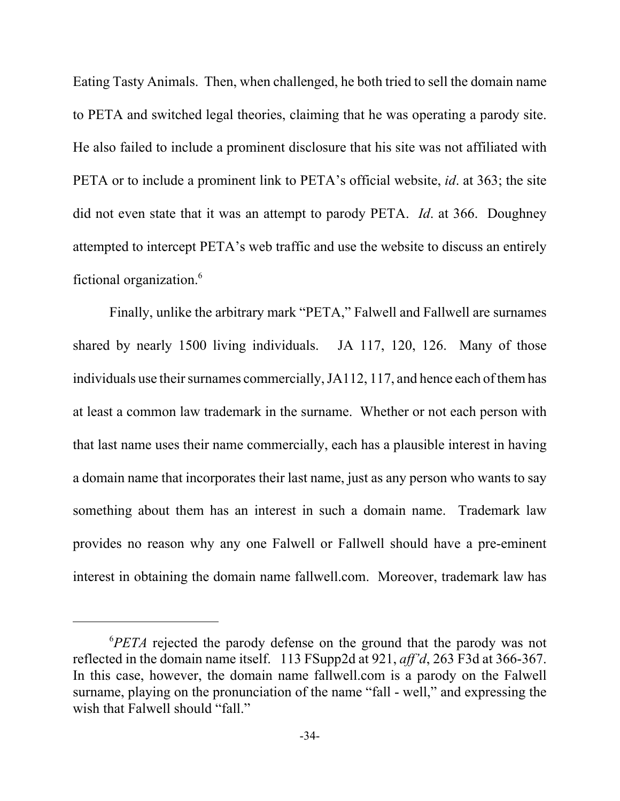Eating Tasty Animals. Then, when challenged, he both tried to sell the domain name to PETA and switched legal theories, claiming that he was operating a parody site. He also failed to include a prominent disclosure that his site was not affiliated with PETA or to include a prominent link to PETA's official website, *id*. at 363; the site did not even state that it was an attempt to parody PETA. *Id*. at 366. Doughney attempted to intercept PETA's web traffic and use the website to discuss an entirely fictional organization.<sup>6</sup>

Finally, unlike the arbitrary mark "PETA," Falwell and Fallwell are surnames shared by nearly 1500 living individuals. JA 117, 120, 126. Many of those individuals use their surnames commercially, JA112, 117, and hence each of them has at least a common law trademark in the surname. Whether or not each person with that last name uses their name commercially, each has a plausible interest in having a domain name that incorporates their last name, just as any person who wants to say something about them has an interest in such a domain name. Trademark law provides no reason why any one Falwell or Fallwell should have a pre-eminent interest in obtaining the domain name fallwell.com. Moreover, trademark law has

<sup>&</sup>lt;sup>6</sup>PETA rejected the parody defense on the ground that the parody was not reflected in the domain name itself. 113 FSupp2d at 921, *aff'd*, 263 F3d at 366-367. In this case, however, the domain name fallwell.com is a parody on the Falwell surname, playing on the pronunciation of the name "fall - well," and expressing the wish that Falwell should "fall."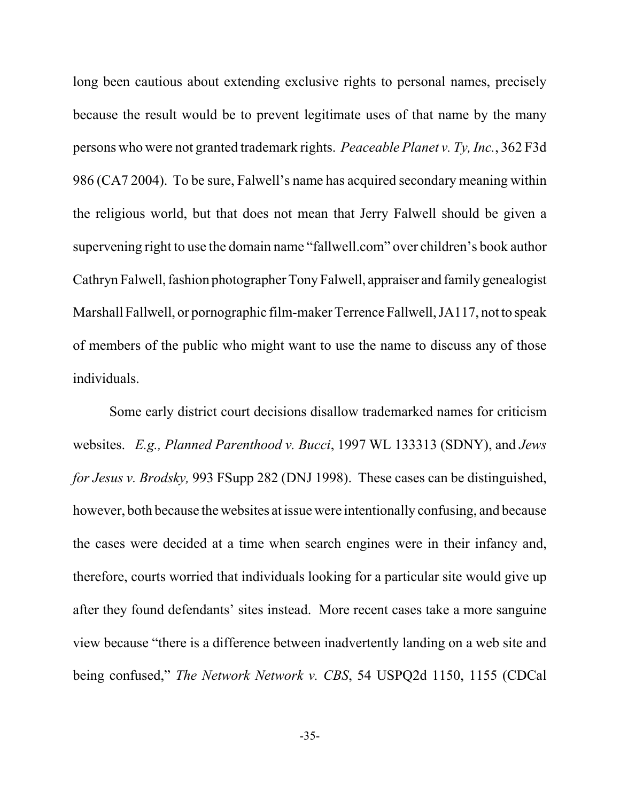long been cautious about extending exclusive rights to personal names, precisely because the result would be to prevent legitimate uses of that name by the many persons who were not granted trademark rights. *Peaceable Planet v. Ty, Inc.*, 362 F3d 986 (CA7 2004). To be sure, Falwell's name has acquired secondary meaning within the religious world, but that does not mean that Jerry Falwell should be given a supervening right to use the domain name "fallwell.com" over children's book author Cathryn Falwell, fashion photographer Tony Falwell, appraiser and family genealogist Marshall Fallwell, or pornographic film-maker Terrence Fallwell, JA117, not to speak of members of the public who might want to use the name to discuss any of those individuals.

Some early district court decisions disallow trademarked names for criticism websites. *E.g., Planned Parenthood v. Bucci*, 1997 WL 133313 (SDNY), and *Jews for Jesus v. Brodsky,* 993 FSupp 282 (DNJ 1998). These cases can be distinguished, however, both because the websites at issue were intentionally confusing, and because the cases were decided at a time when search engines were in their infancy and, therefore, courts worried that individuals looking for a particular site would give up after they found defendants' sites instead. More recent cases take a more sanguine view because "there is a difference between inadvertently landing on a web site and being confused," *The Network Network v. CBS*, 54 USPQ2d 1150, 1155 (CDCal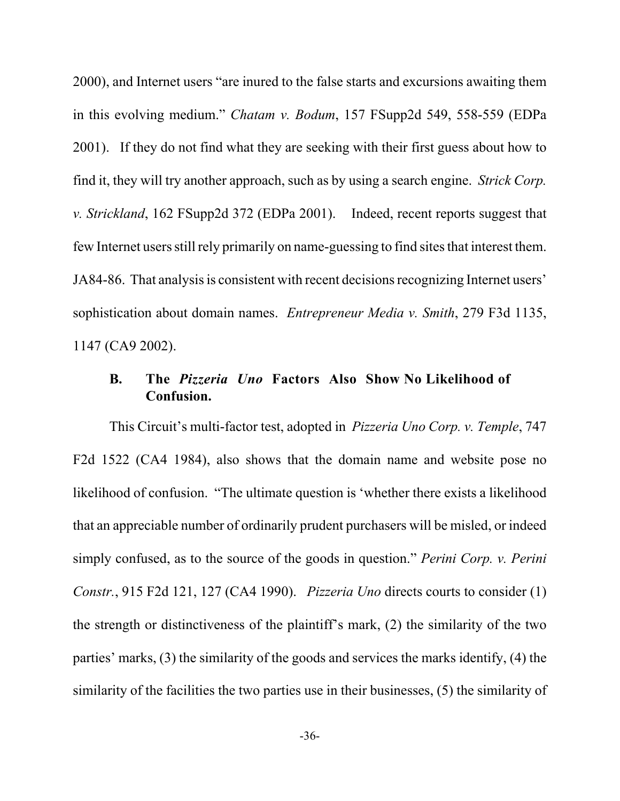2000), and Internet users "are inured to the false starts and excursions awaiting them in this evolving medium." *Chatam v. Bodum*, 157 FSupp2d 549, 558-559 (EDPa 2001). If they do not find what they are seeking with their first guess about how to find it, they will try another approach, such as by using a search engine. *Strick Corp. v. Strickland*, 162 FSupp2d 372 (EDPa 2001). Indeed, recent reports suggest that few Internet users still rely primarily on name-guessing to find sites that interest them. JA84-86. That analysis is consistent with recent decisions recognizing Internet users' sophistication about domain names. *Entrepreneur Media v. Smith*, 279 F3d 1135, 1147 (CA9 2002).

### **B. The** *Pizzeria Uno* **Factors Also Show No Likelihood of Confusion.**

This Circuit's multi-factor test, adopted in *Pizzeria Uno Corp. v. Temple*, 747 F2d 1522 (CA4 1984), also shows that the domain name and website pose no likelihood of confusion. "The ultimate question is 'whether there exists a likelihood that an appreciable number of ordinarily prudent purchasers will be misled, or indeed simply confused, as to the source of the goods in question." *Perini Corp. v. Perini Constr.*, 915 F2d 121, 127 (CA4 1990). *Pizzeria Uno* directs courts to consider (1) the strength or distinctiveness of the plaintiff's mark, (2) the similarity of the two parties' marks, (3) the similarity of the goods and services the marks identify, (4) the similarity of the facilities the two parties use in their businesses, (5) the similarity of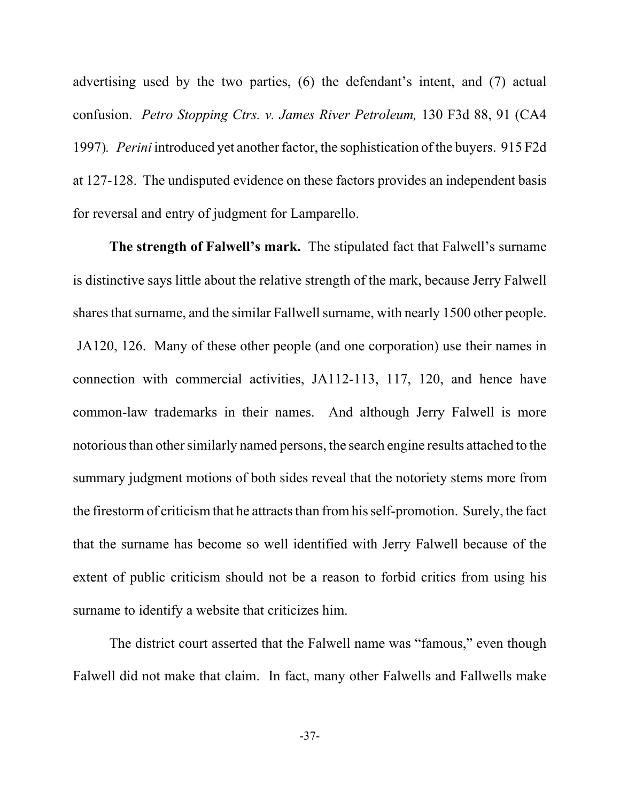advertising used by the two parties, (6) the defendant's intent, and (7) actual confusion. *Petro Stopping Ctrs. v. James River Petroleum,* 130 F3d 88, 91 (CA4 1997)*. Perini* introduced yet another factor, the sophistication of the buyers. 915 F2d at 127-128. The undisputed evidence on these factors provides an independent basis for reversal and entry of judgment for Lamparello.

**The strength of Falwell's mark.** The stipulated fact that Falwell's surname is distinctive says little about the relative strength of the mark, because Jerry Falwell shares that surname, and the similar Fallwell surname, with nearly 1500 other people. JA120, 126. Many of these other people (and one corporation) use their names in connection with commercial activities, JA112-113, 117, 120, and hence have common-law trademarks in their names. And although Jerry Falwell is more notorious than other similarly named persons, the search engine results attached to the summary judgment motions of both sides reveal that the notoriety stems more from the firestorm of criticism that he attracts than from his self-promotion. Surely, the fact that the surname has become so well identified with Jerry Falwell because of the extent of public criticism should not be a reason to forbid critics from using his surname to identify a website that criticizes him.

The district court asserted that the Falwell name was "famous," even though Falwell did not make that claim. In fact, many other Falwells and Fallwells make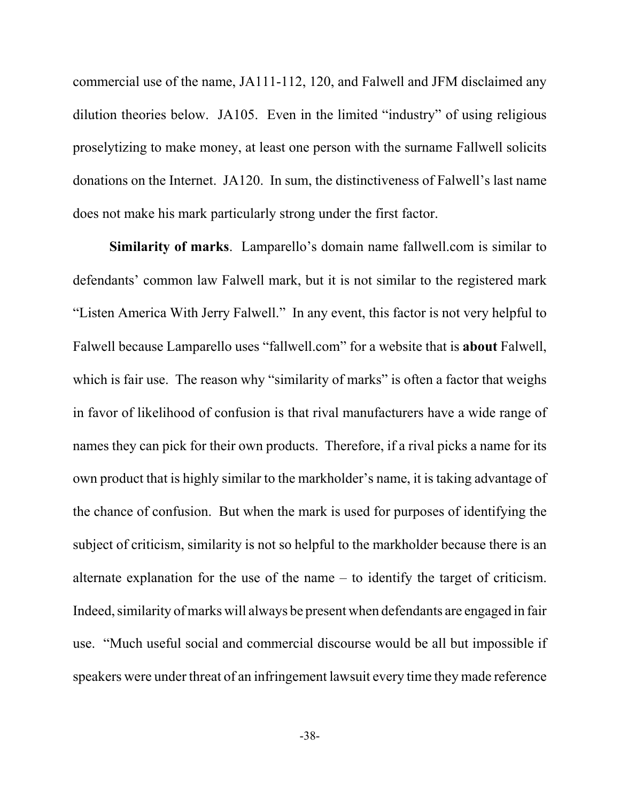commercial use of the name, JA111-112, 120, and Falwell and JFM disclaimed any dilution theories below. JA105. Even in the limited "industry" of using religious proselytizing to make money, at least one person with the surname Fallwell solicits donations on the Internet. JA120. In sum, the distinctiveness of Falwell's last name does not make his mark particularly strong under the first factor.

**Similarity of marks**. Lamparello's domain name fallwell.com is similar to defendants' common law Falwell mark, but it is not similar to the registered mark "Listen America With Jerry Falwell." In any event, this factor is not very helpful to Falwell because Lamparello uses "fallwell.com" for a website that is **about** Falwell, which is fair use. The reason why "similarity of marks" is often a factor that weighs in favor of likelihood of confusion is that rival manufacturers have a wide range of names they can pick for their own products. Therefore, if a rival picks a name for its own product that is highly similar to the markholder's name, it is taking advantage of the chance of confusion. But when the mark is used for purposes of identifying the subject of criticism, similarity is not so helpful to the markholder because there is an alternate explanation for the use of the name – to identify the target of criticism. Indeed, similarity of marks will always be present when defendants are engaged in fair use. "Much useful social and commercial discourse would be all but impossible if speakers were under threat of an infringement lawsuit every time they made reference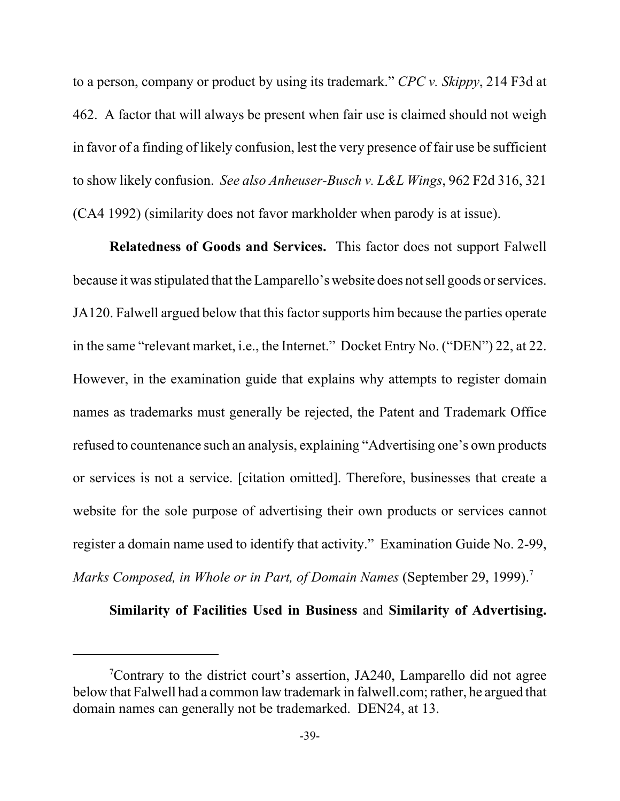to a person, company or product by using its trademark." *CPC v. Skippy*, 214 F3d at 462. A factor that will always be present when fair use is claimed should not weigh in favor of a finding of likely confusion, lest the very presence of fair use be sufficient to show likely confusion. *See also Anheuser-Busch v. L&L Wings*, 962 F2d 316, 321 (CA4 1992) (similarity does not favor markholder when parody is at issue).

**Relatedness of Goods and Services.** This factor does not support Falwell because it was stipulated that the Lamparello's website does not sell goods or services. JA120. Falwell argued below that this factor supports him because the parties operate in the same "relevant market, i.e., the Internet." Docket Entry No. ("DEN") 22, at 22. However, in the examination guide that explains why attempts to register domain names as trademarks must generally be rejected, the Patent and Trademark Office refused to countenance such an analysis, explaining "Advertising one's own products or services is not a service. [citation omitted]. Therefore, businesses that create a website for the sole purpose of advertising their own products or services cannot register a domain name used to identify that activity." Examination Guide No. 2-99, *Marks Composed, in Whole or in Part, of Domain Names* (September 29, 1999).<sup>7</sup>

**Similarity of Facilities Used in Business** and **Similarity of Advertising.**

<sup>&</sup>lt;sup>7</sup>Contrary to the district court's assertion, JA240, Lamparello did not agree below that Falwell had a common law trademark in falwell.com; rather, he argued that domain names can generally not be trademarked. DEN24, at 13.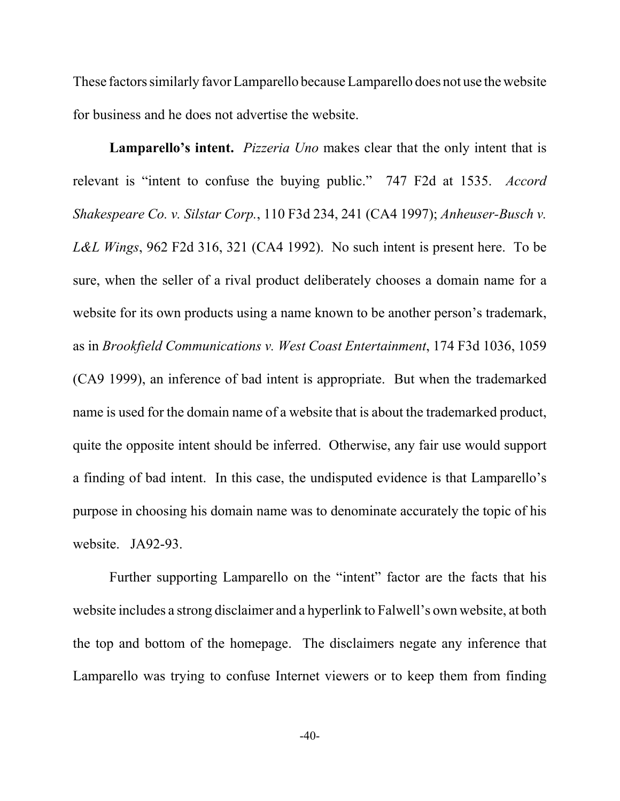These factors similarly favor Lamparello because Lamparello does not use the website for business and he does not advertise the website.

**Lamparello's intent.** *Pizzeria Uno* makes clear that the only intent that is relevant is "intent to confuse the buying public." 747 F2d at 1535. *Accord Shakespeare Co. v. Silstar Corp.*, 110 F3d 234, 241 (CA4 1997); *Anheuser-Busch v. L&L Wings*, 962 F2d 316, 321 (CA4 1992). No such intent is present here. To be sure, when the seller of a rival product deliberately chooses a domain name for a website for its own products using a name known to be another person's trademark, as in *Brookfield Communications v. West Coast Entertainment*, 174 F3d 1036, 1059 (CA9 1999), an inference of bad intent is appropriate. But when the trademarked name is used for the domain name of a website that is about the trademarked product, quite the opposite intent should be inferred. Otherwise, any fair use would support a finding of bad intent. In this case, the undisputed evidence is that Lamparello's purpose in choosing his domain name was to denominate accurately the topic of his website. JA92-93.

Further supporting Lamparello on the "intent" factor are the facts that his website includes a strong disclaimer and a hyperlink to Falwell's own website, at both the top and bottom of the homepage. The disclaimers negate any inference that Lamparello was trying to confuse Internet viewers or to keep them from finding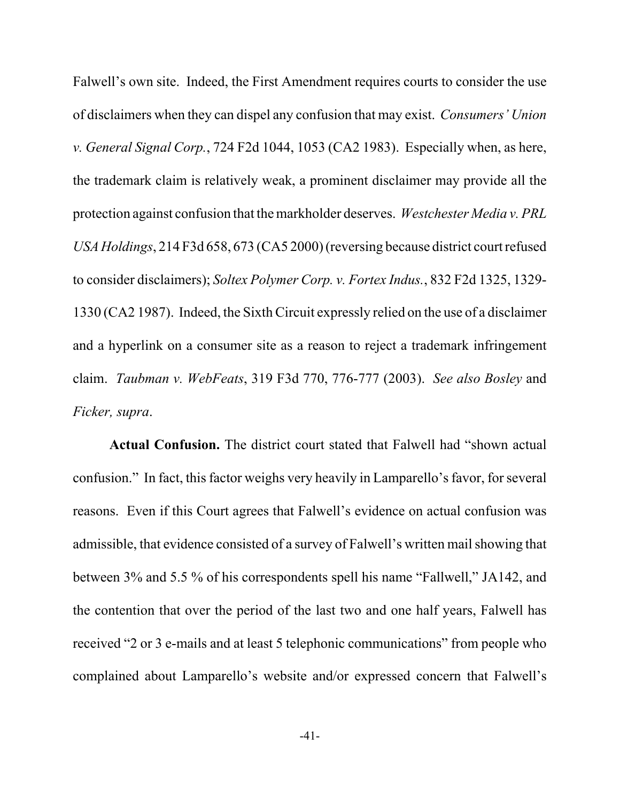Falwell's own site. Indeed, the First Amendment requires courts to consider the use of disclaimers when they can dispel any confusion that may exist. *Consumers' Union v. General Signal Corp.*, 724 F2d 1044, 1053 (CA2 1983). Especially when, as here, the trademark claim is relatively weak, a prominent disclaimer may provide all the protection against confusion that the markholder deserves. *Westchester Media v. PRL USA Holdings*, 214 F3d 658, 673 (CA5 2000) (reversing because district court refused to consider disclaimers); *Soltex Polymer Corp. v. Fortex Indus.*, 832 F2d 1325, 1329- 1330 (CA2 1987). Indeed, the Sixth Circuit expressly relied on the use of a disclaimer and a hyperlink on a consumer site as a reason to reject a trademark infringement claim. *Taubman v. WebFeats*, 319 F3d 770, 776-777 (2003). *See also Bosley* and *Ficker, supra*.

**Actual Confusion.** The district court stated that Falwell had "shown actual confusion." In fact, this factor weighs very heavily in Lamparello's favor, for several reasons. Even if this Court agrees that Falwell's evidence on actual confusion was admissible, that evidence consisted of a survey of Falwell's written mail showing that between 3% and 5.5 % of his correspondents spell his name "Fallwell," JA142, and the contention that over the period of the last two and one half years, Falwell has received "2 or 3 e-mails and at least 5 telephonic communications" from people who complained about Lamparello's website and/or expressed concern that Falwell's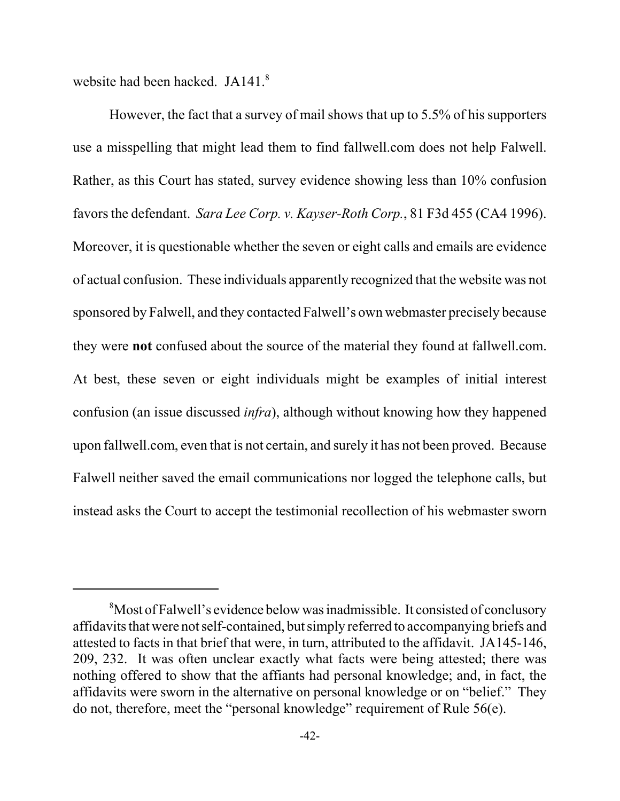website had been hacked. JA141.<sup>8</sup>

However, the fact that a survey of mail shows that up to 5.5% of his supporters use a misspelling that might lead them to find fallwell.com does not help Falwell. Rather, as this Court has stated, survey evidence showing less than 10% confusion favors the defendant. *Sara Lee Corp. v. Kayser-Roth Corp.*, 81 F3d 455 (CA4 1996). Moreover, it is questionable whether the seven or eight calls and emails are evidence of actual confusion. These individuals apparently recognized that the website was not sponsored by Falwell, and they contacted Falwell's own webmaster precisely because they were **not** confused about the source of the material they found at fallwell.com. At best, these seven or eight individuals might be examples of initial interest confusion (an issue discussed *infra*), although without knowing how they happened upon fallwell.com, even that is not certain, and surely it has not been proved. Because Falwell neither saved the email communications nor logged the telephone calls, but instead asks the Court to accept the testimonial recollection of his webmaster sworn

<sup>&</sup>lt;sup>8</sup>Most of Falwell's evidence below was inadmissible. It consisted of conclusory affidavits that were not self-contained, but simply referred to accompanying briefs and attested to facts in that brief that were, in turn, attributed to the affidavit. JA145-146, 209, 232. It was often unclear exactly what facts were being attested; there was nothing offered to show that the affiants had personal knowledge; and, in fact, the affidavits were sworn in the alternative on personal knowledge or on "belief." They do not, therefore, meet the "personal knowledge" requirement of Rule 56(e).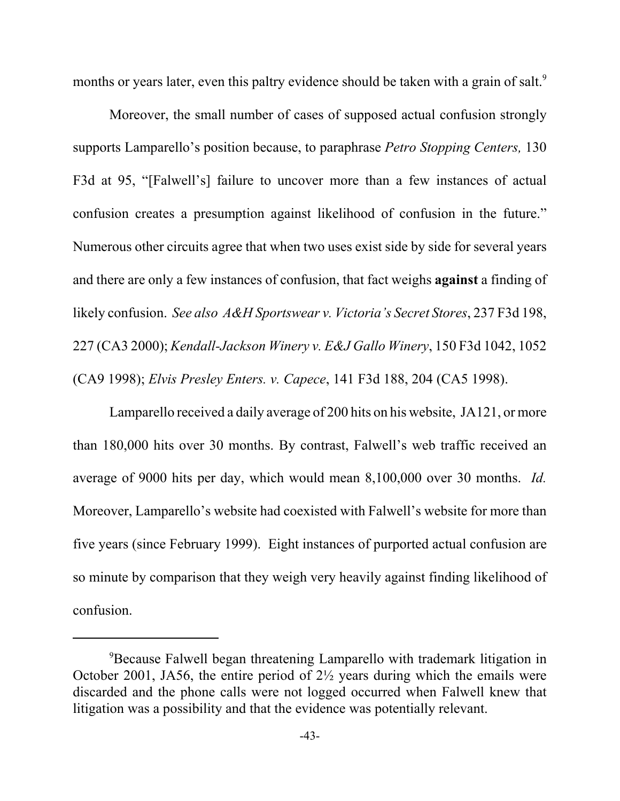months or years later, even this paltry evidence should be taken with a grain of salt.<sup>9</sup>

Moreover, the small number of cases of supposed actual confusion strongly supports Lamparello's position because, to paraphrase *Petro Stopping Centers,* 130 F3d at 95, "[Falwell's] failure to uncover more than a few instances of actual confusion creates a presumption against likelihood of confusion in the future." Numerous other circuits agree that when two uses exist side by side for several years and there are only a few instances of confusion, that fact weighs **against** a finding of likely confusion. *See also A&H Sportswear v. Victoria's Secret Stores*, 237 F3d 198, 227 (CA3 2000); *Kendall-Jackson Winery v. E&J Gallo Winery*, 150 F3d 1042, 1052 (CA9 1998); *Elvis Presley Enters. v. Capece*, 141 F3d 188, 204 (CA5 1998).

Lamparello received a daily average of 200 hits on his website, JA121, or more than 180,000 hits over 30 months. By contrast, Falwell's web traffic received an average of 9000 hits per day, which would mean 8,100,000 over 30 months. *Id.* Moreover, Lamparello's website had coexisted with Falwell's website for more than five years (since February 1999). Eight instances of purported actual confusion are so minute by comparison that they weigh very heavily against finding likelihood of confusion.

<sup>&</sup>lt;sup>9</sup>Because Falwell began threatening Lamparello with trademark litigation in October 2001, JA56, the entire period of  $2\frac{1}{2}$  years during which the emails were discarded and the phone calls were not logged occurred when Falwell knew that litigation was a possibility and that the evidence was potentially relevant.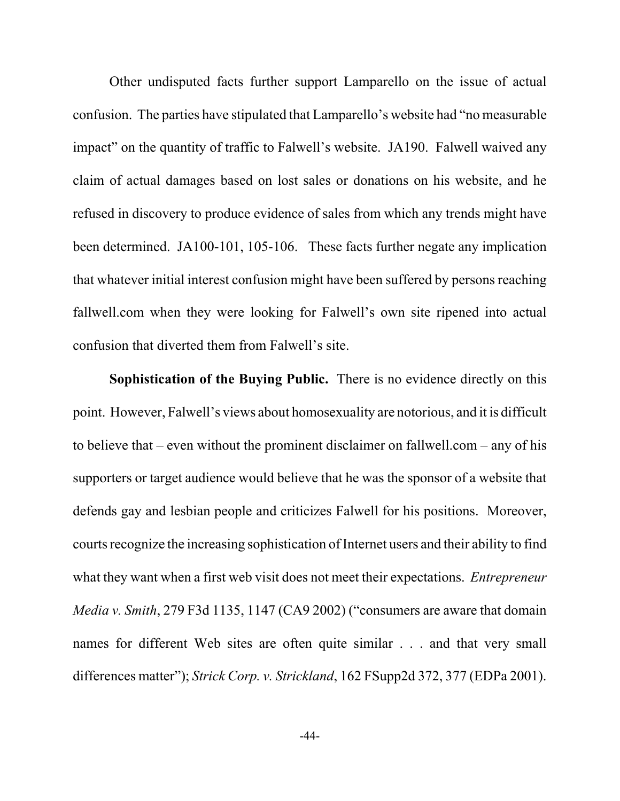Other undisputed facts further support Lamparello on the issue of actual confusion. The parties have stipulated that Lamparello's website had "no measurable impact" on the quantity of traffic to Falwell's website. JA190. Falwell waived any claim of actual damages based on lost sales or donations on his website, and he refused in discovery to produce evidence of sales from which any trends might have been determined. JA100-101, 105-106. These facts further negate any implication that whatever initial interest confusion might have been suffered by persons reaching fallwell.com when they were looking for Falwell's own site ripened into actual confusion that diverted them from Falwell's site.

**Sophistication of the Buying Public.** There is no evidence directly on this point. However, Falwell's views about homosexuality are notorious, and it is difficult to believe that – even without the prominent disclaimer on fallwell.com – any of his supporters or target audience would believe that he was the sponsor of a website that defends gay and lesbian people and criticizes Falwell for his positions. Moreover, courts recognize the increasing sophistication of Internet users and their ability to find what they want when a first web visit does not meet their expectations. *Entrepreneur Media v. Smith*, 279 F3d 1135, 1147 (CA9 2002) ("consumers are aware that domain names for different Web sites are often quite similar . . . and that very small differences matter"); *Strick Corp. v. Strickland*, 162 FSupp2d 372, 377 (EDPa 2001).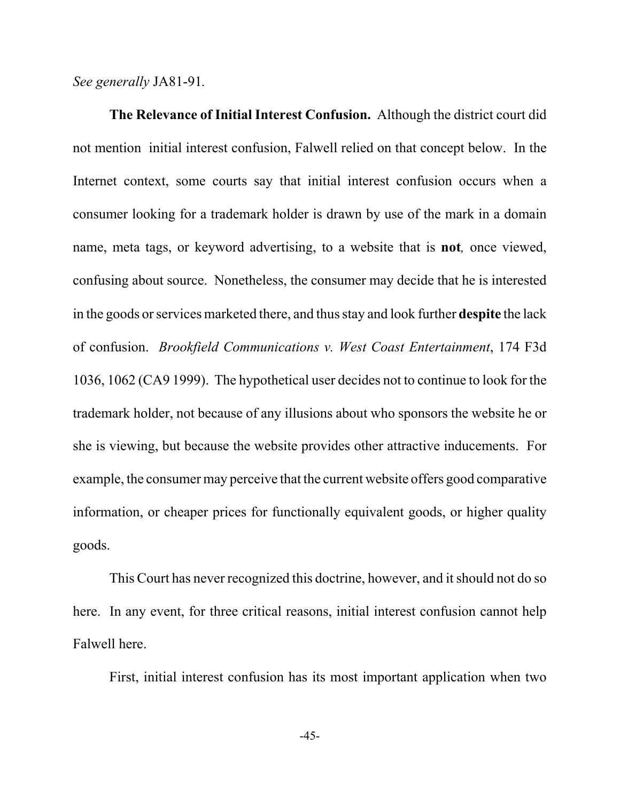*See generally* JA81-91*.*

**The Relevance of Initial Interest Confusion.** Although the district court did not mention initial interest confusion, Falwell relied on that concept below. In the Internet context, some courts say that initial interest confusion occurs when a consumer looking for a trademark holder is drawn by use of the mark in a domain name, meta tags, or keyword advertising, to a website that is **not***,* once viewed, confusing about source. Nonetheless, the consumer may decide that he is interested in the goods or services marketed there, and thus stay and look further **despite** the lack of confusion. *Brookfield Communications v. West Coast Entertainment*, 174 F3d 1036, 1062 (CA9 1999). The hypothetical user decides not to continue to look for the trademark holder, not because of any illusions about who sponsors the website he or she is viewing, but because the website provides other attractive inducements. For example, the consumer may perceive that the current website offers good comparative information, or cheaper prices for functionally equivalent goods, or higher quality goods.

This Court has never recognized this doctrine, however, and it should not do so here. In any event, for three critical reasons, initial interest confusion cannot help Falwell here.

First, initial interest confusion has its most important application when two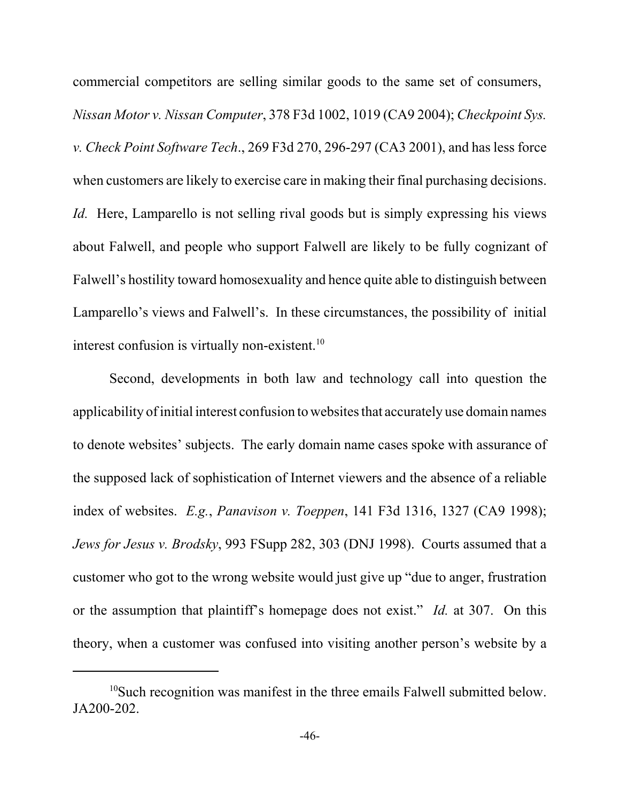commercial competitors are selling similar goods to the same set of consumers, *Nissan Motor v. Nissan Computer*, 378 F3d 1002, 1019 (CA9 2004); *Checkpoint Sys. v. Check Point Software Tech*., 269 F3d 270, 296-297 (CA3 2001), and has less force when customers are likely to exercise care in making their final purchasing decisions. *Id.* Here, Lamparello is not selling rival goods but is simply expressing his views about Falwell, and people who support Falwell are likely to be fully cognizant of Falwell's hostility toward homosexuality and hence quite able to distinguish between Lamparello's views and Falwell's. In these circumstances, the possibility of initial interest confusion is virtually non-existent. $10$ 

Second, developments in both law and technology call into question the applicability of initial interest confusion to websites that accurately use domain names to denote websites' subjects. The early domain name cases spoke with assurance of the supposed lack of sophistication of Internet viewers and the absence of a reliable index of websites. *E.g.*, *Panavison v. Toeppen*, 141 F3d 1316, 1327 (CA9 1998); *Jews for Jesus v. Brodsky*, 993 FSupp 282, 303 (DNJ 1998). Courts assumed that a customer who got to the wrong website would just give up "due to anger, frustration or the assumption that plaintiff's homepage does not exist." *Id.* at 307. On this theory, when a customer was confused into visiting another person's website by a

<sup>&</sup>lt;sup>10</sup>Such recognition was manifest in the three emails Falwell submitted below. JA200-202.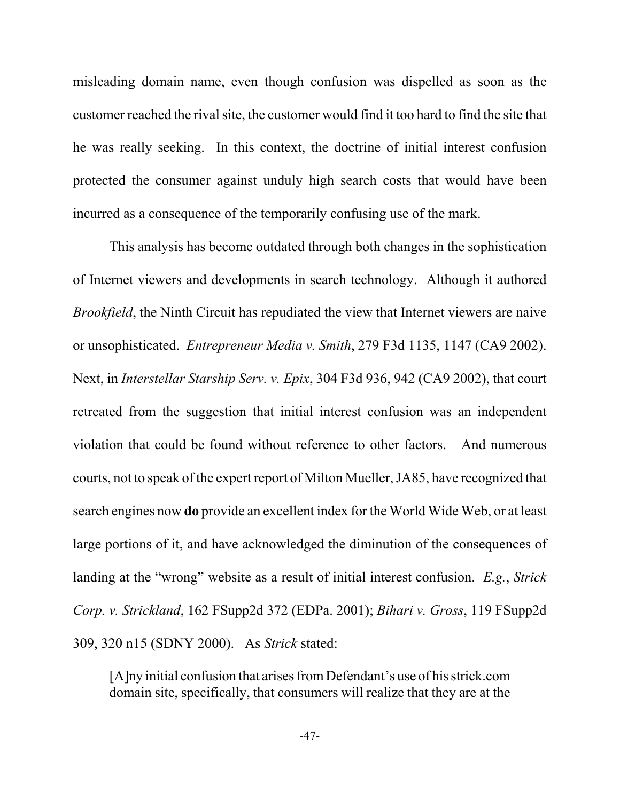misleading domain name, even though confusion was dispelled as soon as the customer reached the rival site, the customer would find it too hard to find the site that he was really seeking. In this context, the doctrine of initial interest confusion protected the consumer against unduly high search costs that would have been incurred as a consequence of the temporarily confusing use of the mark.

This analysis has become outdated through both changes in the sophistication of Internet viewers and developments in search technology. Although it authored *Brookfield*, the Ninth Circuit has repudiated the view that Internet viewers are naive or unsophisticated. *Entrepreneur Media v. Smith*, 279 F3d 1135, 1147 (CA9 2002). Next, in *Interstellar Starship Serv. v. Epix*, 304 F3d 936, 942 (CA9 2002), that court retreated from the suggestion that initial interest confusion was an independent violation that could be found without reference to other factors. And numerous courts, not to speak of the expert report of Milton Mueller, JA85, have recognized that search engines now **do** provide an excellent index for the World Wide Web, or at least large portions of it, and have acknowledged the diminution of the consequences of landing at the "wrong" website as a result of initial interest confusion. *E.g.*, *Strick Corp. v. Strickland*, 162 FSupp2d 372 (EDPa. 2001); *Bihari v. Gross*, 119 FSupp2d 309, 320 n15 (SDNY 2000). As *Strick* stated:

[A]ny initial confusion that arises from Defendant's use of his strick.com domain site, specifically, that consumers will realize that they are at the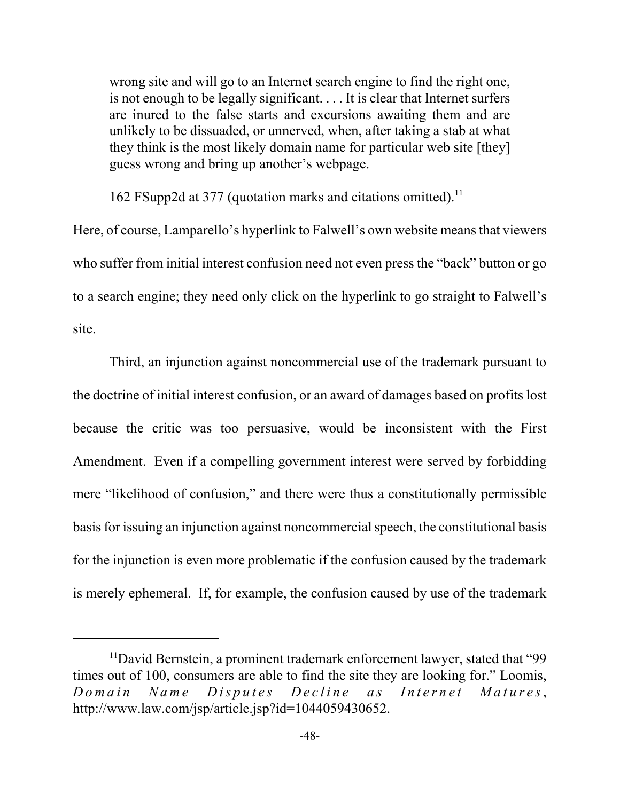wrong site and will go to an Internet search engine to find the right one, is not enough to be legally significant. . . . It is clear that Internet surfers are inured to the false starts and excursions awaiting them and are unlikely to be dissuaded, or unnerved, when, after taking a stab at what they think is the most likely domain name for particular web site [they] guess wrong and bring up another's webpage.

162 FSupp2d at 377 (quotation marks and citations omitted).<sup>11</sup>

Here, of course, Lamparello's hyperlink to Falwell's own website means that viewers who suffer from initial interest confusion need not even press the "back" button or go to a search engine; they need only click on the hyperlink to go straight to Falwell's site.

Third, an injunction against noncommercial use of the trademark pursuant to the doctrine of initial interest confusion, or an award of damages based on profits lost because the critic was too persuasive, would be inconsistent with the First Amendment. Even if a compelling government interest were served by forbidding mere "likelihood of confusion," and there were thus a constitutionally permissible basis for issuing an injunction against noncommercial speech, the constitutional basis for the injunction is even more problematic if the confusion caused by the trademark is merely ephemeral. If, for example, the confusion caused by use of the trademark

<sup>&</sup>lt;sup>11</sup>David Bernstein, a prominent trademark enforcement lawyer, stated that "99" times out of 100, consumers are able to find the site they are looking for." Loomis, *Domain Name Disputes Decline as Internet Matures*, http://www.law.com/jsp/article.jsp?id=1044059430652.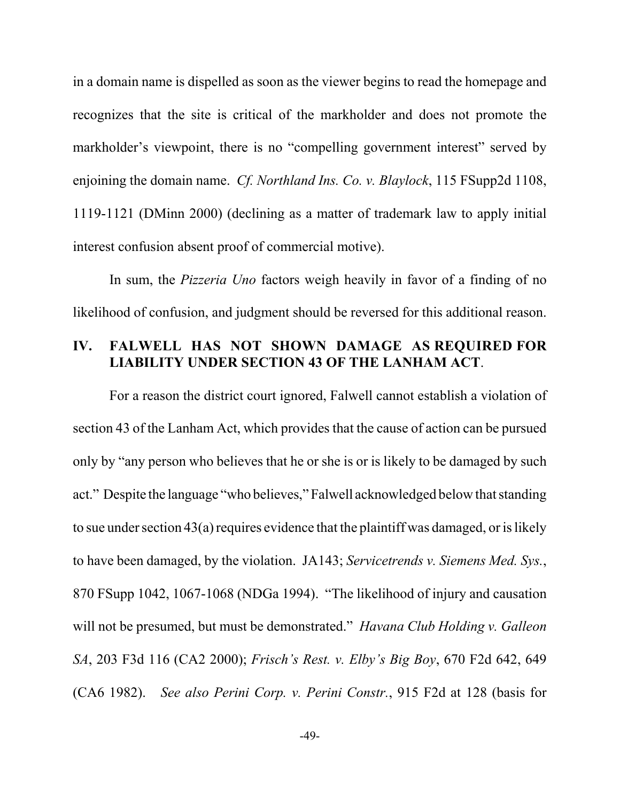in a domain name is dispelled as soon as the viewer begins to read the homepage and recognizes that the site is critical of the markholder and does not promote the markholder's viewpoint, there is no "compelling government interest" served by enjoining the domain name. *Cf. Northland Ins. Co. v. Blaylock*, 115 FSupp2d 1108, 1119-1121 (DMinn 2000) (declining as a matter of trademark law to apply initial interest confusion absent proof of commercial motive).

In sum, the *Pizzeria Uno* factors weigh heavily in favor of a finding of no likelihood of confusion, and judgment should be reversed for this additional reason.

## **IV. FALWELL HAS NOT SHOWN DAMAGE AS REQUIRED FOR LIABILITY UNDER SECTION 43 OF THE LANHAM ACT**.

For a reason the district court ignored, Falwell cannot establish a violation of section 43 of the Lanham Act, which provides that the cause of action can be pursued only by "any person who believes that he or she is or is likely to be damaged by such act." Despite the language "who believes," Falwell acknowledged below that standing to sue under section 43(a) requires evidence that the plaintiff was damaged, or is likely to have been damaged, by the violation. JA143; *Servicetrends v. Siemens Med. Sys.*, 870 FSupp 1042, 1067-1068 (NDGa 1994). "The likelihood of injury and causation will not be presumed, but must be demonstrated." *Havana Club Holding v. Galleon SA*, 203 F3d 116 (CA2 2000); *Frisch's Rest. v. Elby's Big Boy*, 670 F2d 642, 649 (CA6 1982). *See also Perini Corp. v. Perini Constr.*, 915 F2d at 128 (basis for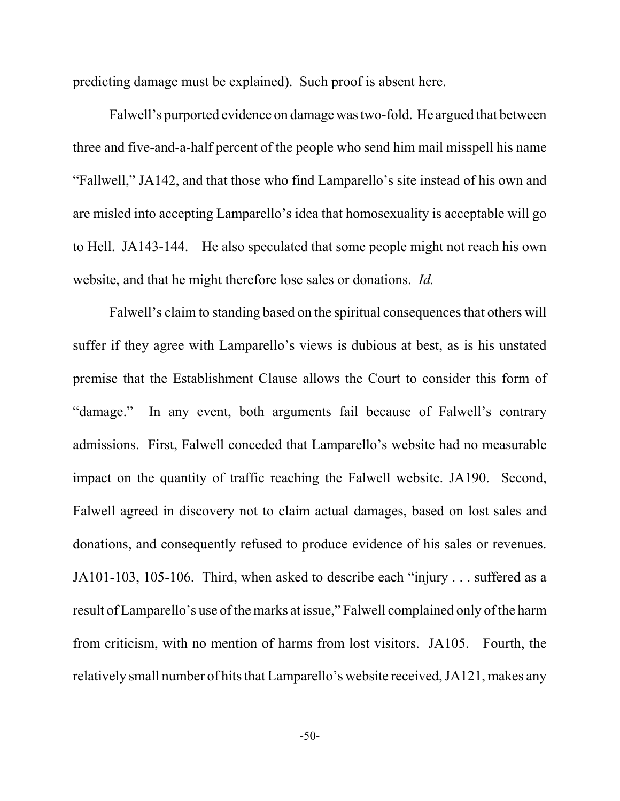predicting damage must be explained). Such proof is absent here.

Falwell's purported evidence on damage was two-fold. He argued that between three and five-and-a-half percent of the people who send him mail misspell his name "Fallwell," JA142, and that those who find Lamparello's site instead of his own and are misled into accepting Lamparello's idea that homosexuality is acceptable will go to Hell. JA143-144. He also speculated that some people might not reach his own website, and that he might therefore lose sales or donations. *Id.*

Falwell's claim to standing based on the spiritual consequences that others will suffer if they agree with Lamparello's views is dubious at best, as is his unstated premise that the Establishment Clause allows the Court to consider this form of "damage." In any event, both arguments fail because of Falwell's contrary admissions. First, Falwell conceded that Lamparello's website had no measurable impact on the quantity of traffic reaching the Falwell website. JA190. Second, Falwell agreed in discovery not to claim actual damages, based on lost sales and donations, and consequently refused to produce evidence of his sales or revenues. JA101-103, 105-106. Third, when asked to describe each "injury . . . suffered as a result of Lamparello's use of the marks at issue," Falwell complained only of the harm from criticism, with no mention of harms from lost visitors. JA105. Fourth, the relatively small number of hits that Lamparello's website received, JA121, makes any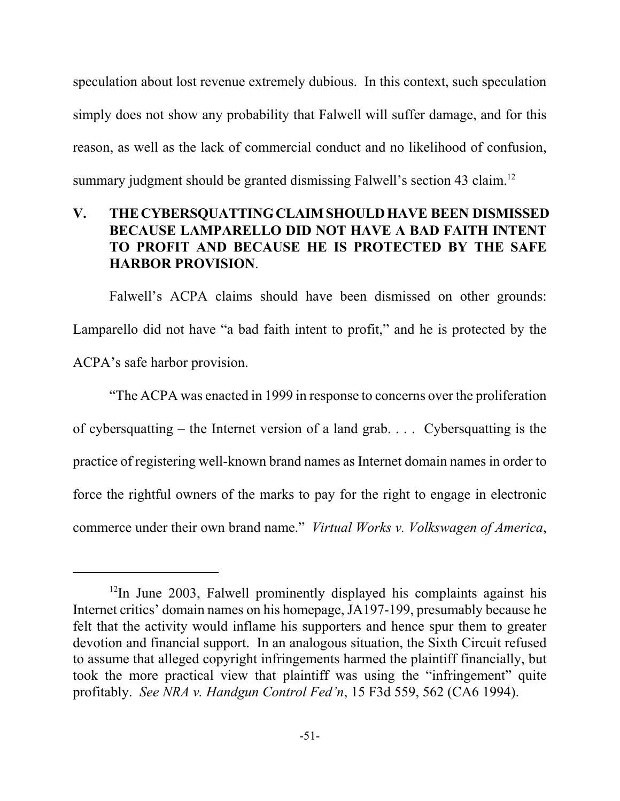speculation about lost revenue extremely dubious. In this context, such speculation simply does not show any probability that Falwell will suffer damage, and for this reason, as well as the lack of commercial conduct and no likelihood of confusion, summary judgment should be granted dismissing Falwell's section 43 claim.<sup>12</sup>

## **V. THE CYBERSQUATTING CLAIM SHOULD HAVE BEEN DISMISSED BECAUSE LAMPARELLO DID NOT HAVE A BAD FAITH INTENT TO PROFIT AND BECAUSE HE IS PROTECTED BY THE SAFE HARBOR PROVISION**.

Falwell's ACPA claims should have been dismissed on other grounds: Lamparello did not have "a bad faith intent to profit," and he is protected by the ACPA's safe harbor provision.

"The ACPA was enacted in 1999 in response to concerns over the proliferation of cybersquatting – the Internet version of a land grab. . . . Cybersquatting is the practice of registering well-known brand names as Internet domain names in order to force the rightful owners of the marks to pay for the right to engage in electronic commerce under their own brand name." *Virtual Works v. Volkswagen of America*,

<sup>&</sup>lt;sup>12</sup>In June 2003, Falwell prominently displayed his complaints against his Internet critics' domain names on his homepage, JA197-199, presumably because he felt that the activity would inflame his supporters and hence spur them to greater devotion and financial support. In an analogous situation, the Sixth Circuit refused to assume that alleged copyright infringements harmed the plaintiff financially, but took the more practical view that plaintiff was using the "infringement" quite profitably. *See NRA v. Handgun Control Fed'n*, 15 F3d 559, 562 (CA6 1994).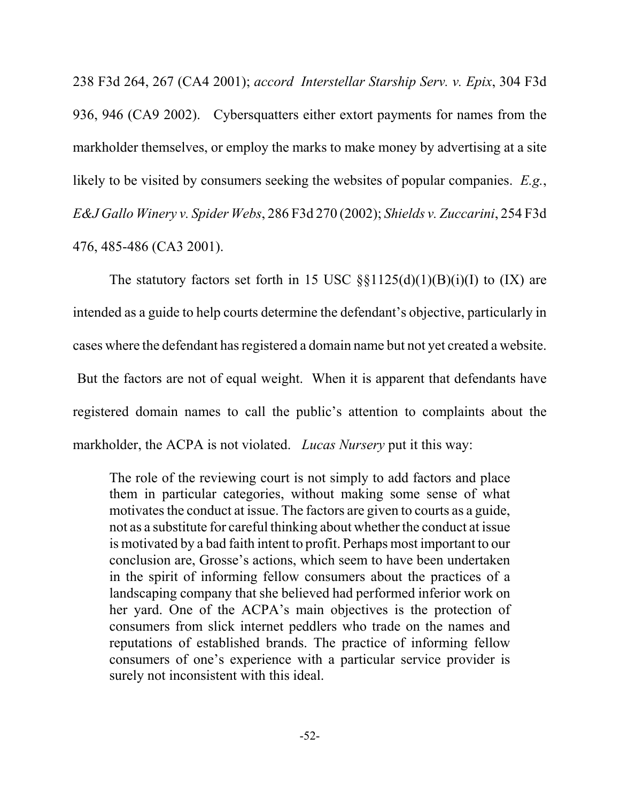238 F3d 264, 267 (CA4 2001); *accord Interstellar Starship Serv. v. Epix*, 304 F3d 936, 946 (CA9 2002). Cybersquatters either extort payments for names from the markholder themselves, or employ the marks to make money by advertising at a site likely to be visited by consumers seeking the websites of popular companies. *E.g.*, *E&J Gallo Winery v. Spider Webs*, 286 F3d 270 (2002); *Shields v. Zuccarini*, 254 F3d 476, 485-486 (CA3 2001).

The statutory factors set forth in 15 USC  $\S$ [\statutorg{1}(1)(B)(i)(I) to (IX) are intended as a guide to help courts determine the defendant's objective, particularly in cases where the defendant has registered a domain name but not yet created a website. But the factors are not of equal weight. When it is apparent that defendants have registered domain names to call the public's attention to complaints about the markholder, the ACPA is not violated. *Lucas Nursery* put it this way:

The role of the reviewing court is not simply to add factors and place them in particular categories, without making some sense of what motivates the conduct at issue. The factors are given to courts as a guide, not as a substitute for careful thinking about whether the conduct at issue is motivated by a bad faith intent to profit. Perhaps most important to our conclusion are, Grosse's actions, which seem to have been undertaken in the spirit of informing fellow consumers about the practices of a landscaping company that she believed had performed inferior work on her yard. One of the ACPA's main objectives is the protection of consumers from slick internet peddlers who trade on the names and reputations of established brands. The practice of informing fellow consumers of one's experience with a particular service provider is surely not inconsistent with this ideal.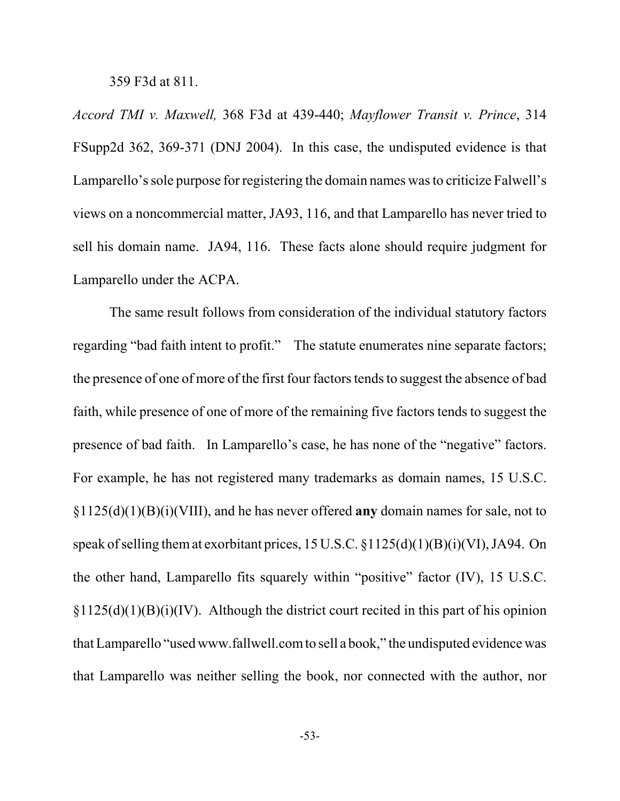359 F3d at 811.

*Accord TMI v. Maxwell,* 368 F3d at 439-440; *Mayflower Transit v. Prince*, 314 FSupp2d 362, 369-371 (DNJ 2004). In this case, the undisputed evidence is that Lamparello's sole purpose for registering the domain names was to criticize Falwell's views on a noncommercial matter, JA93, 116, and that Lamparello has never tried to sell his domain name. JA94, 116. These facts alone should require judgment for Lamparello under the ACPA.

The same result follows from consideration of the individual statutory factors regarding "bad faith intent to profit." The statute enumerates nine separate factors; the presence of one of more of the first four factors tends to suggest the absence of bad faith, while presence of one of more of the remaining five factors tends to suggest the presence of bad faith. In Lamparello's case, he has none of the "negative" factors. For example, he has not registered many trademarks as domain names, 15 U.S.C. §1125(d)(1)(B)(i)(VIII), and he has never offered **any** domain names for sale, not to speak of selling them at exorbitant prices, 15 U.S.C. §1125(d)(1)(B)(i)(VI), JA94. On the other hand, Lamparello fits squarely within "positive" factor (IV), 15 U.S.C.  $\S1125(d)(1)(B)(i)(IV)$ . Although the district court recited in this part of his opinion that Lamparello "used www.fallwell.com to sell a book," the undisputed evidence was that Lamparello was neither selling the book, nor connected with the author, nor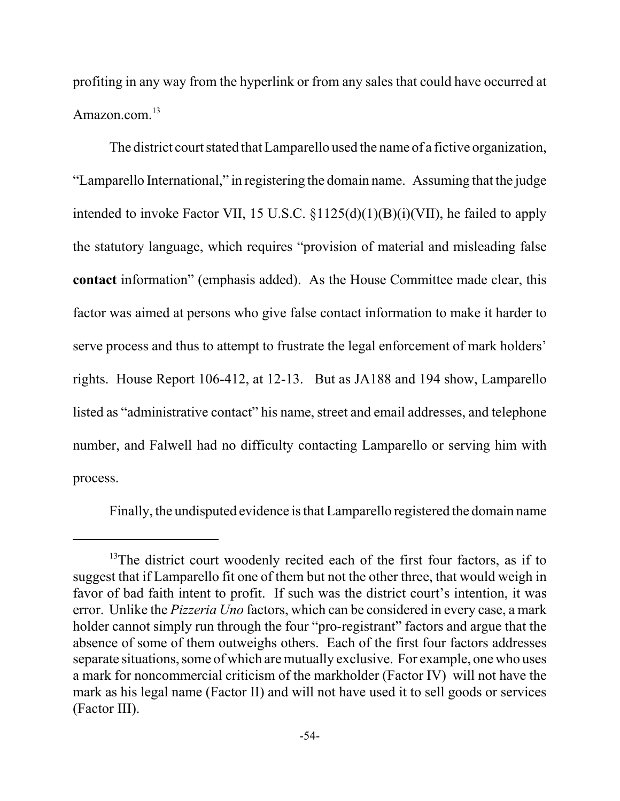profiting in any way from the hyperlink or from any sales that could have occurred at Amazon.com<sup>13</sup>

The district court stated that Lamparello used the name of a fictive organization, "Lamparello International," in registering the domain name. Assuming that the judge intended to invoke Factor VII, 15 U.S.C. §1125(d)(1)(B)(i)(VII), he failed to apply the statutory language, which requires "provision of material and misleading false **contact** information" (emphasis added). As the House Committee made clear, this factor was aimed at persons who give false contact information to make it harder to serve process and thus to attempt to frustrate the legal enforcement of mark holders' rights. House Report 106-412, at 12-13. But as JA188 and 194 show, Lamparello listed as "administrative contact" his name, street and email addresses, and telephone number, and Falwell had no difficulty contacting Lamparello or serving him with process.

Finally, the undisputed evidence is that Lamparello registered the domain name

 $13$ The district court woodenly recited each of the first four factors, as if to suggest that if Lamparello fit one of them but not the other three, that would weigh in favor of bad faith intent to profit. If such was the district court's intention, it was error. Unlike the *Pizzeria Uno* factors, which can be considered in every case, a mark holder cannot simply run through the four "pro-registrant" factors and argue that the absence of some of them outweighs others. Each of the first four factors addresses separate situations, some of which are mutually exclusive. For example, one who uses a mark for noncommercial criticism of the markholder (Factor IV) will not have the mark as his legal name (Factor II) and will not have used it to sell goods or services (Factor III).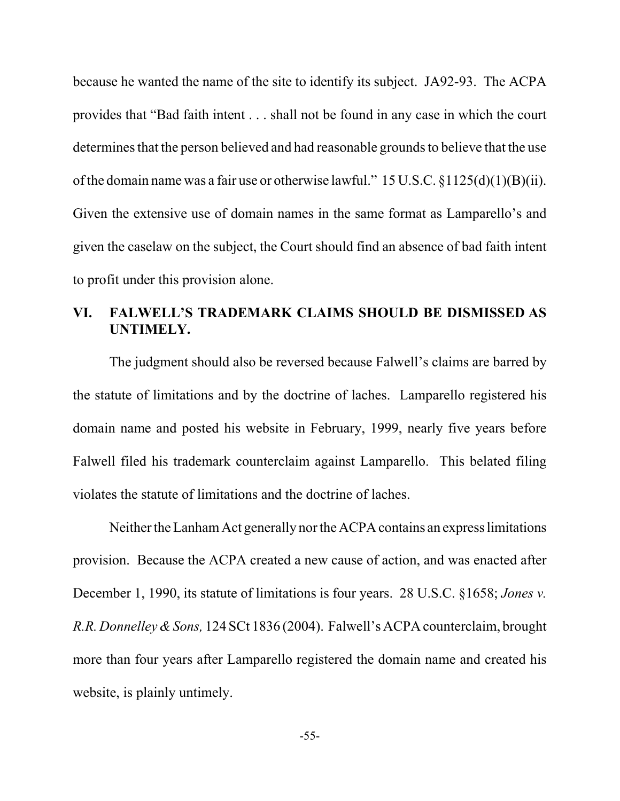because he wanted the name of the site to identify its subject. JA92-93. The ACPA provides that "Bad faith intent . . . shall not be found in any case in which the court determines that the person believed and had reasonable grounds to believe that the use of the domain name was a fair use or otherwise lawful." 15 U.S.C. §1125(d)(1)(B)(ii). Given the extensive use of domain names in the same format as Lamparello's and given the caselaw on the subject, the Court should find an absence of bad faith intent to profit under this provision alone.

## **VI. FALWELL'S TRADEMARK CLAIMS SHOULD BE DISMISSED AS UNTIMELY.**

The judgment should also be reversed because Falwell's claims are barred by the statute of limitations and by the doctrine of laches. Lamparello registered his domain name and posted his website in February, 1999, nearly five years before Falwell filed his trademark counterclaim against Lamparello. This belated filing violates the statute of limitations and the doctrine of laches.

Neither the Lanham Act generally nor the ACPA contains an express limitations provision. Because the ACPA created a new cause of action, and was enacted after December 1, 1990, its statute of limitations is four years. 28 U.S.C. §1658; *Jones v. R.R. Donnelley & Sons,* 124 SCt 1836 (2004). Falwell's ACPA counterclaim, brought more than four years after Lamparello registered the domain name and created his website, is plainly untimely.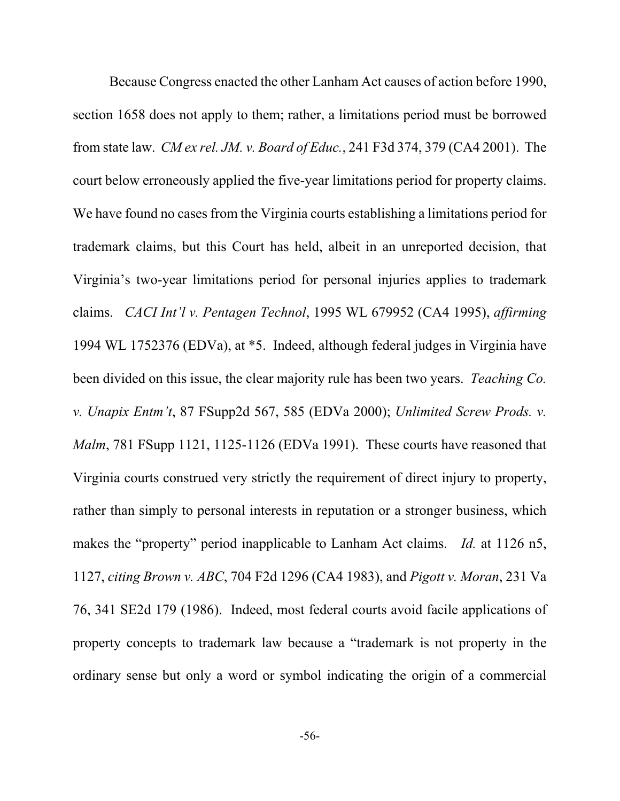Because Congress enacted the other Lanham Act causes of action before 1990, section 1658 does not apply to them; rather, a limitations period must be borrowed from state law. *CM ex rel. JM. v. Board of Educ.*, 241 F3d 374, 379 (CA4 2001). The court below erroneously applied the five-year limitations period for property claims. We have found no cases from the Virginia courts establishing a limitations period for trademark claims, but this Court has held, albeit in an unreported decision, that Virginia's two-year limitations period for personal injuries applies to trademark claims. *CACI Int'l v. Pentagen Technol*, 1995 WL 679952 (CA4 1995), *affirming* 1994 WL 1752376 (EDVa), at \*5. Indeed, although federal judges in Virginia have been divided on this issue, the clear majority rule has been two years. *Teaching Co. v. Unapix Entm't*, 87 FSupp2d 567, 585 (EDVa 2000); *Unlimited Screw Prods. v. Malm*, 781 FSupp 1121, 1125-1126 (EDVa 1991). These courts have reasoned that Virginia courts construed very strictly the requirement of direct injury to property, rather than simply to personal interests in reputation or a stronger business, which makes the "property" period inapplicable to Lanham Act claims. *Id.* at 1126 n5, 1127, *citing Brown v. ABC*, 704 F2d 1296 (CA4 1983), and *Pigott v. Moran*, 231 Va 76, 341 SE2d 179 (1986). Indeed, most federal courts avoid facile applications of property concepts to trademark law because a "trademark is not property in the ordinary sense but only a word or symbol indicating the origin of a commercial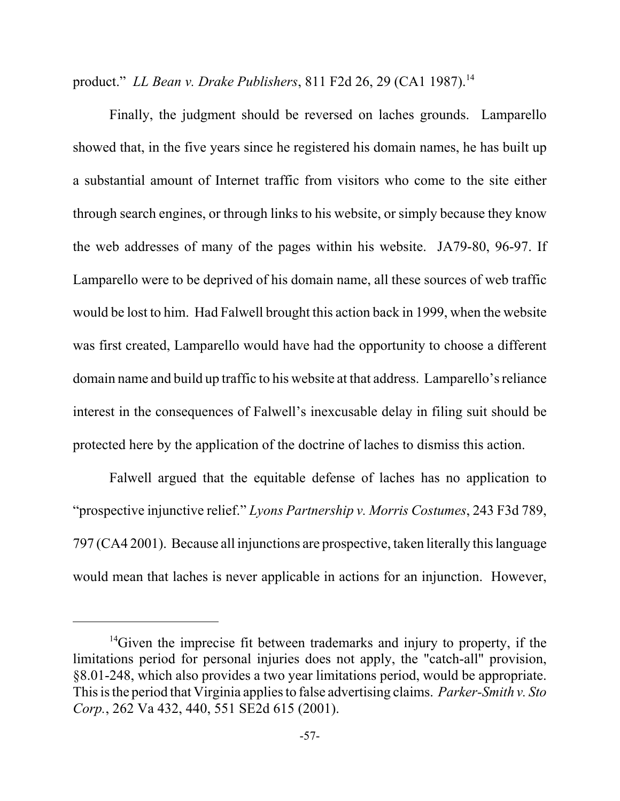product." *LL Bean v. Drake Publishers*, 811 F2d 26, 29 (CA1 1987).<sup>14</sup>

Finally, the judgment should be reversed on laches grounds. Lamparello showed that, in the five years since he registered his domain names, he has built up a substantial amount of Internet traffic from visitors who come to the site either through search engines, or through links to his website, or simply because they know the web addresses of many of the pages within his website. JA79-80, 96-97. If Lamparello were to be deprived of his domain name, all these sources of web traffic would be lost to him. Had Falwell brought this action back in 1999, when the website was first created, Lamparello would have had the opportunity to choose a different domain name and build up traffic to his website at that address. Lamparello's reliance interest in the consequences of Falwell's inexcusable delay in filing suit should be protected here by the application of the doctrine of laches to dismiss this action.

Falwell argued that the equitable defense of laches has no application to "prospective injunctive relief." *Lyons Partnership v. Morris Costumes*, 243 F3d 789, 797 (CA4 2001). Because all injunctions are prospective, taken literally this language would mean that laches is never applicable in actions for an injunction. However,

<sup>&</sup>lt;sup>14</sup>Given the imprecise fit between trademarks and injury to property, if the limitations period for personal injuries does not apply, the "catch-all" provision, §8.01-248, which also provides a two year limitations period, would be appropriate. This is the period that Virginia applies to false advertising claims. *Parker-Smith v. Sto Corp.*, 262 Va 432, 440, 551 SE2d 615 (2001).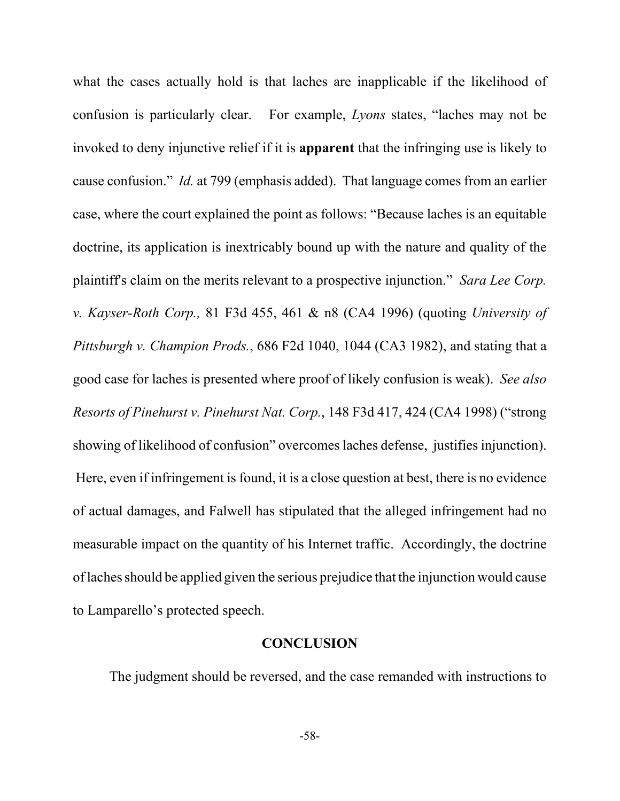what the cases actually hold is that laches are inapplicable if the likelihood of confusion is particularly clear. For example, *Lyons* states, "laches may not be invoked to deny injunctive relief if it is **apparent** that the infringing use is likely to cause confusion." *Id.* at 799 (emphasis added). That language comes from an earlier case, where the court explained the point as follows: "Because laches is an equitable doctrine, its application is inextricably bound up with the nature and quality of the plaintiff's claim on the merits relevant to a prospective injunction." *Sara Lee Corp. v. Kayser-Roth Corp.,* 81 F3d 455, 461 & n8 (CA4 1996) (quoting *University of Pittsburgh v. Champion Prods.*, 686 F2d 1040, 1044 (CA3 1982), and stating that a good case for laches is presented where proof of likely confusion is weak). *See also Resorts of Pinehurst v. Pinehurst Nat. Corp.*, 148 F3d 417, 424 (CA4 1998) ("strong showing of likelihood of confusion" overcomes laches defense, justifies injunction). Here, even if infringement is found, it is a close question at best, there is no evidence of actual damages, and Falwell has stipulated that the alleged infringement had no measurable impact on the quantity of his Internet traffic. Accordingly, the doctrine of laches should be applied given the serious prejudice that the injunction would cause to Lamparello's protected speech.

#### **CONCLUSION**

The judgment should be reversed, and the case remanded with instructions to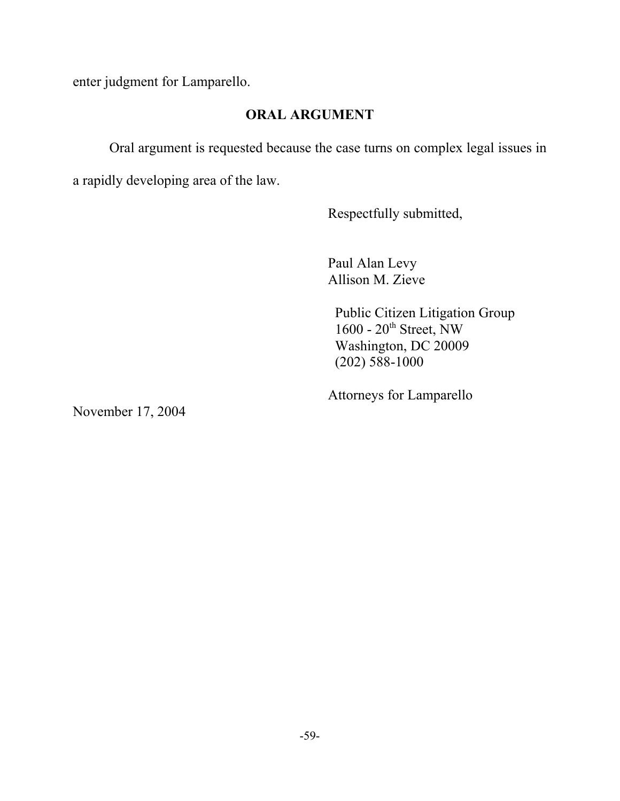enter judgment for Lamparello.

## **ORAL ARGUMENT**

Oral argument is requested because the case turns on complex legal issues in a rapidly developing area of the law.

Respectfully submitted,

Paul Alan Levy Allison M. Zieve

 Public Citizen Litigation Group 1600 - 20<sup>th</sup> Street, NW Washington, DC 20009 (202) 588-1000

Attorneys for Lamparello

November 17, 2004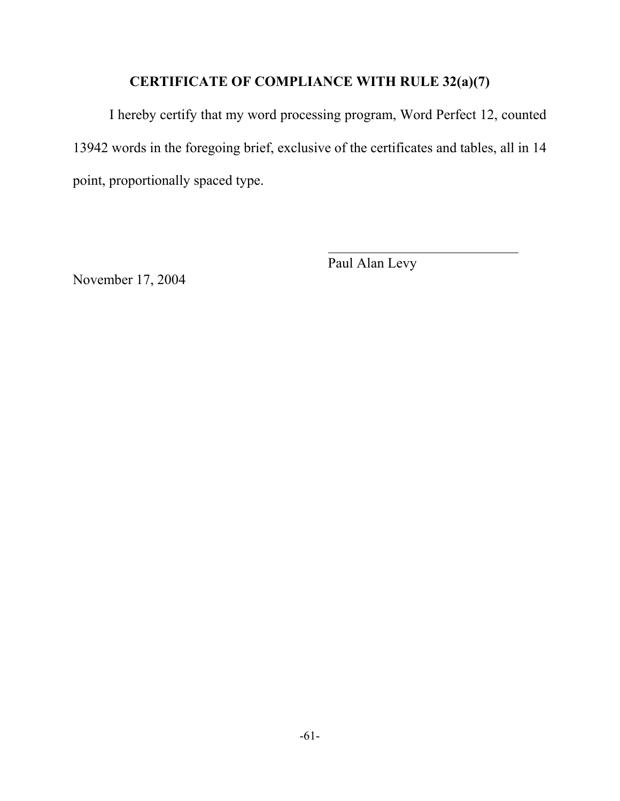# **CERTIFICATE OF COMPLIANCE WITH RULE 32(a)(7)**

I hereby certify that my word processing program, Word Perfect 12, counted 13942 words in the foregoing brief, exclusive of the certificates and tables, all in 14 point, proportionally spaced type.

November 17, 2004

Paul Alan Levy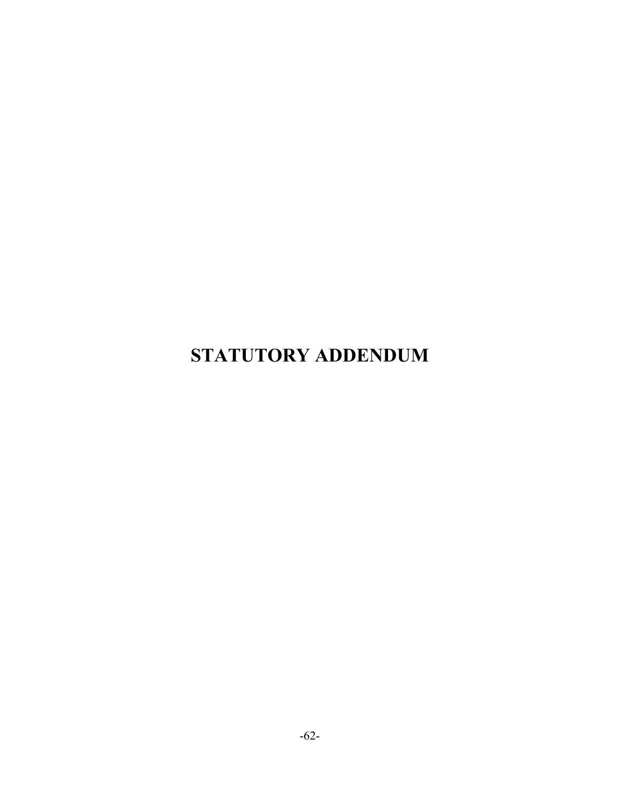# **STATUTORY ADDENDUM**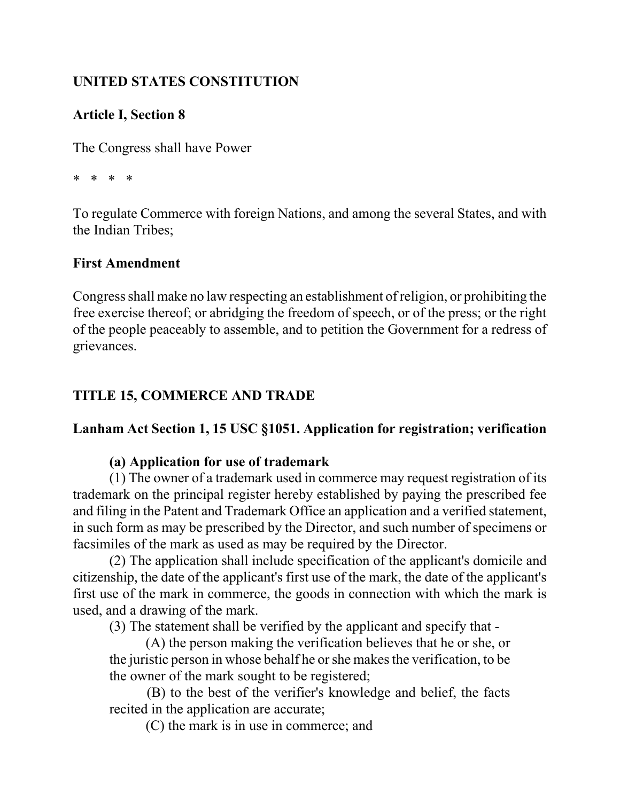# **UNITED STATES CONSTITUTION**

# **Article I, Section 8**

The Congress shall have Power

\* \* \* \*

To regulate Commerce with foreign Nations, and among the several States, and with the Indian Tribes;

## **First Amendment**

Congress shall make no law respecting an establishment of religion, or prohibiting the free exercise thereof; or abridging the freedom of speech, or of the press; or the right of the people peaceably to assemble, and to petition the Government for a redress of grievances.

# **TITLE 15, COMMERCE AND TRADE**

# **Lanham Act Section 1, 15 USC §1051. Application for registration; verification**

## **(a) Application for use of trademark**

(1) The owner of a trademark used in commerce may request registration of its trademark on the principal register hereby established by paying the prescribed fee and filing in the Patent and Trademark Office an application and a verified statement, in such form as may be prescribed by the Director, and such number of specimens or facsimiles of the mark as used as may be required by the Director.

(2) The application shall include specification of the applicant's domicile and citizenship, the date of the applicant's first use of the mark, the date of the applicant's first use of the mark in commerce, the goods in connection with which the mark is used, and a drawing of the mark.

(3) The statement shall be verified by the applicant and specify that -

(A) the person making the verification believes that he or she, or the juristic person in whose behalf he or she makes the verification, to be the owner of the mark sought to be registered;

 (B) to the best of the verifier's knowledge and belief, the facts recited in the application are accurate;

(C) the mark is in use in commerce; and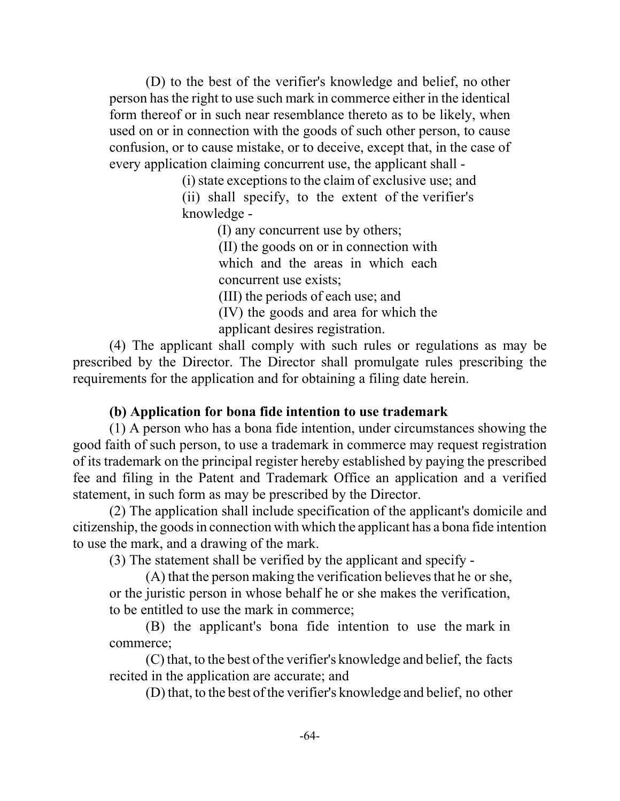(D) to the best of the verifier's knowledge and belief, no other person has the right to use such mark in commerce either in the identical form thereof or in such near resemblance thereto as to be likely, when used on or in connection with the goods of such other person, to cause confusion, or to cause mistake, or to deceive, except that, in the case of every application claiming concurrent use, the applicant shall -

 (i) state exceptions to the claim of exclusive use; and (ii) shall specify, to the extent of the verifier's knowledge -

(I) any concurrent use by others;

 (II) the goods on or in connection with which and the areas in which each concurrent use exists;

(III) the periods of each use; and

(IV) the goods and area for which the

applicant desires registration.

(4) The applicant shall comply with such rules or regulations as may be prescribed by the Director. The Director shall promulgate rules prescribing the requirements for the application and for obtaining a filing date herein.

## **(b) Application for bona fide intention to use trademark**

(1) A person who has a bona fide intention, under circumstances showing the good faith of such person, to use a trademark in commerce may request registration of its trademark on the principal register hereby established by paying the prescribed fee and filing in the Patent and Trademark Office an application and a verified statement, in such form as may be prescribed by the Director.

(2) The application shall include specification of the applicant's domicile and citizenship, the goods in connection with which the applicant has a bona fide intention to use the mark, and a drawing of the mark.

(3) The statement shall be verified by the applicant and specify -

 (A) that the person making the verification believes that he or she, or the juristic person in whose behalf he or she makes the verification, to be entitled to use the mark in commerce;

 (B) the applicant's bona fide intention to use the mark in commerce;

 (C) that, to the best of the verifier's knowledge and belief, the facts recited in the application are accurate; and

(D) that, to the best of the verifier's knowledge and belief, no other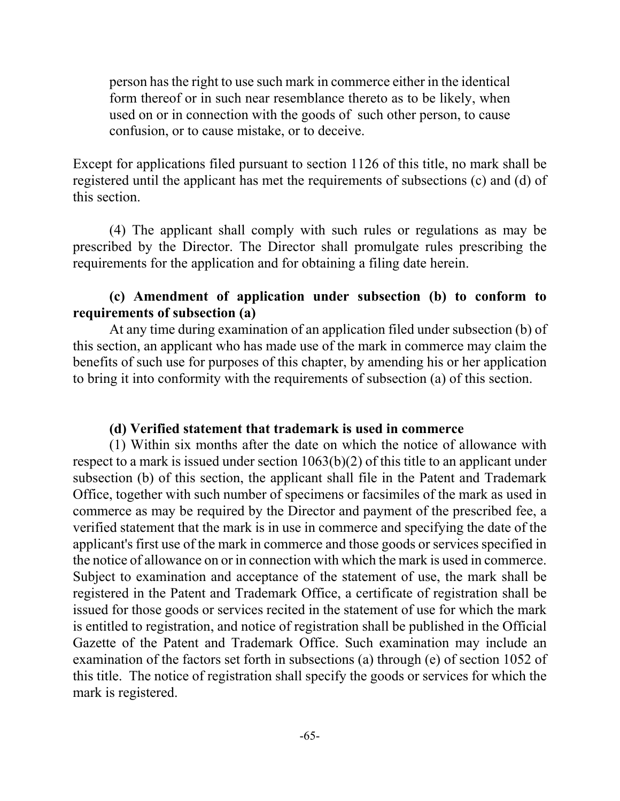person has the right to use such mark in commerce either in the identical form thereof or in such near resemblance thereto as to be likely, when used on or in connection with the goods of such other person, to cause confusion, or to cause mistake, or to deceive.

Except for applications filed pursuant to section 1126 of this title, no mark shall be registered until the applicant has met the requirements of subsections (c) and (d) of this section.

(4) The applicant shall comply with such rules or regulations as may be prescribed by the Director. The Director shall promulgate rules prescribing the requirements for the application and for obtaining a filing date herein.

### **(c) Amendment of application under subsection (b) to conform to requirements of subsection (a)**

At any time during examination of an application filed under subsection (b) of this section, an applicant who has made use of the mark in commerce may claim the benefits of such use for purposes of this chapter, by amending his or her application to bring it into conformity with the requirements of subsection (a) of this section.

#### **(d) Verified statement that trademark is used in commerce**

(1) Within six months after the date on which the notice of allowance with respect to a mark is issued under section 1063(b)(2) of this title to an applicant under subsection (b) of this section, the applicant shall file in the Patent and Trademark Office, together with such number of specimens or facsimiles of the mark as used in commerce as may be required by the Director and payment of the prescribed fee, a verified statement that the mark is in use in commerce and specifying the date of the applicant's first use of the mark in commerce and those goods or services specified in the notice of allowance on or in connection with which the mark is used in commerce. Subject to examination and acceptance of the statement of use, the mark shall be registered in the Patent and Trademark Office, a certificate of registration shall be issued for those goods or services recited in the statement of use for which the mark is entitled to registration, and notice of registration shall be published in the Official Gazette of the Patent and Trademark Office. Such examination may include an examination of the factors set forth in subsections (a) through (e) of section 1052 of this title. The notice of registration shall specify the goods or services for which the mark is registered.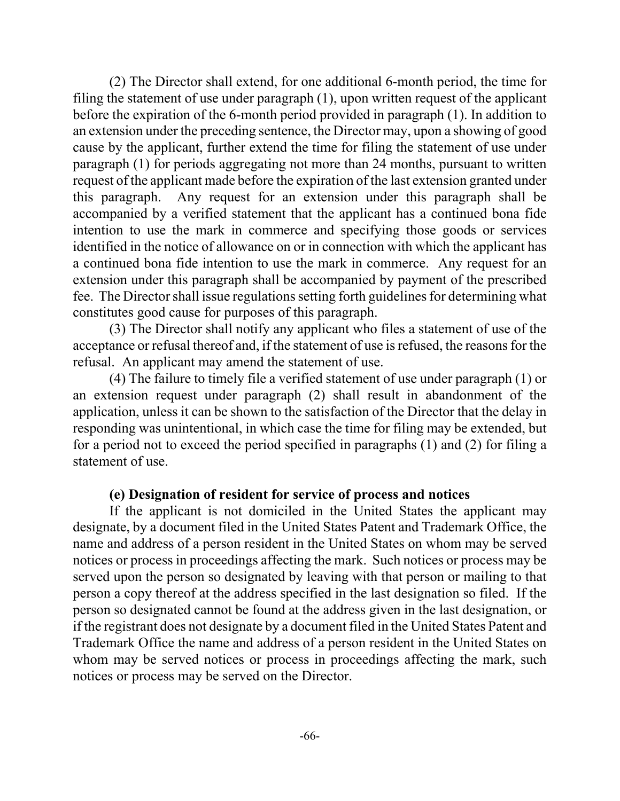(2) The Director shall extend, for one additional 6-month period, the time for filing the statement of use under paragraph (1), upon written request of the applicant before the expiration of the 6-month period provided in paragraph (1). In addition to an extension under the preceding sentence, the Director may, upon a showing of good cause by the applicant, further extend the time for filing the statement of use under paragraph (1) for periods aggregating not more than 24 months, pursuant to written request of the applicant made before the expiration of the last extension granted under this paragraph. Any request for an extension under this paragraph shall be accompanied by a verified statement that the applicant has a continued bona fide intention to use the mark in commerce and specifying those goods or services identified in the notice of allowance on or in connection with which the applicant has a continued bona fide intention to use the mark in commerce. Any request for an extension under this paragraph shall be accompanied by payment of the prescribed fee. The Director shall issue regulations setting forth guidelines for determining what constitutes good cause for purposes of this paragraph.

(3) The Director shall notify any applicant who files a statement of use of the acceptance or refusal thereof and, if the statement of use is refused, the reasons for the refusal. An applicant may amend the statement of use.

(4) The failure to timely file a verified statement of use under paragraph (1) or an extension request under paragraph (2) shall result in abandonment of the application, unless it can be shown to the satisfaction of the Director that the delay in responding was unintentional, in which case the time for filing may be extended, but for a period not to exceed the period specified in paragraphs (1) and (2) for filing a statement of use.

#### **(e) Designation of resident for service of process and notices**

If the applicant is not domiciled in the United States the applicant may designate, by a document filed in the United States Patent and Trademark Office, the name and address of a person resident in the United States on whom may be served notices or process in proceedings affecting the mark. Such notices or process may be served upon the person so designated by leaving with that person or mailing to that person a copy thereof at the address specified in the last designation so filed. If the person so designated cannot be found at the address given in the last designation, or if the registrant does not designate by a document filed in the United States Patent and Trademark Office the name and address of a person resident in the United States on whom may be served notices or process in proceedings affecting the mark, such notices or process may be served on the Director.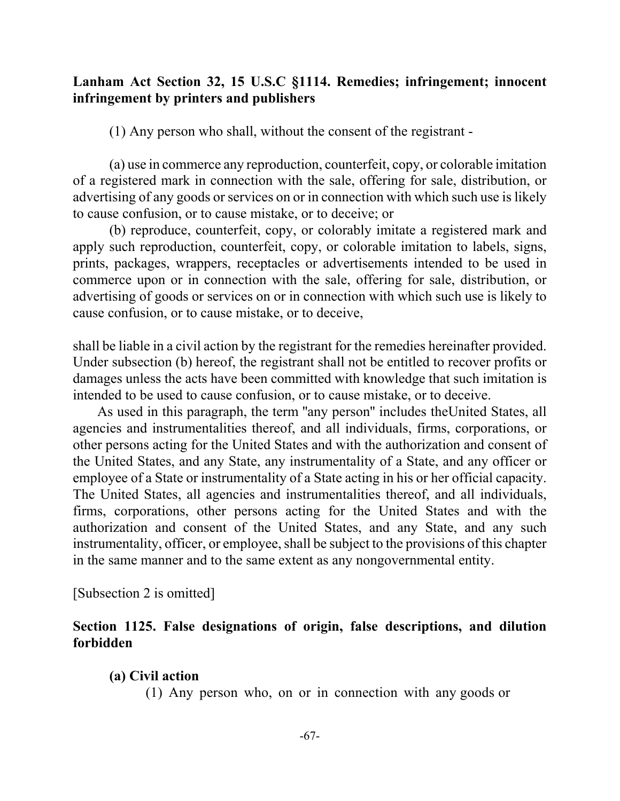#### **Lanham Act Section 32, 15 U.S.C §1114. Remedies; infringement; innocent infringement by printers and publishers**

(1) Any person who shall, without the consent of the registrant -

(a) use in commerce any reproduction, counterfeit, copy, or colorable imitation of a registered mark in connection with the sale, offering for sale, distribution, or advertising of any goods or services on or in connection with which such use is likely to cause confusion, or to cause mistake, or to deceive; or

(b) reproduce, counterfeit, copy, or colorably imitate a registered mark and apply such reproduction, counterfeit, copy, or colorable imitation to labels, signs, prints, packages, wrappers, receptacles or advertisements intended to be used in commerce upon or in connection with the sale, offering for sale, distribution, or advertising of goods or services on or in connection with which such use is likely to cause confusion, or to cause mistake, or to deceive,

shall be liable in a civil action by the registrant for the remedies hereinafter provided. Under subsection (b) hereof, the registrant shall not be entitled to recover profits or damages unless the acts have been committed with knowledge that such imitation is intended to be used to cause confusion, or to cause mistake, or to deceive.

 As used in this paragraph, the term ''any person'' includes theUnited States, all agencies and instrumentalities thereof, and all individuals, firms, corporations, or other persons acting for the United States and with the authorization and consent of the United States, and any State, any instrumentality of a State, and any officer or employee of a State or instrumentality of a State acting in his or her official capacity. The United States, all agencies and instrumentalities thereof, and all individuals, firms, corporations, other persons acting for the United States and with the authorization and consent of the United States, and any State, and any such instrumentality, officer, or employee, shall be subject to the provisions of this chapter in the same manner and to the same extent as any nongovernmental entity.

[Subsection 2 is omitted]

#### **Section 1125. False designations of origin, false descriptions, and dilution forbidden**

#### **(a) Civil action**

(1) Any person who, on or in connection with any goods or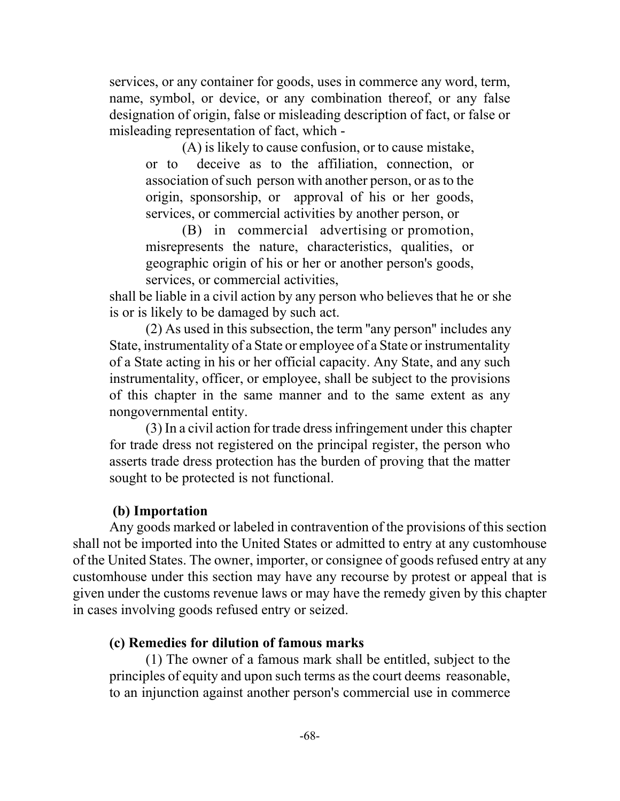services, or any container for goods, uses in commerce any word, term, name, symbol, or device, or any combination thereof, or any false designation of origin, false or misleading description of fact, or false or misleading representation of fact, which -

 (A) is likely to cause confusion, or to cause mistake, or to deceive as to the affiliation, connection, or association of such person with another person, or as to the origin, sponsorship, or approval of his or her goods, services, or commercial activities by another person, or

 (B) in commercial advertising or promotion, misrepresents the nature, characteristics, qualities, or geographic origin of his or her or another person's goods, services, or commercial activities,

 shall be liable in a civil action by any person who believes that he or she is or is likely to be damaged by such act.

 (2) As used in this subsection, the term ''any person'' includes any State, instrumentality of a State or employee of a State or instrumentality of a State acting in his or her official capacity. Any State, and any such instrumentality, officer, or employee, shall be subject to the provisions of this chapter in the same manner and to the same extent as any nongovernmental entity.

 (3) In a civil action for trade dress infringement under this chapter for trade dress not registered on the principal register, the person who asserts trade dress protection has the burden of proving that the matter sought to be protected is not functional.

#### **(b) Importation**

Any goods marked or labeled in contravention of the provisions of this section shall not be imported into the United States or admitted to entry at any customhouse of the United States. The owner, importer, or consignee of goods refused entry at any customhouse under this section may have any recourse by protest or appeal that is given under the customs revenue laws or may have the remedy given by this chapter in cases involving goods refused entry or seized.

#### **(c) Remedies for dilution of famous marks**

 (1) The owner of a famous mark shall be entitled, subject to the principles of equity and upon such terms as the court deems reasonable, to an injunction against another person's commercial use in commerce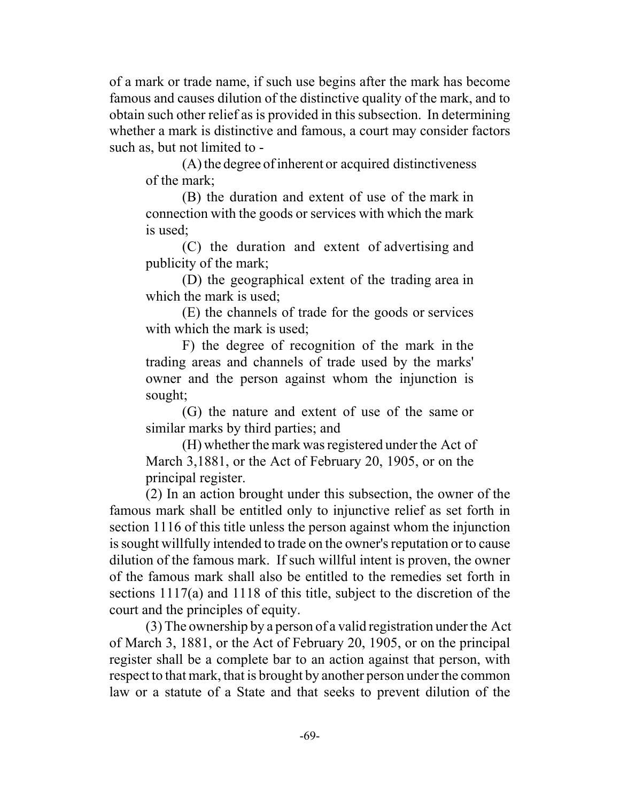of a mark or trade name, if such use begins after the mark has become famous and causes dilution of the distinctive quality of the mark, and to obtain such other relief as is provided in this subsection. In determining whether a mark is distinctive and famous, a court may consider factors such as, but not limited to -

 (A) the degree of inherent or acquired distinctiveness of the mark;

 (B) the duration and extent of use of the mark in connection with the goods or services with which the mark is used;

 (C) the duration and extent of advertising and publicity of the mark;

 (D) the geographical extent of the trading area in which the mark is used:

 (E) the channels of trade for the goods or services with which the mark is used;

 F) the degree of recognition of the mark in the trading areas and channels of trade used by the marks' owner and the person against whom the injunction is sought;

 (G) the nature and extent of use of the same or similar marks by third parties; and

 (H) whether the mark was registered under the Act of March 3,1881, or the Act of February 20, 1905, or on the principal register.

 (2) In an action brought under this subsection, the owner of the famous mark shall be entitled only to injunctive relief as set forth in section 1116 of this title unless the person against whom the injunction is sought willfully intended to trade on the owner's reputation or to cause dilution of the famous mark. If such willful intent is proven, the owner of the famous mark shall also be entitled to the remedies set forth in sections 1117(a) and 1118 of this title, subject to the discretion of the court and the principles of equity.

 (3) The ownership by a person of a valid registration under the Act of March 3, 1881, or the Act of February 20, 1905, or on the principal register shall be a complete bar to an action against that person, with respect to that mark, that is brought by another person under the common law or a statute of a State and that seeks to prevent dilution of the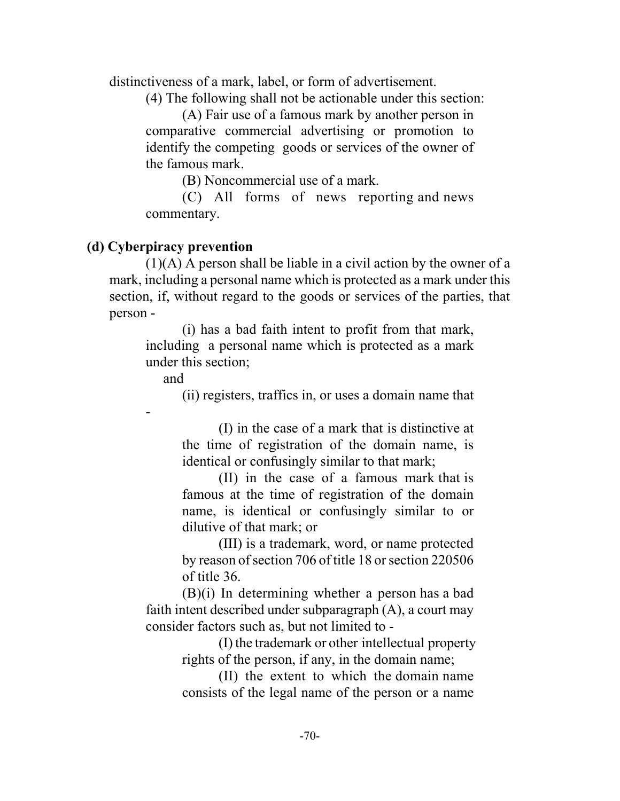distinctiveness of a mark, label, or form of advertisement.

(4) The following shall not be actionable under this section:

 (A) Fair use of a famous mark by another person in comparative commercial advertising or promotion to identify the competing goods or services of the owner of the famous mark.

(B) Noncommercial use of a mark.

 (C) All forms of news reporting and news commentary.

### **(d) Cyberpiracy prevention**

(1)(A) A person shall be liable in a civil action by the owner of a mark, including a personal name which is protected as a mark under this section, if, without regard to the goods or services of the parties, that person -

(i) has a bad faith intent to profit from that mark, including a personal name which is protected as a mark under this section;

and

-

(ii) registers, traffics in, or uses a domain name that

 (I) in the case of a mark that is distinctive at the time of registration of the domain name, is identical or confusingly similar to that mark;

 (II) in the case of a famous mark that is famous at the time of registration of the domain name, is identical or confusingly similar to or dilutive of that mark; or

 (III) is a trademark, word, or name protected by reason of section 706 of title 18 or section 220506 of title 36.

 (B)(i) In determining whether a person has a bad faith intent described under subparagraph (A), a court may consider factors such as, but not limited to -

> (I) the trademark or other intellectual property rights of the person, if any, in the domain name;

> (II) the extent to which the domain name consists of the legal name of the person or a name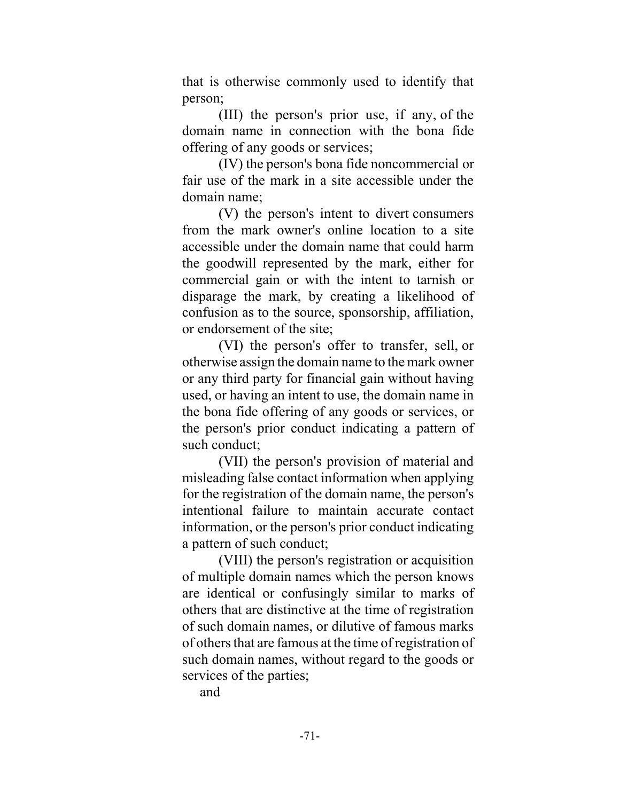that is otherwise commonly used to identify that person;

 (III) the person's prior use, if any, of the domain name in connection with the bona fide offering of any goods or services;

 (IV) the person's bona fide noncommercial or fair use of the mark in a site accessible under the domain name;

 (V) the person's intent to divert consumers from the mark owner's online location to a site accessible under the domain name that could harm the goodwill represented by the mark, either for commercial gain or with the intent to tarnish or disparage the mark, by creating a likelihood of confusion as to the source, sponsorship, affiliation, or endorsement of the site;

 (VI) the person's offer to transfer, sell, or otherwise assign the domain name to the mark owner or any third party for financial gain without having used, or having an intent to use, the domain name in the bona fide offering of any goods or services, or the person's prior conduct indicating a pattern of such conduct;

 (VII) the person's provision of material and misleading false contact information when applying for the registration of the domain name, the person's intentional failure to maintain accurate contact information, or the person's prior conduct indicating a pattern of such conduct;

 (VIII) the person's registration or acquisition of multiple domain names which the person knows are identical or confusingly similar to marks of others that are distinctive at the time of registration of such domain names, or dilutive of famous marks of others that are famous at the time of registration of such domain names, without regard to the goods or services of the parties;

and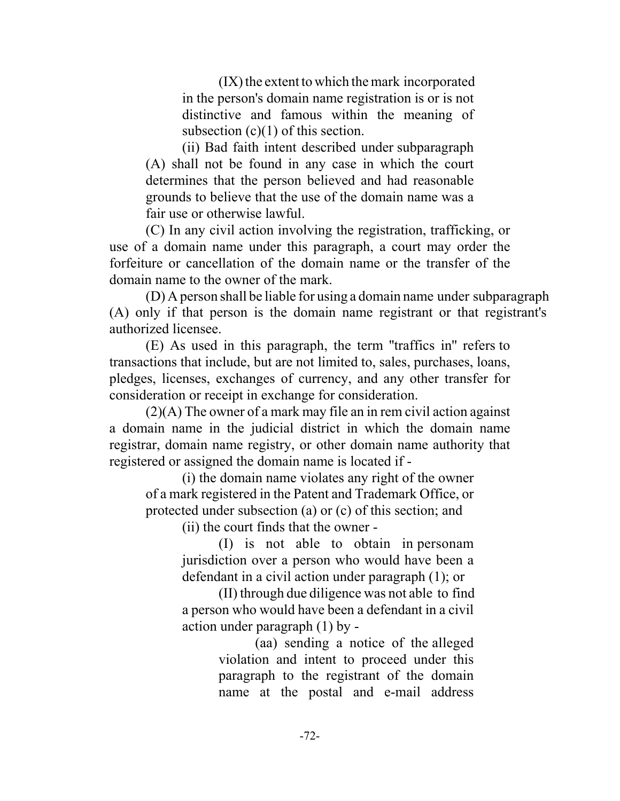(IX) the extent to which the mark incorporated in the person's domain name registration is or is not distinctive and famous within the meaning of subsection  $(c)(1)$  of this section.

 (ii) Bad faith intent described under subparagraph (A) shall not be found in any case in which the court determines that the person believed and had reasonable grounds to believe that the use of the domain name was a fair use or otherwise lawful.

(C) In any civil action involving the registration, trafficking, or use of a domain name under this paragraph, a court may order the forfeiture or cancellation of the domain name or the transfer of the domain name to the owner of the mark.

 (D) A person shall be liable for using a domain name under subparagraph (A) only if that person is the domain name registrant or that registrant's authorized licensee.

 (E) As used in this paragraph, the term ''traffics in'' refers to transactions that include, but are not limited to, sales, purchases, loans, pledges, licenses, exchanges of currency, and any other transfer for consideration or receipt in exchange for consideration.

 $(2)(A)$  The owner of a mark may file an in rem civil action against a domain name in the judicial district in which the domain name registrar, domain name registry, or other domain name authority that registered or assigned the domain name is located if -

 (i) the domain name violates any right of the owner of a mark registered in the Patent and Trademark Office, or protected under subsection (a) or (c) of this section; and

(ii) the court finds that the owner -

 (I) is not able to obtain in personam jurisdiction over a person who would have been a defendant in a civil action under paragraph (1); or

 (II) through due diligence was not able to find a person who would have been a defendant in a civil action under paragraph (1) by -

> (aa) sending a notice of the alleged violation and intent to proceed under this paragraph to the registrant of the domain name at the postal and e-mail address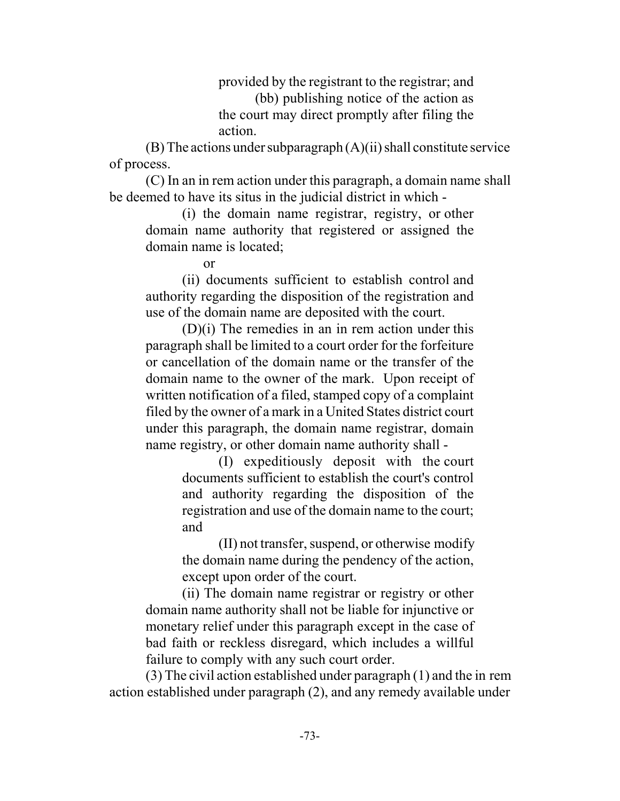provided by the registrant to the registrar; and (bb) publishing notice of the action as the court may direct promptly after filing the action.

 $(B)$  The actions under subparagraph  $(A)(ii)$  shall constitute service of process.

 (C) In an in rem action under this paragraph, a domain name shall be deemed to have its situs in the judicial district in which -

 (i) the domain name registrar, registry, or other domain name authority that registered or assigned the domain name is located;

or

 (ii) documents sufficient to establish control and authority regarding the disposition of the registration and use of the domain name are deposited with the court.

 (D)(i) The remedies in an in rem action under this paragraph shall be limited to a court order for the forfeiture or cancellation of the domain name or the transfer of the domain name to the owner of the mark. Upon receipt of written notification of a filed, stamped copy of a complaint filed by the owner of a mark in a United States district court under this paragraph, the domain name registrar, domain name registry, or other domain name authority shall -

> (I) expeditiously deposit with the court documents sufficient to establish the court's control and authority regarding the disposition of the registration and use of the domain name to the court; and

> (II) not transfer, suspend, or otherwise modify the domain name during the pendency of the action, except upon order of the court.

 (ii) The domain name registrar or registry or other domain name authority shall not be liable for injunctive or monetary relief under this paragraph except in the case of bad faith or reckless disregard, which includes a willful failure to comply with any such court order.

 (3) The civil action established under paragraph (1) and the in rem action established under paragraph (2), and any remedy available under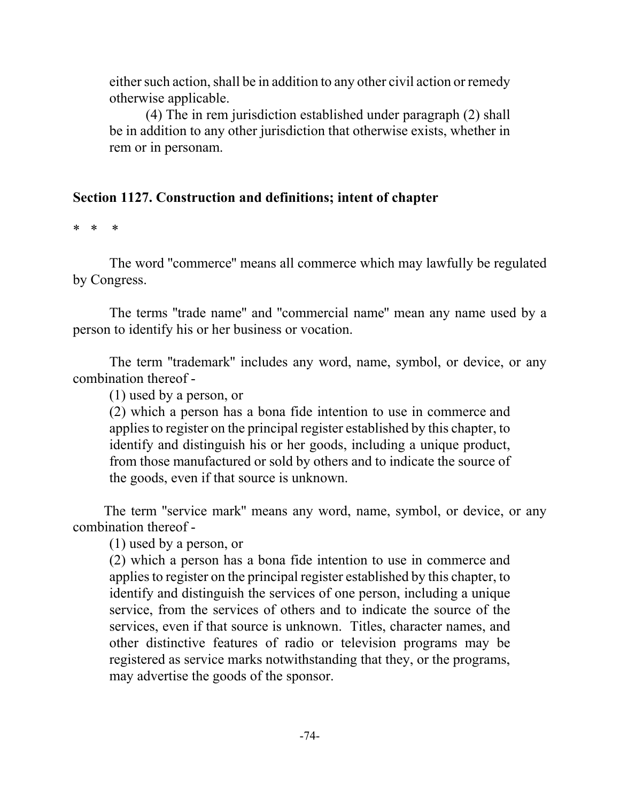either such action, shall be in addition to any other civil action or remedy otherwise applicable.

 (4) The in rem jurisdiction established under paragraph (2) shall be in addition to any other jurisdiction that otherwise exists, whether in rem or in personam.

## **Section 1127. Construction and definitions; intent of chapter**

\* \* \*

The word ''commerce'' means all commerce which may lawfully be regulated by Congress.

The terms ''trade name'' and ''commercial name'' mean any name used by a person to identify his or her business or vocation.

The term ''trademark'' includes any word, name, symbol, or device, or any combination thereof -

(1) used by a person, or

 (2) which a person has a bona fide intention to use in commerce and applies to register on the principal register established by this chapter, to identify and distinguish his or her goods, including a unique product, from those manufactured or sold by others and to indicate the source of the goods, even if that source is unknown.

 The term ''service mark'' means any word, name, symbol, or device, or any combination thereof -

(1) used by a person, or

 (2) which a person has a bona fide intention to use in commerce and applies to register on the principal register established by this chapter, to identify and distinguish the services of one person, including a unique service, from the services of others and to indicate the source of the services, even if that source is unknown. Titles, character names, and other distinctive features of radio or television programs may be registered as service marks notwithstanding that they, or the programs, may advertise the goods of the sponsor.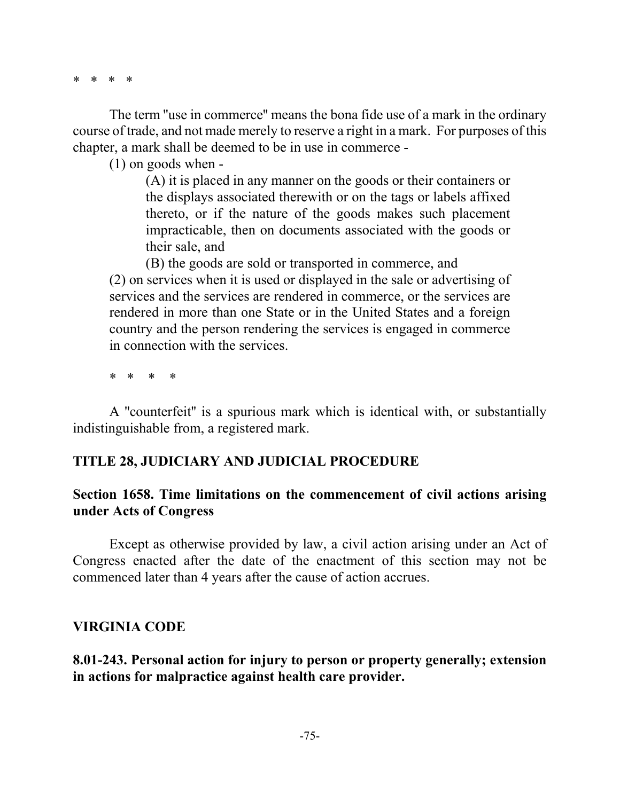\* \* \* \*

The term ''use in commerce'' means the bona fide use of a mark in the ordinary course of trade, and not made merely to reserve a right in a mark. For purposes of this chapter, a mark shall be deemed to be in use in commerce -

(1) on goods when -

 (A) it is placed in any manner on the goods or their containers or the displays associated therewith or on the tags or labels affixed thereto, or if the nature of the goods makes such placement impracticable, then on documents associated with the goods or their sale, and

 (B) the goods are sold or transported in commerce, and (2) on services when it is used or displayed in the sale or advertising of services and the services are rendered in commerce, or the services are rendered in more than one State or in the United States and a foreign country and the person rendering the services is engaged in commerce in connection with the services.

\* \* \* \*

A ''counterfeit'' is a spurious mark which is identical with, or substantially indistinguishable from, a registered mark.

#### **TITLE 28, JUDICIARY AND JUDICIAL PROCEDURE**

#### **Section 1658. Time limitations on the commencement of civil actions arising under Acts of Congress**

Except as otherwise provided by law, a civil action arising under an Act of Congress enacted after the date of the enactment of this section may not be commenced later than 4 years after the cause of action accrues.

#### **VIRGINIA CODE**

**8.01-243. Personal action for injury to person or property generally; extension in actions for malpractice against health care provider.**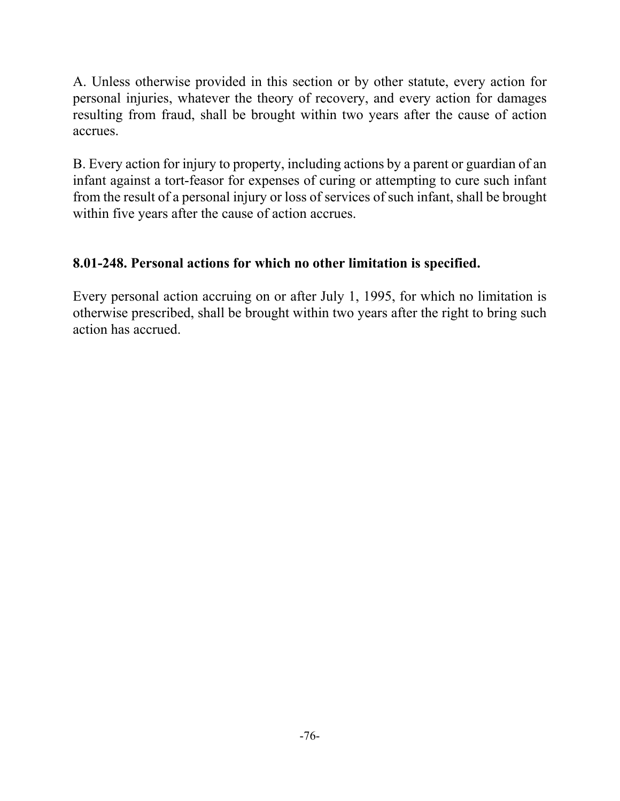A. Unless otherwise provided in this section or by other statute, every action for personal injuries, whatever the theory of recovery, and every action for damages resulting from fraud, shall be brought within two years after the cause of action accrues.

B. Every action for injury to property, including actions by a parent or guardian of an infant against a tort-feasor for expenses of curing or attempting to cure such infant from the result of a personal injury or loss of services of such infant, shall be brought within five years after the cause of action accrues.

## **8.01-248. Personal actions for which no other limitation is specified.**

Every personal action accruing on or after July 1, 1995, for which no limitation is otherwise prescribed, shall be brought within two years after the right to bring such action has accrued.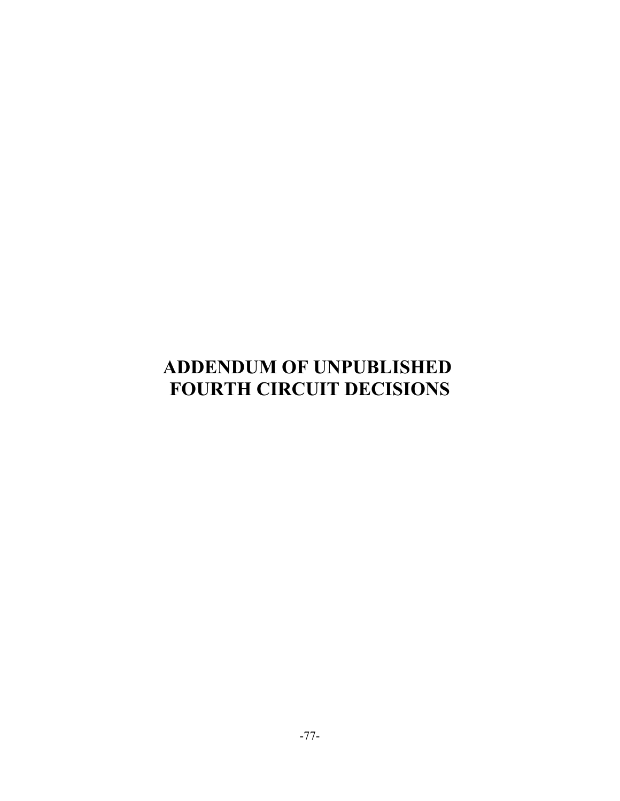# **ADDENDUM OF UNPUBLISHED FOURTH CIRCUIT DECISIONS**